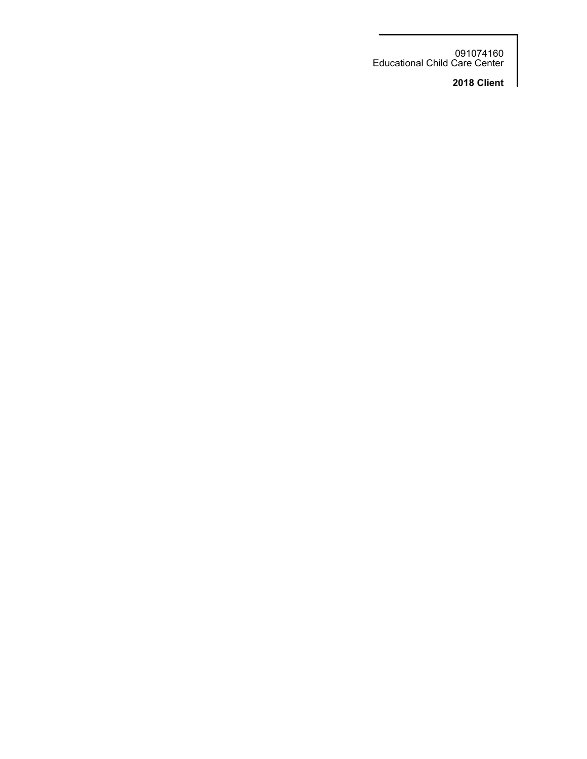091074160 Educational Child Care Center

**2018 Client**

I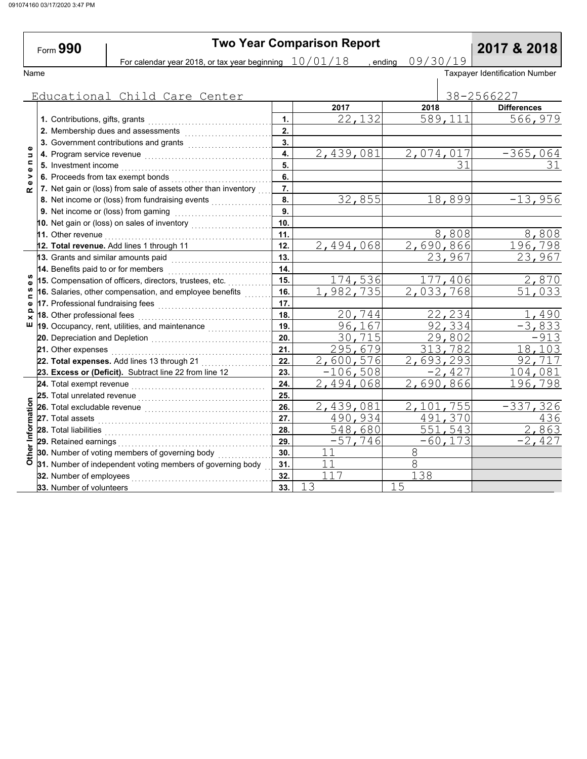Form **990**

# **Two Year Comparison Report**<br> **Drips are beginning**  $\frac{10/01/18}{}$  , ending 09/30/19 **2017 & 2018**

For calendar year 2018, or tax year beginning  $\left. \frac{10/01/18}{\right.} \right.$  , ending  $\left. \frac{09/30/19}{\right.}$ 

Name Taxpayer Identification Number

|                            | Educational Child Care Center                                                          |     |                        |           |            | 38-2566227          |
|----------------------------|----------------------------------------------------------------------------------------|-----|------------------------|-----------|------------|---------------------|
|                            |                                                                                        |     | 2017                   | 2018      |            | <b>Differences</b>  |
|                            | 1. Contributions, gifts, grants                                                        | 1.  | 22,132                 |           | 589,111    | 566,979             |
| $\bullet$<br>$\Rightarrow$ | 2. Membership dues and assessments                                                     | 2.  |                        |           |            |                     |
|                            | 3. Government contributions and grants                                                 | 3.  |                        |           |            |                     |
|                            |                                                                                        | 4.  | 2,439,081              | 2,074,017 |            | $-365,064$          |
| $\mathbf{C}$<br>$\bullet$  | 5. Investment income                                                                   | 5.  |                        |           |            | 31                  |
| >                          | 6. Proceeds from tax exempt bonds                                                      | 6.  |                        |           |            |                     |
| $\alpha$                   | 7. Net gain or (loss) from sale of assets other than inventory                         | 7.  |                        |           |            |                     |
|                            | 8. Net income or (loss) from fundraising events                                        | 8.  | 32,855                 |           | 18,899     | $-13,956$           |
|                            | 9. Net income or (loss) from gaming                                                    | 9.  |                        |           |            |                     |
|                            | 10. Net gain or (loss) on sales of inventory                                           | 10. |                        |           |            |                     |
|                            | 11. Other revenue                                                                      | 11. |                        |           | 8,808      | 8,808               |
|                            | 12. Total revenue. Add lines 1 through 11                                              | 12. | 2,494,068              | 2,690,866 |            | 196, 798            |
|                            | 13. Grants and similar amounts paid                                                    | 13. |                        |           | 23,967     | 23,967              |
|                            | 14. Benefits paid to or for members                                                    | 14. |                        |           |            |                     |
| w<br>$\mathbf o$           | 15. Compensation of officers, directors, trustees, etc.                                | 15. | 174,536                |           | 177,406    | 2,870               |
| n<br>$\blacksquare$        | 16. Salaries, other compensation, and employee benefits                                | 16. | $\overline{1,982,735}$ | 2,033,768 |            | $\overline{51,033}$ |
| $\bullet$                  | 17. Professional fundraising fees <b>constructs</b> and a resonance and a resonance of | 17. |                        |           |            |                     |
| ≏<br>$\times$              | 18. Other professional fees                                                            | 18. | 20,744                 |           | 22,234     | 490                 |
| ш                          | 19. Occupancy, rent, utilities, and maintenance                                        | 19. | 96,167                 |           | 92,334     | $-3,833$            |
|                            |                                                                                        | 20. | 30,715                 |           | 29,802     | $-913$              |
|                            | 21. Other expenses                                                                     | 21. | 295,679                |           | 313,782    | 18,103              |
|                            | 22. Total expenses. Add lines 13 through 21                                            | 22. | 2,600,576              | 2,693,293 |            | 92,717              |
|                            | 23. Excess or (Deficit). Subtract line 22 from line 12                                 | 23. | $-106,508$             |           | $-2,427$   | 104,081             |
|                            | 24. Total exempt revenue                                                               | 24. | 2,494,068              | 2,690,866 |            | 196,798             |
|                            | 25. Total unrelated revenue                                                            | 25. |                        |           |            |                     |
|                            | 26. Total excludable revenue                                                           | 26. | 2,439,081              | 2,101,755 |            | $-337,326$          |
|                            | 27. Total assets                                                                       | 27. | 490,934                |           | 491,370    | 436                 |
|                            | 28. Total liabilities                                                                  | 28. | 548,680                |           | 551,543    | 2,863               |
| Other Information          | 29. Retained earnings                                                                  | 29. | $-57,746$              |           | $-60, 173$ | $-2,427$            |
|                            | 30. Number of voting members of governing body                                         | 30. | 11                     | $8\,$     |            |                     |
|                            | 31. Number of independent voting members of governing body                             | 31. | 11                     | $8\,$     |            |                     |
|                            | 32. Number of employees                                                                | 32. | 117                    | 138       |            |                     |
|                            | 33. Number of volunteers                                                               | 33. | 13                     | 15        |            |                     |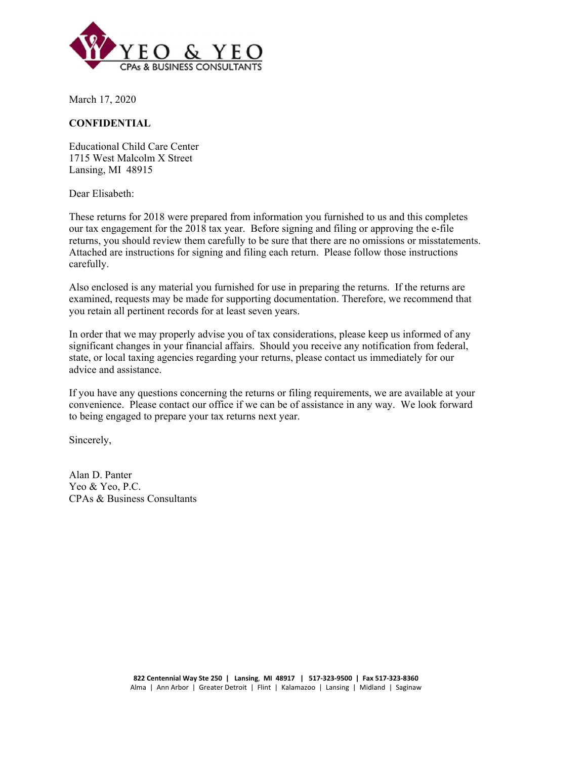

March 17, 2020

### **CONFIDENTIAL**

Educational Child Care Center 1715 West Malcolm X Street Lansing, MI 48915

Dear Elisabeth:

These returns for 2018 were prepared from information you furnished to us and this completes our tax engagement for the 2018 tax year. Before signing and filing or approving the e-file returns, you should review them carefully to be sure that there are no omissions or misstatements. Attached are instructions for signing and filing each return. Please follow those instructions carefully.

Also enclosed is any material you furnished for use in preparing the returns. If the returns are examined, requests may be made for supporting documentation. Therefore, we recommend that you retain all pertinent records for at least seven years.

In order that we may properly advise you of tax considerations, please keep us informed of any significant changes in your financial affairs. Should you receive any notification from federal, state, or local taxing agencies regarding your returns, please contact us immediately for our advice and assistance.

If you have any questions concerning the returns or filing requirements, we are available at your convenience. Please contact our office if we can be of assistance in any way. We look forward to being engaged to prepare your tax returns next year.

Sincerely,

Alan D. Panter Yeo & Yeo, P.C. CPAs & Business Consultants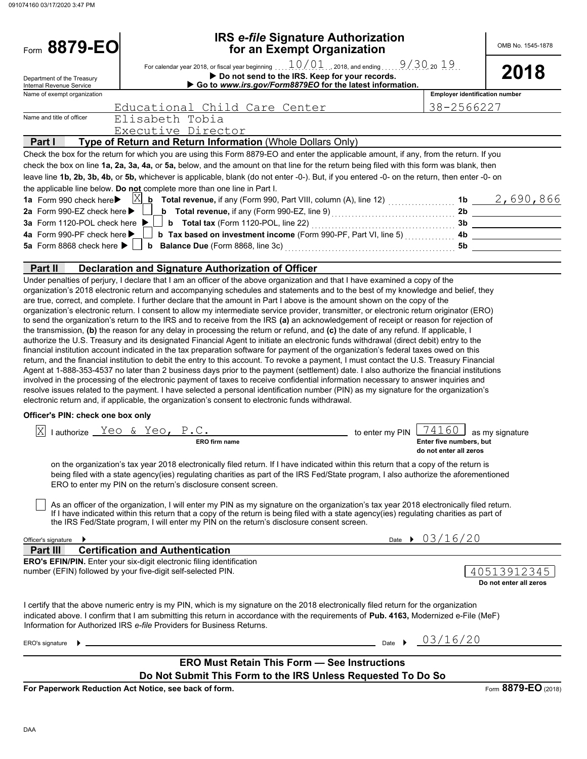| Form 8879-EO                                                    | <b>IRS e-file Signature Authorization</b><br>for an Exempt Organization                                                                                                                                                                                                                                                                                                                                                                                                                                                                                                                                                                                                                                                                                                                                                                                                                                                                                                                                                                                                                                                                                                                                                                                                                                                                                                                                                                                                                                                                                                                                                                                                                                                                                                                                                                                                                                                                                                                                                                                                                                                                                                                                                                                                                                  |                                                                          | OMB No. 1545-1878                                  |
|-----------------------------------------------------------------|----------------------------------------------------------------------------------------------------------------------------------------------------------------------------------------------------------------------------------------------------------------------------------------------------------------------------------------------------------------------------------------------------------------------------------------------------------------------------------------------------------------------------------------------------------------------------------------------------------------------------------------------------------------------------------------------------------------------------------------------------------------------------------------------------------------------------------------------------------------------------------------------------------------------------------------------------------------------------------------------------------------------------------------------------------------------------------------------------------------------------------------------------------------------------------------------------------------------------------------------------------------------------------------------------------------------------------------------------------------------------------------------------------------------------------------------------------------------------------------------------------------------------------------------------------------------------------------------------------------------------------------------------------------------------------------------------------------------------------------------------------------------------------------------------------------------------------------------------------------------------------------------------------------------------------------------------------------------------------------------------------------------------------------------------------------------------------------------------------------------------------------------------------------------------------------------------------------------------------------------------------------------------------------------------------|--------------------------------------------------------------------------|----------------------------------------------------|
| Department of the Treasury<br>Internal Revenue Service          | For calendar year 2018, or fiscal year beginning $10/01$ , 2018, and ending $9/30$ , 20 $19$<br>2018                                                                                                                                                                                                                                                                                                                                                                                                                                                                                                                                                                                                                                                                                                                                                                                                                                                                                                                                                                                                                                                                                                                                                                                                                                                                                                                                                                                                                                                                                                                                                                                                                                                                                                                                                                                                                                                                                                                                                                                                                                                                                                                                                                                                     |                                                                          |                                                    |
| Name of exempt organization                                     |                                                                                                                                                                                                                                                                                                                                                                                                                                                                                                                                                                                                                                                                                                                                                                                                                                                                                                                                                                                                                                                                                                                                                                                                                                                                                                                                                                                                                                                                                                                                                                                                                                                                                                                                                                                                                                                                                                                                                                                                                                                                                                                                                                                                                                                                                                          |                                                                          | <b>Employer identification number</b>              |
|                                                                 | Educational Child Care Center                                                                                                                                                                                                                                                                                                                                                                                                                                                                                                                                                                                                                                                                                                                                                                                                                                                                                                                                                                                                                                                                                                                                                                                                                                                                                                                                                                                                                                                                                                                                                                                                                                                                                                                                                                                                                                                                                                                                                                                                                                                                                                                                                                                                                                                                            |                                                                          | 38-2566227                                         |
| Name and title of officer                                       | Elisabeth Tobia                                                                                                                                                                                                                                                                                                                                                                                                                                                                                                                                                                                                                                                                                                                                                                                                                                                                                                                                                                                                                                                                                                                                                                                                                                                                                                                                                                                                                                                                                                                                                                                                                                                                                                                                                                                                                                                                                                                                                                                                                                                                                                                                                                                                                                                                                          |                                                                          |                                                    |
| Part I                                                          | Executive Director<br>Type of Return and Return Information (Whole Dollars Only)                                                                                                                                                                                                                                                                                                                                                                                                                                                                                                                                                                                                                                                                                                                                                                                                                                                                                                                                                                                                                                                                                                                                                                                                                                                                                                                                                                                                                                                                                                                                                                                                                                                                                                                                                                                                                                                                                                                                                                                                                                                                                                                                                                                                                         |                                                                          |                                                    |
|                                                                 | Check the box for the return for which you are using this Form 8879-EO and enter the applicable amount, if any, from the return. If you                                                                                                                                                                                                                                                                                                                                                                                                                                                                                                                                                                                                                                                                                                                                                                                                                                                                                                                                                                                                                                                                                                                                                                                                                                                                                                                                                                                                                                                                                                                                                                                                                                                                                                                                                                                                                                                                                                                                                                                                                                                                                                                                                                  |                                                                          |                                                    |
|                                                                 | check the box on line 1a, 2a, 3a, 4a, or 5a, below, and the amount on that line for the return being filed with this form was blank, then                                                                                                                                                                                                                                                                                                                                                                                                                                                                                                                                                                                                                                                                                                                                                                                                                                                                                                                                                                                                                                                                                                                                                                                                                                                                                                                                                                                                                                                                                                                                                                                                                                                                                                                                                                                                                                                                                                                                                                                                                                                                                                                                                                |                                                                          |                                                    |
|                                                                 | leave line 1b, 2b, 3b, 4b, or 5b, whichever is applicable, blank (do not enter -0-). But, if you entered -0- on the return, then enter -0- on                                                                                                                                                                                                                                                                                                                                                                                                                                                                                                                                                                                                                                                                                                                                                                                                                                                                                                                                                                                                                                                                                                                                                                                                                                                                                                                                                                                                                                                                                                                                                                                                                                                                                                                                                                                                                                                                                                                                                                                                                                                                                                                                                            |                                                                          |                                                    |
|                                                                 | the applicable line below. Do not complete more than one line in Part I.                                                                                                                                                                                                                                                                                                                                                                                                                                                                                                                                                                                                                                                                                                                                                                                                                                                                                                                                                                                                                                                                                                                                                                                                                                                                                                                                                                                                                                                                                                                                                                                                                                                                                                                                                                                                                                                                                                                                                                                                                                                                                                                                                                                                                                 |                                                                          |                                                    |
|                                                                 |                                                                                                                                                                                                                                                                                                                                                                                                                                                                                                                                                                                                                                                                                                                                                                                                                                                                                                                                                                                                                                                                                                                                                                                                                                                                                                                                                                                                                                                                                                                                                                                                                                                                                                                                                                                                                                                                                                                                                                                                                                                                                                                                                                                                                                                                                                          |                                                                          | 1b $2,690,866$                                     |
| 2a Form 990-EZ check here ▶                                     | 3a Form 1120-POL check here $\blacktriangleright$ <b>b</b> Total tax (Form 1120-POL, line 22) <i>mature 1120-POL</i>                                                                                                                                                                                                                                                                                                                                                                                                                                                                                                                                                                                                                                                                                                                                                                                                                                                                                                                                                                                                                                                                                                                                                                                                                                                                                                                                                                                                                                                                                                                                                                                                                                                                                                                                                                                                                                                                                                                                                                                                                                                                                                                                                                                     |                                                                          | 2b                                                 |
| 4a Form 990-PF check here ▶                                     |                                                                                                                                                                                                                                                                                                                                                                                                                                                                                                                                                                                                                                                                                                                                                                                                                                                                                                                                                                                                                                                                                                                                                                                                                                                                                                                                                                                                                                                                                                                                                                                                                                                                                                                                                                                                                                                                                                                                                                                                                                                                                                                                                                                                                                                                                                          |                                                                          | 3b                                                 |
|                                                                 |                                                                                                                                                                                                                                                                                                                                                                                                                                                                                                                                                                                                                                                                                                                                                                                                                                                                                                                                                                                                                                                                                                                                                                                                                                                                                                                                                                                                                                                                                                                                                                                                                                                                                                                                                                                                                                                                                                                                                                                                                                                                                                                                                                                                                                                                                                          |                                                                          |                                                    |
| Part II                                                         | <b>Declaration and Signature Authorization of Officer</b><br>Under penalties of perjury, I declare that I am an officer of the above organization and that I have examined a copy of the                                                                                                                                                                                                                                                                                                                                                                                                                                                                                                                                                                                                                                                                                                                                                                                                                                                                                                                                                                                                                                                                                                                                                                                                                                                                                                                                                                                                                                                                                                                                                                                                                                                                                                                                                                                                                                                                                                                                                                                                                                                                                                                 |                                                                          |                                                    |
| Officer's PIN: check one box only<br>ΙxΙ<br>Officer's signature | are true, correct, and complete. I further declare that the amount in Part I above is the amount shown on the copy of the<br>organization's electronic return. I consent to allow my intermediate service provider, transmitter, or electronic return originator (ERO)<br>to send the organization's return to the IRS and to receive from the IRS (a) an acknowledgement of receipt or reason for rejection of<br>the transmission, (b) the reason for any delay in processing the return or refund, and (c) the date of any refund. If applicable, I<br>authorize the U.S. Treasury and its designated Financial Agent to initiate an electronic funds withdrawal (direct debit) entry to the<br>financial institution account indicated in the tax preparation software for payment of the organization's federal taxes owed on this<br>return, and the financial institution to debit the entry to this account. To revoke a payment, I must contact the U.S. Treasury Financial<br>Agent at 1-888-353-4537 no later than 2 business days prior to the payment (settlement) date. I also authorize the financial institutions<br>involved in the processing of the electronic payment of taxes to receive confidential information necessary to answer inquiries and<br>resolve issues related to the payment. I have selected a personal identification number (PIN) as my signature for the organization's<br>electronic return and, if applicable, the organization's consent to electronic funds withdrawal.<br>lauthorize Yeo & Yeo, P.C.<br>ERO firm name<br>on the organization's tax year 2018 electronically filed return. If I have indicated within this return that a copy of the return is<br>being filed with a state agency(ies) regulating charities as part of the IRS Fed/State program, I also authorize the aforementioned<br>ERO to enter my PIN on the return's disclosure consent screen.<br>As an officer of the organization, I will enter my PIN as my signature on the organization's tax year 2018 electronically filed return.<br>If I have indicated within this return that a copy of the return is being filed with a state agency(ies) regulating charities as part of<br>the IRS Fed/State program, I will enter my PIN on the return's disclosure consent screen. | to enter my PIN<br>do not enter all zeros<br>Date $\rightarrow$ 03/16/20 | $74160$ as my signature<br>Enter five numbers, but |
| Part III                                                        | <b>Certification and Authentication</b>                                                                                                                                                                                                                                                                                                                                                                                                                                                                                                                                                                                                                                                                                                                                                                                                                                                                                                                                                                                                                                                                                                                                                                                                                                                                                                                                                                                                                                                                                                                                                                                                                                                                                                                                                                                                                                                                                                                                                                                                                                                                                                                                                                                                                                                                  |                                                                          |                                                    |
| number (EFIN) followed by your five-digit self-selected PIN.    | <b>ERO's EFIN/PIN.</b> Enter your six-digit electronic filing identification                                                                                                                                                                                                                                                                                                                                                                                                                                                                                                                                                                                                                                                                                                                                                                                                                                                                                                                                                                                                                                                                                                                                                                                                                                                                                                                                                                                                                                                                                                                                                                                                                                                                                                                                                                                                                                                                                                                                                                                                                                                                                                                                                                                                                             |                                                                          | 40513912345<br>Do not enter all zeros              |
|                                                                 | I certify that the above numeric entry is my PIN, which is my signature on the 2018 electronically filed return for the organization<br>indicated above. I confirm that I am submitting this return in accordance with the requirements of Pub. 4163, Modernized e-File (MeF)<br>Information for Authorized IRS e-file Providers for Business Returns.                                                                                                                                                                                                                                                                                                                                                                                                                                                                                                                                                                                                                                                                                                                                                                                                                                                                                                                                                                                                                                                                                                                                                                                                                                                                                                                                                                                                                                                                                                                                                                                                                                                                                                                                                                                                                                                                                                                                                   |                                                                          |                                                    |
| ERO's signature                                                 |                                                                                                                                                                                                                                                                                                                                                                                                                                                                                                                                                                                                                                                                                                                                                                                                                                                                                                                                                                                                                                                                                                                                                                                                                                                                                                                                                                                                                                                                                                                                                                                                                                                                                                                                                                                                                                                                                                                                                                                                                                                                                                                                                                                                                                                                                                          | Date $\rightarrow$ 03/16/20                                              |                                                    |
|                                                                 | <b>ERO Must Retain This Form - See Instructions</b><br>Do Not Submit This Form to the IRS Unless Requested To Do So                                                                                                                                                                                                                                                                                                                                                                                                                                                                                                                                                                                                                                                                                                                                                                                                                                                                                                                                                                                                                                                                                                                                                                                                                                                                                                                                                                                                                                                                                                                                                                                                                                                                                                                                                                                                                                                                                                                                                                                                                                                                                                                                                                                      |                                                                          |                                                    |

**For Paperwork Reduction Act Notice, see back of form.**

Form **8879-EO** (2018)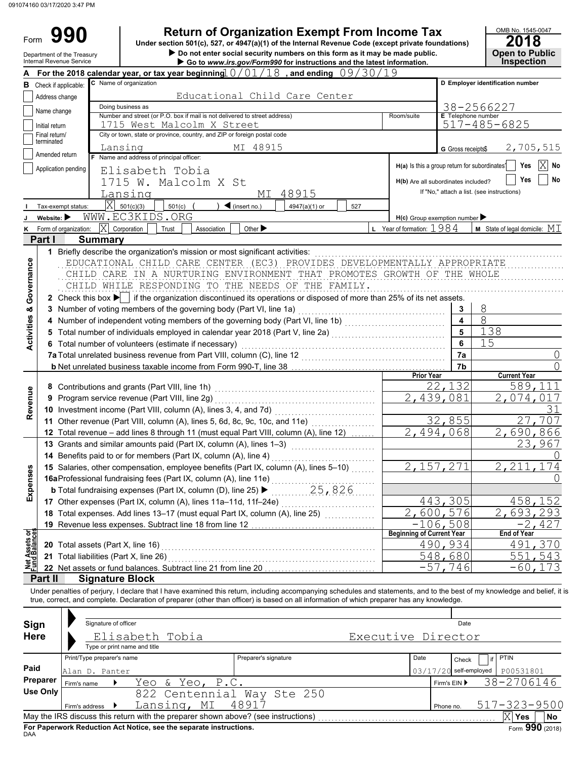Form 990

**• Do not enter social security numbers on this form as it may be made public. <b>Open to Public 990 a 2018 2018 2018 2018 2018 2018 2018 Dependicion of Organization Exempt From Income Tax 2018** 

|                                       | Department of the Treasury<br>Internal Revenue Service |                            |                                                                                          | $\blacktriangleright$ Do not enter social security numbers on this form as it may be made public.<br>Go to www.irs.gov/Form990 for instructions and the latest information.                                                                                                                                             |            |                                               |                           | <b>Open to Public</b><br><b>Inspection</b> |
|---------------------------------------|--------------------------------------------------------|----------------------------|------------------------------------------------------------------------------------------|-------------------------------------------------------------------------------------------------------------------------------------------------------------------------------------------------------------------------------------------------------------------------------------------------------------------------|------------|-----------------------------------------------|---------------------------|--------------------------------------------|
|                                       |                                                        |                            |                                                                                          | For the 2018 calendar year, or tax year beginning $0/01/18$ , and ending $09/30/19$                                                                                                                                                                                                                                     |            |                                               |                           |                                            |
| в                                     | Check if applicable:                                   |                            | C Name of organization                                                                   |                                                                                                                                                                                                                                                                                                                         |            |                                               |                           | D Employer identification number           |
|                                       | Address change                                         |                            |                                                                                          |                                                                                                                                                                                                                                                                                                                         |            |                                               |                           |                                            |
|                                       | Name change                                            | Doing business as          |                                                                                          |                                                                                                                                                                                                                                                                                                                         | 38-2566227 |                                               |                           |                                            |
|                                       |                                                        |                            | Number and street (or P.O. box if mail is not delivered to street address)               |                                                                                                                                                                                                                                                                                                                         |            | Room/suite                                    | <b>E</b> Telephone number |                                            |
|                                       | Initial return                                         |                            | 1715 West Malcolm X Street                                                               |                                                                                                                                                                                                                                                                                                                         |            |                                               |                           | $517 - 485 - 6825$                         |
|                                       | Final return/<br>terminated                            |                            | City or town, state or province, country, and ZIP or foreign postal code                 |                                                                                                                                                                                                                                                                                                                         |            |                                               |                           |                                            |
|                                       | Amended return                                         |                            | Lansing                                                                                  | MI 48915                                                                                                                                                                                                                                                                                                                |            |                                               | G Gross receipts\$        | 2,705,515                                  |
|                                       |                                                        |                            | F Name and address of principal officer:                                                 |                                                                                                                                                                                                                                                                                                                         |            | H(a) Is this a group return for subordinates? |                           | Yes<br>No                                  |
|                                       | Application pending                                    |                            | Elisabeth Tobia                                                                          |                                                                                                                                                                                                                                                                                                                         |            |                                               |                           |                                            |
|                                       |                                                        |                            | 1715 W. Malcolm X St                                                                     |                                                                                                                                                                                                                                                                                                                         |            | H(b) Are all subordinates included?           |                           | Yes<br>No                                  |
|                                       |                                                        |                            | Lansing                                                                                  | MI 48915                                                                                                                                                                                                                                                                                                                |            |                                               |                           | If "No," attach a list. (see instructions) |
|                                       | Tax-exempt status:                                     |                            | $ X $ 501(c)(3)<br>$501(c)$ (                                                            | $\triangleleft$ (insert no.)<br>4947(a)(1) or<br>527                                                                                                                                                                                                                                                                    |            |                                               |                           |                                            |
|                                       | Website:                                               |                            | WWW.EC3KIDS.ORG                                                                          |                                                                                                                                                                                                                                                                                                                         |            | $H(c)$ Group exemption number                 |                           |                                            |
|                                       | Form of organization:                                  |                            | $ X $ Corporation<br>Association<br>Trust                                                | Other $\blacktriangleright$                                                                                                                                                                                                                                                                                             |            | <b>L</b> Year of formation: $1984$            |                           | <b>M</b> State of legal domicile: $MI$     |
|                                       | Part I                                                 | <b>Summary</b>             |                                                                                          |                                                                                                                                                                                                                                                                                                                         |            |                                               |                           |                                            |
|                                       |                                                        |                            | 1 Briefly describe the organization's mission or most significant activities:            |                                                                                                                                                                                                                                                                                                                         |            |                                               |                           |                                            |
|                                       |                                                        |                            |                                                                                          | EDUCATIONAL CHILD CARE CENTER (EC3) PROVIDES DEVELOPMENTALLY APPROPRIATE                                                                                                                                                                                                                                                |            |                                               |                           |                                            |
|                                       |                                                        |                            |                                                                                          | CHILD CARE IN A NURTURING ENVIRONMENT THAT PROMOTES GROWTH OF THE WHOLE                                                                                                                                                                                                                                                 |            |                                               |                           |                                            |
|                                       |                                                        |                            |                                                                                          | CHILD WHILE RESPONDING TO THE NEEDS OF THE FAMILY.                                                                                                                                                                                                                                                                      |            |                                               |                           |                                            |
| Governance                            |                                                        |                            |                                                                                          | 2 Check this box $\blacktriangleright$ if the organization discontinued its operations or disposed of more than 25% of its net assets.                                                                                                                                                                                  |            |                                               |                           |                                            |
|                                       |                                                        |                            | 3 Number of voting members of the governing body (Part VI, line 1a)                      |                                                                                                                                                                                                                                                                                                                         |            |                                               | 3                         | 8                                          |
|                                       |                                                        |                            |                                                                                          | 4 Number of independent voting members of the governing body (Part VI, line 1b) [100] [100] [100] [100] [100] [100] [100] [100] [100] [100] [100] [100] [100] [100] [100] [100] [100] [100] [100] [100] [100] [100] [100] [100                                                                                          |            |                                               | $\overline{\mathbf{4}}$   | 8                                          |
|                                       |                                                        |                            |                                                                                          | 5 Total number of individuals employed in calendar year 2018 (Part V, line 2a) [100] (100] [100] [100] [100] [100] [100] [100] [100] [100] [100] [100] [100] [100] [100] [100] [100] [100] [100] [100] [100] [100] [100] [100]                                                                                          |            |                                               | 5                         | 138                                        |
| <b>Activities &amp;</b>               |                                                        |                            | 6 Total number of volunteers (estimate if necessary)                                     |                                                                                                                                                                                                                                                                                                                         |            |                                               | 6                         | 15                                         |
|                                       |                                                        |                            |                                                                                          |                                                                                                                                                                                                                                                                                                                         |            |                                               | 7a                        |                                            |
|                                       |                                                        |                            |                                                                                          |                                                                                                                                                                                                                                                                                                                         | O          |                                               |                           |                                            |
|                                       |                                                        |                            |                                                                                          | b Net unrelated business taxable income from Form 990-T, line 38 [10] [10] Net unrelated business taxable income from Form 990-T, line 38                                                                                                                                                                               |            | <b>Prior Year</b>                             | 7b                        | <b>Current Year</b>                        |
|                                       |                                                        |                            | 8 Contributions and grants (Part VIII, line 1h)                                          |                                                                                                                                                                                                                                                                                                                         |            |                                               | 22,132                    | 589,111                                    |
| Revenue                               |                                                        |                            | 9 Program service revenue (Part VIII, line 2g)                                           |                                                                                                                                                                                                                                                                                                                         |            | 2,439,081                                     |                           | 2,074,017                                  |
|                                       |                                                        |                            |                                                                                          |                                                                                                                                                                                                                                                                                                                         |            |                                               |                           | 31                                         |
|                                       |                                                        |                            | 10 Investment income (Part VIII, column (A), lines 3, 4, and 7d)                         |                                                                                                                                                                                                                                                                                                                         |            |                                               | 27,707                    |                                            |
|                                       |                                                        |                            | 11 Other revenue (Part VIII, column (A), lines 5, 6d, 8c, 9c, 10c, and 11e)              |                                                                                                                                                                                                                                                                                                                         |            |                                               | 32,855                    |                                            |
|                                       |                                                        |                            | 12 Total revenue - add lines 8 through 11 (must equal Part VIII, column (A), line 12)    |                                                                                                                                                                                                                                                                                                                         |            |                                               | 2,494,068                 | 2,690,866                                  |
|                                       |                                                        |                            | 13 Grants and similar amounts paid (Part IX, column (A), lines 1-3)                      | .                                                                                                                                                                                                                                                                                                                       |            |                                               |                           | 23,967                                     |
|                                       |                                                        |                            | 14 Benefits paid to or for members (Part IX, column (A), line 4)                         |                                                                                                                                                                                                                                                                                                                         |            |                                               |                           |                                            |
| nses                                  |                                                        |                            |                                                                                          | 15 Salaries, other compensation, employee benefits (Part IX, column (A), lines 5-10)                                                                                                                                                                                                                                    |            |                                               | 2,157,271                 | 2, 211, 174                                |
|                                       |                                                        |                            | 16aProfessional fundraising fees (Part IX, column (A), line 11e)                         |                                                                                                                                                                                                                                                                                                                         |            |                                               | $\left( \right)$          |                                            |
| Exper                                 |                                                        |                            | <b>b</b> Total fundraising expenses (Part IX, column (D), line 25) $\blacktriangleright$ |                                                                                                                                                                                                                                                                                                                         |            |                                               |                           |                                            |
|                                       |                                                        |                            | 17 Other expenses (Part IX, column (A), lines 11a-11d, 11f-24e)                          |                                                                                                                                                                                                                                                                                                                         |            |                                               | 443,305                   | 458,152                                    |
|                                       |                                                        |                            | 18 Total expenses. Add lines 13-17 (must equal Part IX, column (A), line 25)             |                                                                                                                                                                                                                                                                                                                         |            |                                               | 2,600,576                 | <u>2,693,293</u>                           |
|                                       |                                                        |                            | 19 Revenue less expenses. Subtract line 18 from line 12                                  |                                                                                                                                                                                                                                                                                                                         |            |                                               | $-106,508$                | $-2,427$                                   |
| <b>Net Assets or</b><br>Fund Balances |                                                        |                            |                                                                                          |                                                                                                                                                                                                                                                                                                                         |            | <b>Beginning of Current Year</b>              |                           | <b>End of Year</b>                         |
|                                       |                                                        |                            |                                                                                          | 20 Total assets (Part X, line 16) Material Contract Contract Contract Contract Contract Contract Contract Contract Contract Contract Contract Contract Contract Contract Contract Contract Contract Contract Contract Contract                                                                                          |            |                                               | 490,934                   | 491,370                                    |
|                                       |                                                        |                            | 21 Total liabilities (Part X, line 26)                                                   |                                                                                                                                                                                                                                                                                                                         |            |                                               | 548,680                   | 551,543                                    |
|                                       |                                                        |                            | 22 Net assets or fund balances. Subtract line 21 from line 20                            |                                                                                                                                                                                                                                                                                                                         |            |                                               | $-57,746$                 | $-60, 173$                                 |
|                                       | Part II                                                | <b>Signature Block</b>     |                                                                                          |                                                                                                                                                                                                                                                                                                                         |            |                                               |                           |                                            |
|                                       |                                                        |                            |                                                                                          | Under penalties of perjury, I declare that I have examined this return, including accompanying schedules and statements, and to the best of my knowledge and belief, it i<br>true, correct, and complete. Declaration of preparer (other than officer) is based on all information of which preparer has any knowledge. |            |                                               |                           |                                            |
|                                       |                                                        |                            |                                                                                          |                                                                                                                                                                                                                                                                                                                         |            |                                               |                           |                                            |
|                                       |                                                        | Signature of officer       |                                                                                          |                                                                                                                                                                                                                                                                                                                         |            |                                               | Date                      |                                            |
|                                       | Sign                                                   |                            |                                                                                          |                                                                                                                                                                                                                                                                                                                         |            |                                               |                           |                                            |
|                                       | <b>Here</b>                                            |                            | Elisabeth Tobia                                                                          |                                                                                                                                                                                                                                                                                                                         |            | Executive Director                            |                           |                                            |
|                                       |                                                        |                            | Type or print name and title                                                             |                                                                                                                                                                                                                                                                                                                         |            |                                               |                           |                                            |
|                                       |                                                        | Print/Type preparer's name |                                                                                          | Preparer's signature                                                                                                                                                                                                                                                                                                    |            | Date                                          | Check                     | <b>PTIN</b><br>if                          |
| Paid                                  |                                                        | Alan D. Panter             |                                                                                          |                                                                                                                                                                                                                                                                                                                         |            |                                               | $03/17/20$ self-employed  | P00531801                                  |
|                                       | Preparer                                               | Firm's name                | & Yeo, P.C.<br>Yeo                                                                       |                                                                                                                                                                                                                                                                                                                         |            |                                               | Firm's EIN ▶              | 38-2706146                                 |
|                                       | <b>Use Only</b>                                        |                            | 822 Centennial Way Ste 250                                                               |                                                                                                                                                                                                                                                                                                                         |            |                                               |                           |                                            |
|                                       |                                                        | Firm's address             | Lansing, MI                                                                              | 48917                                                                                                                                                                                                                                                                                                                   |            |                                               | Phone no.                 | $517 - 323 - 9500$                         |
|                                       |                                                        |                            |                                                                                          |                                                                                                                                                                                                                                                                                                                         |            |                                               |                           | $ X $ Yes<br>No                            |

| Sign                                                                                         | Signature of officer                                                                                        |                            | Date                                  |  |  |  |  |  |  |  |
|----------------------------------------------------------------------------------------------|-------------------------------------------------------------------------------------------------------------|----------------------------|---------------------------------------|--|--|--|--|--|--|--|
| <b>Here</b>                                                                                  | Elisabeth Tobia                                                                                             |                            | Executive Director                    |  |  |  |  |  |  |  |
|                                                                                              | Type or print name and title                                                                                |                            |                                       |  |  |  |  |  |  |  |
|                                                                                              | Print/Type preparer's name                                                                                  | Preparer's signature       | <b>PTIN</b><br>Date<br>if<br>Check    |  |  |  |  |  |  |  |
| Paid                                                                                         | Alan D. Panter                                                                                              |                            | $03/17/20$ self-employed<br>P00531801 |  |  |  |  |  |  |  |
| Preparer                                                                                     | Yeo & Yeo, P.C.<br>Firm's name                                                                              |                            | 38-2706146<br>Firm's $EIN$            |  |  |  |  |  |  |  |
| Use Only                                                                                     |                                                                                                             | 822 Centennial Way Ste 250 |                                       |  |  |  |  |  |  |  |
|                                                                                              | Lansing, MI<br>Firm's address l                                                                             | 48917                      | $517 - 323 - 9500$<br>Phone no.       |  |  |  |  |  |  |  |
|                                                                                              | May the IRS discuss this return with the preparer shown above? (see instructions)<br>ΙX<br>No<br><b>Yes</b> |                            |                                       |  |  |  |  |  |  |  |
| Form 990 (2018)<br>For Paperwork Reduction Act Notice, see the separate instructions.<br>DAA |                                                                                                             |                            |                                       |  |  |  |  |  |  |  |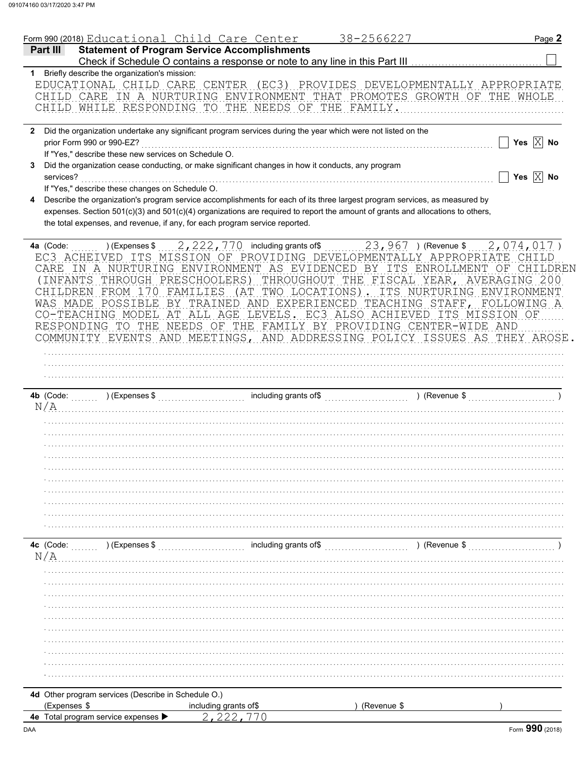|           |                                                                                   | Form 990 (2018) Educational Child Care Center                                                      | 38-2566227                                                                                                                                                                                                                                                   | Page 2                                                                                                                                                |
|-----------|-----------------------------------------------------------------------------------|----------------------------------------------------------------------------------------------------|--------------------------------------------------------------------------------------------------------------------------------------------------------------------------------------------------------------------------------------------------------------|-------------------------------------------------------------------------------------------------------------------------------------------------------|
| Part III  |                                                                                   | <b>Statement of Program Service Accomplishments</b>                                                |                                                                                                                                                                                                                                                              |                                                                                                                                                       |
|           | 1 Briefly describe the organization's mission:                                    |                                                                                                    | Check if Schedule O contains a response or note to any line in this Part III [11] [11] [11] [11] [11] Check if Schedule O contains a response or note to any line in this Part III                                                                           |                                                                                                                                                       |
|           |                                                                                   | CHILD WHILE RESPONDING TO THE NEEDS OF THE FAMILY.                                                 |                                                                                                                                                                                                                                                              | EDUCATIONAL CHILD CARE CENTER (EC3) PROVIDES DEVELOPMENTALLY APPROPRIATE<br>CHILD CARE IN A NURTURING ENVIRONMENT THAT PROMOTES GROWTH OF THE WHOLE   |
|           |                                                                                   |                                                                                                    | 2 Did the organization undertake any significant program services during the year which were not listed on the                                                                                                                                               |                                                                                                                                                       |
|           | prior Form 990 or 990-EZ?<br>If "Yes," describe these new services on Schedule O. |                                                                                                    |                                                                                                                                                                                                                                                              | Yes $\boxed{\times}$ No                                                                                                                               |
| 3.        |                                                                                   | Did the organization cease conducting, or make significant changes in how it conducts, any program |                                                                                                                                                                                                                                                              |                                                                                                                                                       |
|           | services?                                                                         |                                                                                                    |                                                                                                                                                                                                                                                              | Yes $\boxed{\times}$ No                                                                                                                               |
|           | If "Yes," describe these changes on Schedule O.                                   |                                                                                                    |                                                                                                                                                                                                                                                              |                                                                                                                                                       |
| 4         |                                                                                   |                                                                                                    | Describe the organization's program service accomplishments for each of its three largest program services, as measured by<br>expenses. Section 501(c)(3) and 501(c)(4) organizations are required to report the amount of grants and allocations to others, |                                                                                                                                                       |
|           |                                                                                   | the total expenses, and revenue, if any, for each program service reported.                        |                                                                                                                                                                                                                                                              |                                                                                                                                                       |
|           |                                                                                   |                                                                                                    |                                                                                                                                                                                                                                                              |                                                                                                                                                       |
| 4a (Code: |                                                                                   |                                                                                                    |                                                                                                                                                                                                                                                              | ) (Expenses \$ 2, 222, 770 including grants of \$ 2, 967 ) (Revenue \$ 2, 074, 017)                                                                   |
|           |                                                                                   |                                                                                                    |                                                                                                                                                                                                                                                              | EC3 ACHEIVED ITS MISSION OF PROVIDING DEVELOPMENTALLY APPROPRIATE CHILD<br>CARE IN A NURTURING ENVIRONMENT AS EVIDENCED BY ITS ENROLLMENT OF CHILDREN |
|           |                                                                                   |                                                                                                    |                                                                                                                                                                                                                                                              | (INFANTS THROUGH PRESCHOOLERS) THROUGHOUT THE FISCAL YEAR, AVERAGING 200                                                                              |
|           |                                                                                   |                                                                                                    |                                                                                                                                                                                                                                                              | CHILDREN FROM 170 FAMILIES (AT TWO LOCATIONS). ITS NURTURING ENVIRONMENT                                                                              |
|           |                                                                                   |                                                                                                    |                                                                                                                                                                                                                                                              | WAS MADE POSSIBLE BY TRAINED AND EXPERIENCED TEACHING STAFF, FOLLOWING A                                                                              |
|           |                                                                                   |                                                                                                    | CO-TEACHING MODEL AT ALL AGE LEVELS. EC3 ALSO ACHIEVED ITS MISSION OF<br>RESPONDING TO THE NEEDS OF THE FAMILY BY PROVIDING CENTER-WIDE AND                                                                                                                  |                                                                                                                                                       |
|           |                                                                                   |                                                                                                    |                                                                                                                                                                                                                                                              | COMMUNITY EVENTS AND MEETINGS, AND ADDRESSING POLICY ISSUES AS THEY AROSE.                                                                            |
|           |                                                                                   |                                                                                                    |                                                                                                                                                                                                                                                              |                                                                                                                                                       |
|           |                                                                                   |                                                                                                    |                                                                                                                                                                                                                                                              |                                                                                                                                                       |
|           |                                                                                   |                                                                                                    |                                                                                                                                                                                                                                                              |                                                                                                                                                       |
|           | 4b (Code:                                                                         |                                                                                                    |                                                                                                                                                                                                                                                              |                                                                                                                                                       |
| N/A       |                                                                                   |                                                                                                    |                                                                                                                                                                                                                                                              |                                                                                                                                                       |
|           |                                                                                   |                                                                                                    |                                                                                                                                                                                                                                                              |                                                                                                                                                       |
|           |                                                                                   |                                                                                                    |                                                                                                                                                                                                                                                              |                                                                                                                                                       |
|           |                                                                                   |                                                                                                    |                                                                                                                                                                                                                                                              |                                                                                                                                                       |
|           |                                                                                   |                                                                                                    |                                                                                                                                                                                                                                                              |                                                                                                                                                       |
|           |                                                                                   |                                                                                                    |                                                                                                                                                                                                                                                              |                                                                                                                                                       |
|           |                                                                                   |                                                                                                    |                                                                                                                                                                                                                                                              |                                                                                                                                                       |
|           |                                                                                   |                                                                                                    |                                                                                                                                                                                                                                                              |                                                                                                                                                       |
|           |                                                                                   |                                                                                                    |                                                                                                                                                                                                                                                              |                                                                                                                                                       |
| 4c (Code: | ) (Expenses \$                                                                    | including grants of\$                                                                              |                                                                                                                                                                                                                                                              | ) (Revenue \$                                                                                                                                         |
| N/A       |                                                                                   |                                                                                                    |                                                                                                                                                                                                                                                              |                                                                                                                                                       |
|           |                                                                                   |                                                                                                    |                                                                                                                                                                                                                                                              |                                                                                                                                                       |
|           |                                                                                   |                                                                                                    |                                                                                                                                                                                                                                                              |                                                                                                                                                       |
|           |                                                                                   |                                                                                                    |                                                                                                                                                                                                                                                              |                                                                                                                                                       |
|           |                                                                                   |                                                                                                    |                                                                                                                                                                                                                                                              |                                                                                                                                                       |
|           |                                                                                   |                                                                                                    |                                                                                                                                                                                                                                                              |                                                                                                                                                       |
|           |                                                                                   |                                                                                                    |                                                                                                                                                                                                                                                              |                                                                                                                                                       |
|           |                                                                                   |                                                                                                    |                                                                                                                                                                                                                                                              |                                                                                                                                                       |
|           |                                                                                   |                                                                                                    |                                                                                                                                                                                                                                                              |                                                                                                                                                       |
|           |                                                                                   |                                                                                                    |                                                                                                                                                                                                                                                              |                                                                                                                                                       |
|           | 4d Other program services (Describe in Schedule O.)                               |                                                                                                    |                                                                                                                                                                                                                                                              |                                                                                                                                                       |
|           | (Expenses \$<br>4e Total program service expenses                                 | including grants of\$                                                                              | (Revenue \$                                                                                                                                                                                                                                                  |                                                                                                                                                       |
|           |                                                                                   |                                                                                                    |                                                                                                                                                                                                                                                              |                                                                                                                                                       |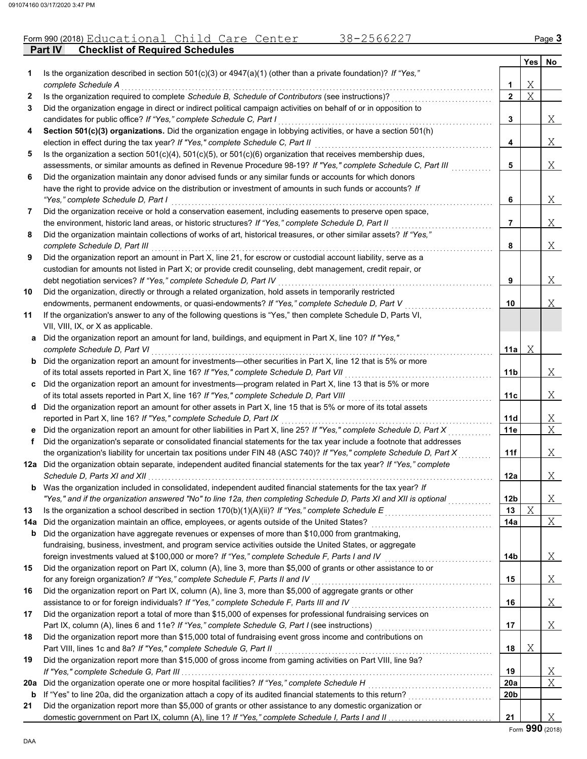#### Form 990 (2018) Educational Child Care Center 38-2566227 Page 3

**Part IV Checklist of Required Schedules**

| 1.  | Is the organization described in section $501(c)(3)$ or $4947(a)(1)$ (other than a private foundation)? If "Yes,"                                                                                                                                                          |                 | <b>Yes</b> | No             |
|-----|----------------------------------------------------------------------------------------------------------------------------------------------------------------------------------------------------------------------------------------------------------------------------|-----------------|------------|----------------|
|     | complete Schedule A                                                                                                                                                                                                                                                        | 1               | Χ          |                |
| 2   | Is the organization required to complete Schedule B, Schedule of Contributors (see instructions)?                                                                                                                                                                          | $\overline{2}$  | Χ          |                |
| 3   | Did the organization engage in direct or indirect political campaign activities on behalf of or in opposition to<br>candidates for public office? If "Yes," complete Schedule C, Part I                                                                                    | 3               |            | Χ              |
| 4   | Section 501(c)(3) organizations. Did the organization engage in lobbying activities, or have a section 501(h)                                                                                                                                                              |                 |            |                |
|     | election in effect during the tax year? If "Yes," complete Schedule C, Part II                                                                                                                                                                                             | 4               |            | Χ              |
| 5   | Is the organization a section $501(c)(4)$ , $501(c)(5)$ , or $501(c)(6)$ organization that receives membership dues,<br>assessments, or similar amounts as defined in Revenue Procedure 98-19? If "Yes," complete Schedule C, Part III                                     | 5               |            | Χ              |
| 6   | Did the organization maintain any donor advised funds or any similar funds or accounts for which donors                                                                                                                                                                    |                 |            |                |
|     | have the right to provide advice on the distribution or investment of amounts in such funds or accounts? If                                                                                                                                                                |                 |            |                |
|     | "Yes," complete Schedule D, Part I<br><u> 1990 - Johann Stoff, markatalar menjadi pengaran sebagai pengaran sebagai pengaran sebagai pengaran sebagai pengaran sebagai pengaran sebagai pengaran sebagai pengaran sebagai pengaran sebagai pengaran sebagai pengaran s</u> | 6               |            | X              |
| 7   | Did the organization receive or hold a conservation easement, including easements to preserve open space,                                                                                                                                                                  |                 |            |                |
|     | the environment, historic land areas, or historic structures? If "Yes," complete Schedule D, Part II                                                                                                                                                                       | 7               |            | Χ              |
| 8   | Did the organization maintain collections of works of art, historical treasures, or other similar assets? If "Yes,"<br>complete Schedule D, Part III                                                                                                                       | 8               |            | Χ              |
| 9   | Did the organization report an amount in Part X, line 21, for escrow or custodial account liability, serve as a                                                                                                                                                            |                 |            |                |
|     | custodian for amounts not listed in Part X; or provide credit counseling, debt management, credit repair, or<br>debt negotiation services? If "Yes," complete Schedule D, Part IV                                                                                          | 9               |            | Χ              |
| 10  | Did the organization, directly or through a related organization, hold assets in temporarily restricted                                                                                                                                                                    |                 |            |                |
|     | endowments, permanent endowments, or quasi-endowments? If "Yes," complete Schedule D, Part V                                                                                                                                                                               | 10              |            | Χ              |
| 11  | If the organization's answer to any of the following questions is "Yes," then complete Schedule D, Parts VI,                                                                                                                                                               |                 |            |                |
|     | VII, VIII, IX, or X as applicable.                                                                                                                                                                                                                                         |                 |            |                |
| a   | Did the organization report an amount for land, buildings, and equipment in Part X, line 10? If "Yes,"<br>complete Schedule D, Part VI                                                                                                                                     | 11a             | Χ          |                |
|     | <b>b</b> Did the organization report an amount for investments—other securities in Part X, line 12 that is 5% or more                                                                                                                                                      |                 |            |                |
|     | of its total assets reported in Part X, line 16? If "Yes," complete Schedule D, Part VII                                                                                                                                                                                   | 11b             |            | Χ              |
| C.  | Did the organization report an amount for investments—program related in Part X, line 13 that is 5% or more                                                                                                                                                                |                 |            |                |
|     | of its total assets reported in Part X, line 16? If "Yes," complete Schedule D, Part VIII<br>.                                                                                                                                                                             | 11c             |            | Χ              |
| d   | Did the organization report an amount for other assets in Part X, line 15 that is 5% or more of its total assets                                                                                                                                                           |                 |            |                |
|     | reported in Part X, line 16? If "Yes," complete Schedule D, Part IX                                                                                                                                                                                                        | 11d             |            | <u>X</u>       |
| е   | Did the organization report an amount for other liabilities in Part X, line 25? If "Yes," complete Schedule D, Part X                                                                                                                                                      | 11e             |            | $\overline{X}$ |
| f   | Did the organization's separate or consolidated financial statements for the tax year include a footnote that addresses                                                                                                                                                    |                 |            |                |
|     | the organization's liability for uncertain tax positions under FIN 48 (ASC 740)? If "Yes," complete Schedule D, Part X                                                                                                                                                     | 11f             |            | Χ              |
|     | 12a Did the organization obtain separate, independent audited financial statements for the tax year? If "Yes," complete                                                                                                                                                    | 12a             |            | Χ              |
|     | <b>b</b> Was the organization included in consolidated, independent audited financial statements for the tax year? If                                                                                                                                                      |                 |            |                |
|     | "Yes," and if the organization answered "No" to line 12a, then completing Schedule D, Parts XI and XII is optional                                                                                                                                                         | 12 <sub>b</sub> |            | Χ              |
| 13  | Is the organization a school described in section $170(b)(1)(A)(ii)?$ If "Yes," complete Schedule E                                                                                                                                                                        | 13              | Χ          |                |
| 14a | Did the organization maintain an office, employees, or agents outside of the United States?                                                                                                                                                                                | 14a             |            | Χ              |
| b   | Did the organization have aggregate revenues or expenses of more than \$10,000 from grantmaking,<br>fundraising, business, investment, and program service activities outside the United States, or aggregate                                                              |                 |            |                |
|     |                                                                                                                                                                                                                                                                            |                 |            |                |
| 15  | foreign investments valued at \$100,000 or more? If "Yes," complete Schedule F, Parts I and IV<br>Did the organization report on Part IX, column (A), line 3, more than \$5,000 of grants or other assistance to or                                                        | 14b             |            | Χ              |
|     | for any foreign organization? If "Yes," complete Schedule F, Parts II and IV                                                                                                                                                                                               | 15              |            | Χ              |
| 16  | Did the organization report on Part IX, column (A), line 3, more than \$5,000 of aggregate grants or other                                                                                                                                                                 |                 |            |                |
|     | assistance to or for foreign individuals? If "Yes," complete Schedule F, Parts III and IV                                                                                                                                                                                  | 16              |            | Χ              |
| 17  | Did the organization report a total of more than \$15,000 of expenses for professional fundraising services on                                                                                                                                                             |                 |            |                |
|     | Part IX, column (A), lines 6 and 11e? If "Yes," complete Schedule G, Part I (see instructions)                                                                                                                                                                             | 17              |            | Χ              |
| 18  | Did the organization report more than \$15,000 total of fundraising event gross income and contributions on                                                                                                                                                                |                 |            |                |
|     | Part VIII, lines 1c and 8a? If "Yes," complete Schedule G, Part II                                                                                                                                                                                                         | 18              | Χ          |                |
| 19  | Did the organization report more than \$15,000 of gross income from gaming activities on Part VIII, line 9a?                                                                                                                                                               |                 |            |                |
|     | If "Yes," complete Schedule G, Part III                                                                                                                                                                                                                                    | 19              |            | X              |
| 20a | Did the organization operate one or more hospital facilities? If "Yes," complete Schedule H                                                                                                                                                                                | 20a             |            | Χ              |
| b   | If "Yes" to line 20a, did the organization attach a copy of its audited financial statements to this return?                                                                                                                                                               | 20b             |            |                |
| 21  | Did the organization report more than \$5,000 of grants or other assistance to any domestic organization or                                                                                                                                                                |                 |            |                |
|     |                                                                                                                                                                                                                                                                            | 21              |            | Χ              |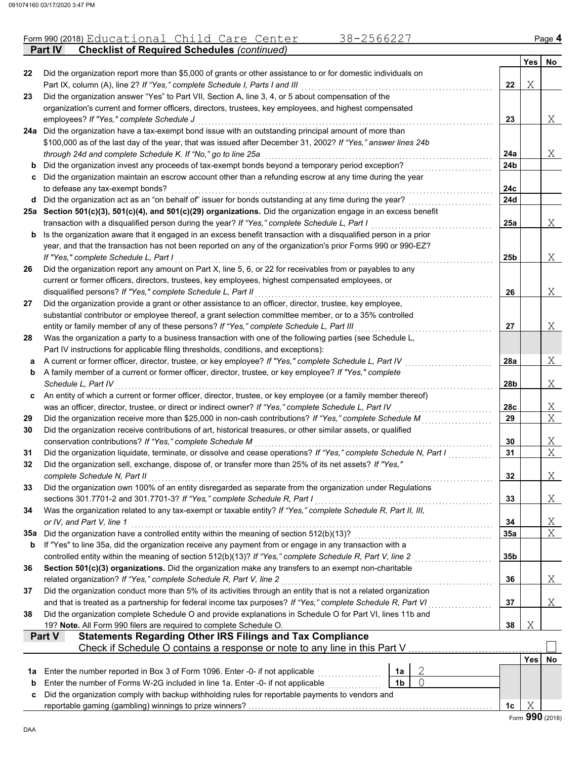|     | 38-2566227<br>Form 990 (2018) Educational Child Care Center                                                                                                                                                                   |     |            | Page 4         |  |  |  |
|-----|-------------------------------------------------------------------------------------------------------------------------------------------------------------------------------------------------------------------------------|-----|------------|----------------|--|--|--|
|     | <b>Checklist of Required Schedules (continued)</b><br><b>Part IV</b>                                                                                                                                                          |     |            |                |  |  |  |
|     |                                                                                                                                                                                                                               |     | <b>Yes</b> | No             |  |  |  |
| 22  | Did the organization report more than \$5,000 of grants or other assistance to or for domestic individuals on<br>Part IX, column (A), line 2? If "Yes," complete Schedule I, Parts I and III                                  | 22  | Χ          |                |  |  |  |
| 23  | Did the organization answer "Yes" to Part VII, Section A, line 3, 4, or 5 about compensation of the                                                                                                                           |     |            |                |  |  |  |
|     | organization's current and former officers, directors, trustees, key employees, and highest compensated                                                                                                                       |     |            |                |  |  |  |
|     | employees? If "Yes," complete Schedule J                                                                                                                                                                                      | 23  |            | Χ              |  |  |  |
|     | 24a Did the organization have a tax-exempt bond issue with an outstanding principal amount of more than                                                                                                                       |     |            |                |  |  |  |
|     | \$100,000 as of the last day of the year, that was issued after December 31, 2002? If "Yes," answer lines 24b                                                                                                                 |     |            |                |  |  |  |
|     | through 24d and complete Schedule K. If "No," go to line 25a                                                                                                                                                                  | 24a |            | Χ              |  |  |  |
| b   | Did the organization invest any proceeds of tax-exempt bonds beyond a temporary period exception?                                                                                                                             | 24b |            |                |  |  |  |
| c   | Did the organization maintain an escrow account other than a refunding escrow at any time during the year                                                                                                                     |     |            |                |  |  |  |
|     | to defease any tax-exempt bonds?                                                                                                                                                                                              | 24c |            |                |  |  |  |
| d   | Did the organization act as an "on behalf of" issuer for bonds outstanding at any time during the year?<br>25a Section 501(c)(3), 501(c)(4), and 501(c)(29) organizations. Did the organization engage in an excess benefit   | 24d |            |                |  |  |  |
|     | transaction with a disqualified person during the year? If "Yes," complete Schedule L, Part I                                                                                                                                 | 25a |            | Χ              |  |  |  |
| b   | Is the organization aware that it engaged in an excess benefit transaction with a disqualified person in a prior                                                                                                              |     |            |                |  |  |  |
|     | year, and that the transaction has not been reported on any of the organization's prior Forms 990 or 990-EZ?                                                                                                                  |     |            |                |  |  |  |
|     | If "Yes," complete Schedule L, Part I                                                                                                                                                                                         | 25b |            | Χ              |  |  |  |
| 26  | Did the organization report any amount on Part X, line 5, 6, or 22 for receivables from or payables to any                                                                                                                    |     |            |                |  |  |  |
|     | current or former officers, directors, trustees, key employees, highest compensated employees, or                                                                                                                             |     |            |                |  |  |  |
|     | disqualified persons? If "Yes," complete Schedule L, Part II                                                                                                                                                                  | 26  |            | Χ              |  |  |  |
| 27  | Did the organization provide a grant or other assistance to an officer, director, trustee, key employee,                                                                                                                      |     |            |                |  |  |  |
|     | substantial contributor or employee thereof, a grant selection committee member, or to a 35% controlled                                                                                                                       |     |            |                |  |  |  |
|     | entity or family member of any of these persons? If "Yes," complete Schedule L, Part III<br>Was the organization a party to a business transaction with one of the following parties (see Schedule L,                         | 27  |            | Χ              |  |  |  |
| 28  | Part IV instructions for applicable filing thresholds, conditions, and exceptions):                                                                                                                                           |     |            |                |  |  |  |
| а   | A current or former officer, director, trustee, or key employee? If "Yes," complete Schedule L, Part IV                                                                                                                       | 28a |            | Χ              |  |  |  |
| b   | A family member of a current or former officer, director, trustee, or key employee? If "Yes," complete                                                                                                                        |     |            |                |  |  |  |
|     | Schedule L, Part IV                                                                                                                                                                                                           | 28b |            | Χ              |  |  |  |
| c   | An entity of which a current or former officer, director, trustee, or key employee (or a family member thereof)                                                                                                               |     |            |                |  |  |  |
|     | was an officer, director, trustee, or direct or indirect owner? If "Yes," complete Schedule L, Part IV                                                                                                                        | 28c |            | Χ              |  |  |  |
| 29  | Did the organization receive more than \$25,000 in non-cash contributions? If "Yes," complete Schedule M                                                                                                                      | 29  |            | X              |  |  |  |
| 30  | Did the organization receive contributions of art, historical treasures, or other similar assets, or qualified                                                                                                                |     |            |                |  |  |  |
|     | conservation contributions? If "Yes," complete Schedule M                                                                                                                                                                     | 30  |            | Χ<br>X         |  |  |  |
| 31  | Did the organization liquidate, terminate, or dissolve and cease operations? If "Yes," complete Schedule N, Part I<br>Did the organization sell, exchange, dispose of, or transfer more than 25% of its net assets? If "Yes," | 31  |            |                |  |  |  |
|     | complete Schedule N, Part II                                                                                                                                                                                                  | 32  |            | Χ              |  |  |  |
| 33  | Did the organization own 100% of an entity disregarded as separate from the organization under Regulations                                                                                                                    |     |            |                |  |  |  |
|     | sections 301.7701-2 and 301.7701-3? If "Yes," complete Schedule R, Part I                                                                                                                                                     | 33  |            | Χ              |  |  |  |
| 34  | Was the organization related to any tax-exempt or taxable entity? If "Yes," complete Schedule R, Part II, III,                                                                                                                |     |            |                |  |  |  |
|     | or IV, and Part V, line 1                                                                                                                                                                                                     | 34  |            | <u>X</u>       |  |  |  |
| 35а | Did the organization have a controlled entity within the meaning of section 512(b)(13)?                                                                                                                                       | 35a |            | $\overline{X}$ |  |  |  |
| b   | If "Yes" to line 35a, did the organization receive any payment from or engage in any transaction with a                                                                                                                       |     |            |                |  |  |  |
|     | controlled entity within the meaning of section 512(b)(13)? If "Yes," complete Schedule R, Part V, line 2                                                                                                                     | 35b |            |                |  |  |  |
| 36  | Section 501(c)(3) organizations. Did the organization make any transfers to an exempt non-charitable                                                                                                                          |     |            |                |  |  |  |
|     | related organization? If "Yes," complete Schedule R, Part V, line 2<br>Did the organization conduct more than 5% of its activities through an entity that is not a related organization                                       | 36  |            | Χ              |  |  |  |
| 37  | and that is treated as a partnership for federal income tax purposes? If "Yes," complete Schedule R, Part VI                                                                                                                  | 37  |            | Χ              |  |  |  |
| 38  | Did the organization complete Schedule O and provide explanations in Schedule O for Part VI, lines 11b and                                                                                                                    |     |            |                |  |  |  |
|     | 19? Note. All Form 990 filers are required to complete Schedule O.                                                                                                                                                            | 38  | Χ          |                |  |  |  |
|     | Part V<br><b>Statements Regarding Other IRS Filings and Tax Compliance</b>                                                                                                                                                    |     |            |                |  |  |  |
|     | Check if Schedule O contains a response or note to any line in this Part V                                                                                                                                                    |     |            |                |  |  |  |
|     |                                                                                                                                                                                                                               |     | Yes        | No             |  |  |  |
| 1a  | 2<br>Enter the number reported in Box 3 of Form 1096. Enter -0- if not applicable<br>1a                                                                                                                                       |     |            |                |  |  |  |
| b   | $\overline{O}$<br>Enter the number of Forms W-2G included in line 1a. Enter -0- if not applicable<br>1b                                                                                                                       |     |            |                |  |  |  |
| c   | Did the organization comply with backup withholding rules for reportable payments to vendors and                                                                                                                              |     | Χ          |                |  |  |  |
|     |                                                                                                                                                                                                                               | 1c  |            |                |  |  |  |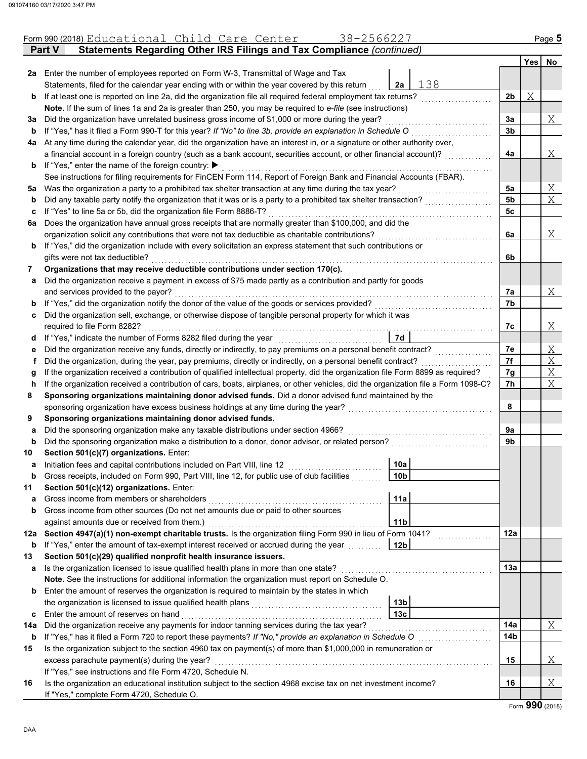|     | 38-2566227<br>Form 990 (2018) Educational Child Care Center                                                                        |                |   | Page 5 |
|-----|------------------------------------------------------------------------------------------------------------------------------------|----------------|---|--------|
|     | Statements Regarding Other IRS Filings and Tax Compliance (continued)<br><b>Part V</b>                                             |                |   |        |
|     |                                                                                                                                    |                |   | Yes No |
|     | 2a Enter the number of employees reported on Form W-3, Transmittal of Wage and Tax                                                 |                |   |        |
|     | 138<br>Statements, filed for the calendar year ending with or within the year covered by this return<br>2a                         |                |   |        |
| b   | If at least one is reported on line 2a, did the organization file all required federal employment tax returns?                     | 2 <sub>b</sub> | Χ |        |
|     | Note. If the sum of lines 1a and 2a is greater than 250, you may be required to e-file (see instructions)                          |                |   |        |
| за  | Did the organization have unrelated business gross income of \$1,000 or more during the year?                                      | 3a             |   | Χ      |
| b   | If "Yes," has it filed a Form 990-T for this year? If "No" to line 3b, provide an explanation in Schedule O                        | 3b             |   |        |
|     | 4a At any time during the calendar year, did the organization have an interest in, or a signature or other authority over,         |                |   |        |
|     | a financial account in a foreign country (such as a bank account, securities account, or other financial account)?                 | 4a             |   | Χ      |
| b   | If "Yes," enter the name of the foreign country: ▶                                                                                 |                |   |        |
|     | See instructions for filing requirements for FinCEN Form 114, Report of Foreign Bank and Financial Accounts (FBAR).                |                |   |        |
| 5a  | Was the organization a party to a prohibited tax shelter transaction at any time during the tax year?                              | 5a             |   | Χ      |
| b   | Did any taxable party notify the organization that it was or is a party to a prohibited tax shelter transaction?                   | 5 <sub>b</sub> |   | X      |
| c   | If "Yes" to line 5a or 5b, did the organization file Form 8886-T?                                                                  | 5c             |   |        |
| 6а  | Does the organization have annual gross receipts that are normally greater than \$100,000, and did the                             |                |   |        |
|     | organization solicit any contributions that were not tax deductible as charitable contributions?                                   | 6a             |   | Χ      |
| b   | If "Yes," did the organization include with every solicitation an express statement that such contributions or                     |                |   |        |
|     | gifts were not tax deductible?                                                                                                     | 6b             |   |        |
| 7   | Organizations that may receive deductible contributions under section 170(c).                                                      |                |   |        |
| a   | Did the organization receive a payment in excess of \$75 made partly as a contribution and partly for goods                        |                |   |        |
|     | and services provided to the payor?                                                                                                | 7a             |   | Χ      |
| b   | If "Yes," did the organization notify the donor of the value of the goods or services provided?                                    | 7b             |   |        |
| c   | Did the organization sell, exchange, or otherwise dispose of tangible personal property for which it was                           |                |   |        |
|     | required to file Form 8282?                                                                                                        | 7c             |   | Χ      |
| d   | 7d<br>If "Yes," indicate the number of Forms 8282 filed during the year                                                            |                |   |        |
| е   | Did the organization receive any funds, directly or indirectly, to pay premiums on a personal benefit contract?                    | 7е             |   | Χ      |
| f.  | Did the organization, during the year, pay premiums, directly or indirectly, on a personal benefit contract?                       | 7f             |   | X      |
| g   | If the organization received a contribution of qualified intellectual property, did the organization file Form 8899 as required?   | 7g             |   | X      |
| h   | If the organization received a contribution of cars, boats, airplanes, or other vehicles, did the organization file a Form 1098-C? | 7h             |   | X      |
| 8   | Sponsoring organizations maintaining donor advised funds. Did a donor advised fund maintained by the                               |                |   |        |
|     | sponsoring organization have excess business holdings at any time during the year?                                                 | 8              |   |        |
| 9   | Sponsoring organizations maintaining donor advised funds.                                                                          |                |   |        |
| a   | Did the sponsoring organization make any taxable distributions under section 4966?                                                 | 9a             |   |        |
| b   | Did the sponsoring organization make a distribution to a donor, donor advisor, or related person?                                  | 9b             |   |        |
| 10  | Section 501(c)(7) organizations. Enter:                                                                                            |                |   |        |
|     | 10a <br>Initiation fees and capital contributions included on Part VIII, line 12 [11] [11] [12] [11] [11] [12] [11] [1             |                |   |        |
| b   | Gross receipts, included on Form 990, Part VIII, line 12, for public use of club facilities<br>10b                                 |                |   |        |
| 11  | Section 501(c)(12) organizations. Enter:                                                                                           |                |   |        |
| a   | Gross income from members or shareholders<br>11a                                                                                   |                |   |        |
| b   | Gross income from other sources (Do not net amounts due or paid to other sources                                                   |                |   |        |
|     | against amounts due or received from them.)<br>11 <sub>b</sub>                                                                     |                |   |        |
| 12a | Section 4947(a)(1) non-exempt charitable trusts. Is the organization filing Form 990 in lieu of Form 1041?                         | 12a            |   |        |
| b   | If "Yes," enter the amount of tax-exempt interest received or accrued during the year<br>12 <sub>b</sub>                           |                |   |        |
| 13  | Section 501(c)(29) qualified nonprofit health insurance issuers.                                                                   |                |   |        |
| a   | Is the organization licensed to issue qualified health plans in more than one state?                                               | 13a            |   |        |
|     | Note. See the instructions for additional information the organization must report on Schedule O.                                  |                |   |        |
| b   | Enter the amount of reserves the organization is required to maintain by the states in which                                       |                |   |        |
|     | 13 <sub>b</sub>                                                                                                                    |                |   |        |
| c   | Enter the amount of reserves on hand<br>13с                                                                                        |                |   |        |
| 14a | Did the organization receive any payments for indoor tanning services during the tax year?                                         | 14a            |   | Χ      |
| b   | If "Yes," has it filed a Form 720 to report these payments? If "No," provide an explanation in Schedule O                          | 14b            |   |        |
| 15  | Is the organization subject to the section 4960 tax on payment(s) of more than \$1,000,000 in remuneration or                      |                |   |        |
|     | excess parachute payment(s) during the year?                                                                                       | 15             |   | Χ      |
|     | If "Yes," see instructions and file Form 4720, Schedule N.                                                                         |                |   |        |
| 16  | Is the organization an educational institution subject to the section 4968 excise tax on net investment income?                    | 16             |   | Χ      |
|     | If "Yes," complete Form 4720, Schedule O.                                                                                          |                |   |        |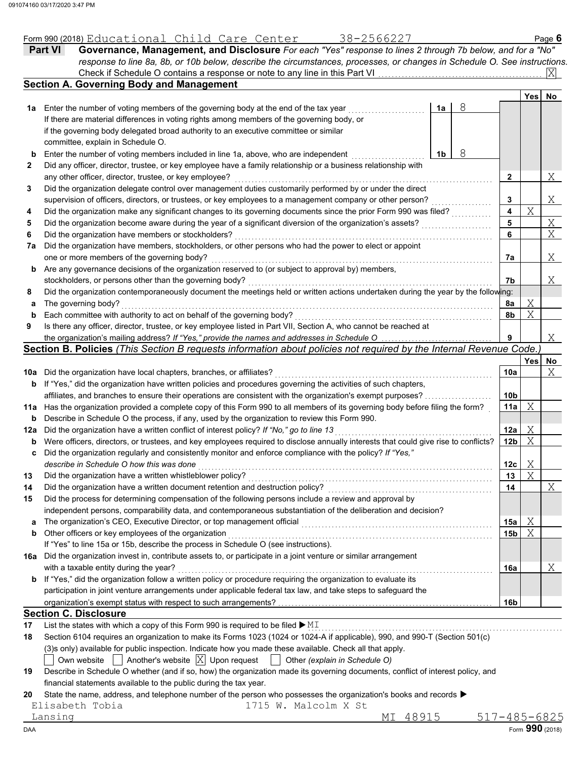|     | 38-2566227<br>Form 990 (2018) Educational Child Care Center                                                                                                                                                             |                 |     | Page $6$      |
|-----|-------------------------------------------------------------------------------------------------------------------------------------------------------------------------------------------------------------------------|-----------------|-----|---------------|
|     | Governance, Management, and Disclosure For each "Yes" response to lines 2 through 7b below, and for a "No"<br><b>Part VI</b>                                                                                            |                 |     |               |
|     | response to line 8a, 8b, or 10b below, describe the circumstances, processes, or changes in Schedule O. See instructions.                                                                                               |                 |     |               |
|     |                                                                                                                                                                                                                         |                 |     | ΙXΙ           |
|     | <b>Section A. Governing Body and Management</b>                                                                                                                                                                         |                 |     |               |
|     |                                                                                                                                                                                                                         |                 | Yes | No            |
|     | 8<br>1a Enter the number of voting members of the governing body at the end of the tax year<br>1a                                                                                                                       |                 |     |               |
|     | If there are material differences in voting rights among members of the governing body, or                                                                                                                              |                 |     |               |
|     | if the governing body delegated broad authority to an executive committee or similar                                                                                                                                    |                 |     |               |
|     | committee, explain in Schedule O.                                                                                                                                                                                       |                 |     |               |
| b   | 8<br>Enter the number of voting members included in line 1a, above, who are independent<br>1b                                                                                                                           |                 |     |               |
| 2   | Did any officer, director, trustee, or key employee have a family relationship or a business relationship with                                                                                                          |                 |     |               |
|     | any other officer, director, trustee, or key employee?                                                                                                                                                                  | $\mathbf{2}$    |     | Χ             |
| 3   | Did the organization delegate control over management duties customarily performed by or under the direct                                                                                                               |                 |     |               |
|     | supervision of officers, directors, or trustees, or key employees to a management company or other person?                                                                                                              | 3               |     | X             |
| 4   | Did the organization make any significant changes to its governing documents since the prior Form 990 was filed?                                                                                                        | 4               | X   |               |
| 5   | Did the organization become aware during the year of a significant diversion of the organization's assets?                                                                                                              | 5               |     |               |
| 6   | Did the organization have members or stockholders?                                                                                                                                                                      | 6               |     | $\frac{X}{X}$ |
| 7a  | Did the organization have members, stockholders, or other persons who had the power to elect or appoint                                                                                                                 |                 |     |               |
|     | one or more members of the governing body?                                                                                                                                                                              | 7a              |     | Χ             |
| b   | Are any governance decisions of the organization reserved to (or subject to approval by) members,                                                                                                                       |                 |     |               |
|     | stockholders, or persons other than the governing body?                                                                                                                                                                 | 7b              |     | Χ             |
| 8   | Did the organization contemporaneously document the meetings held or written actions undertaken during the year by the following:                                                                                       |                 |     |               |
|     | The governing body?                                                                                                                                                                                                     | 8a              | Χ   |               |
| а   | Each committee with authority to act on behalf of the governing body?                                                                                                                                                   | 8b              | X   |               |
| b   |                                                                                                                                                                                                                         |                 |     |               |
| 9   | Is there any officer, director, trustee, or key employee listed in Part VII, Section A, who cannot be reached at                                                                                                        |                 |     |               |
|     | the organization's mailing address? If "Yes," provide the names and addresses in Schedule O                                                                                                                             | 9               |     | Χ             |
|     | Section B. Policies (This Section B requests information about policies not required by the Internal Revenue Code.)                                                                                                     |                 |     |               |
|     |                                                                                                                                                                                                                         |                 | Yes | No            |
|     | 10a Did the organization have local chapters, branches, or affiliates?                                                                                                                                                  | 10a             |     | X             |
| b   | If "Yes," did the organization have written policies and procedures governing the activities of such chapters,                                                                                                          |                 |     |               |
|     | affiliates, and branches to ensure their operations are consistent with the organization's exempt purposes?                                                                                                             |                 |     |               |
|     |                                                                                                                                                                                                                         | 10 <sub>b</sub> |     |               |
| b   | 11a Has the organization provided a complete copy of this Form 990 to all members of its governing body before filing the form?                                                                                         | 11a             | X   |               |
|     | Describe in Schedule O the process, if any, used by the organization to review this Form 990.                                                                                                                           |                 |     |               |
| 12a | Did the organization have a written conflict of interest policy? If "No," go to line 13                                                                                                                                 | 12a             | Χ   |               |
| b   | Were officers, directors, or trustees, and key employees required to disclose annually interests that could give rise to conflicts?                                                                                     | 12 <sub>b</sub> | X   |               |
| c   | Did the organization regularly and consistently monitor and enforce compliance with the policy? If "Yes,"                                                                                                               |                 |     |               |
|     | describe in Schedule O how this was done                                                                                                                                                                                | 12c             | Χ   |               |
| 13  | Did the organization have a written whistleblower policy?                                                                                                                                                               | 13              | X   |               |
| 14  | Did the organization have a written document retention and destruction policy?                                                                                                                                          | 14              |     | Χ             |
| 15  | Did the process for determining compensation of the following persons include a review and approval by                                                                                                                  |                 |     |               |
|     | independent persons, comparability data, and contemporaneous substantiation of the deliberation and decision?                                                                                                           |                 |     |               |
| a   |                                                                                                                                                                                                                         | 15a             |     |               |
| b   | The organization's CEO, Executive Director, or top management official                                                                                                                                                  | 15b             | Χ   |               |
|     | Other officers or key employees of the organization                                                                                                                                                                     |                 | X   |               |
|     | If "Yes" to line 15a or 15b, describe the process in Schedule O (see instructions).                                                                                                                                     |                 |     |               |
|     | 16a Did the organization invest in, contribute assets to, or participate in a joint venture or similar arrangement                                                                                                      |                 |     |               |
|     | with a taxable entity during the year?                                                                                                                                                                                  | 16a             |     | Χ             |
| b   | If "Yes," did the organization follow a written policy or procedure requiring the organization to evaluate its                                                                                                          |                 |     |               |
|     | participation in joint venture arrangements under applicable federal tax law, and take steps to safeguard the                                                                                                           |                 |     |               |
|     |                                                                                                                                                                                                                         | 16b             |     |               |
|     | <b>Section C. Disclosure</b>                                                                                                                                                                                            |                 |     |               |
| 17  | List the states with which a copy of this Form 990 is required to be filed $\blacktriangleright$ MI                                                                                                                     |                 |     |               |
| 18  | Section 6104 requires an organization to make its Forms 1023 (1024 or 1024-A if applicable), 990, and 990-T (Section 501(c)                                                                                             |                 |     |               |
|     | (3)s only) available for public inspection. Indicate how you made these available. Check all that apply.                                                                                                                |                 |     |               |
| 19  | Another's website $ X $ Upon request<br>Own website<br>Other (explain in Schedule O)<br>Describe in Schedule O whether (and if so, how) the organization made its governing documents, conflict of interest policy, and |                 |     |               |

financial statements available to the public during the tax year.

**20** State the name, address, and telephone number of the person who possesses the organization's books and records  $\blacktriangleright$ 

| Elisabeth Tobia<br>1715 W. Malcolm X St |  |
|-----------------------------------------|--|
|-----------------------------------------|--|

 $\blacksquare$   $\blacksquare$   $\blacksquare$   $\blacksquare$   $\blacksquare$   $\blacksquare$   $\blacksquare$   $\blacksquare$   $\blacksquare$   $\blacksquare$   $\blacksquare$   $\blacksquare$   $\blacksquare$   $\blacksquare$   $\blacksquare$   $\blacksquare$   $\blacksquare$   $\blacksquare$   $\blacksquare$   $\blacksquare$   $\blacksquare$   $\blacksquare$   $\blacksquare$   $\blacksquare$   $\blacksquare$   $\blacksquare$   $\blacksquare$   $\blacksquare$   $\blacksquare$   $\blacksquare$   $\blacksquare$   $\blacks$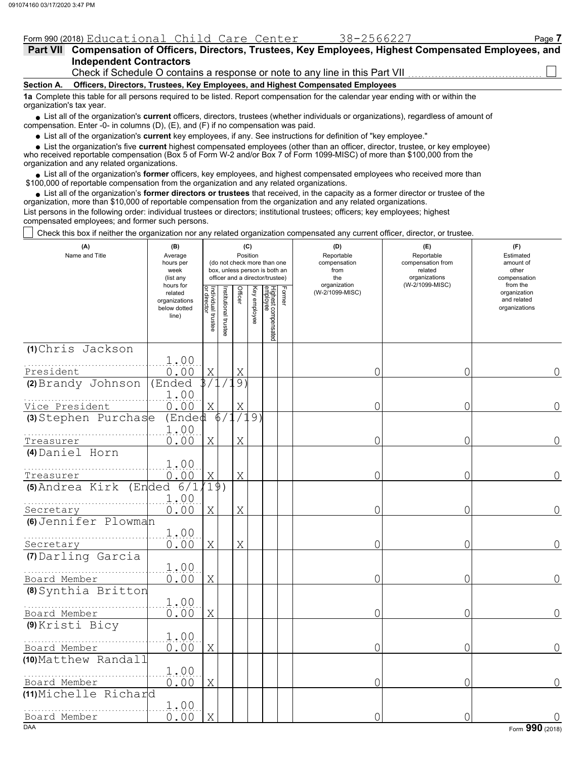|                                                                                                                                                               | Form 990 (2018) Educational Child Care Center                                                    | 38-2566227 | Page: |  |  |  |  |  |  |
|---------------------------------------------------------------------------------------------------------------------------------------------------------------|--------------------------------------------------------------------------------------------------|------------|-------|--|--|--|--|--|--|
| <b>Part VII</b>                                                                                                                                               | Compensation of Officers, Directors, Trustees, Key Employees, Highest Compensated Employees, and |            |       |  |  |  |  |  |  |
|                                                                                                                                                               | <b>Independent Contractors</b>                                                                   |            |       |  |  |  |  |  |  |
|                                                                                                                                                               | Check if Schedule O contains a response or note to any line in this Part VII                     |            |       |  |  |  |  |  |  |
| Section A.                                                                                                                                                    | Officers, Directors, Trustees, Key Employees, and Highest Compensated Employees                  |            |       |  |  |  |  |  |  |
| 1a Complete this table for all persons required to be listed. Report compensation for the calendar year ending with or within the<br>organization's tax year. |                                                                                                  |            |       |  |  |  |  |  |  |

■ List all of the organization's **current** officers, directors, trustees (whether individuals or organizations), regardless of amount of compensation. Enter -0- in columns (D), (E), and (F) if no compensation was paid.

List all of the organization's **current** key employees, if any. See instructions for definition of "key employee."

■ List all of the organization's **current** key employees, if any. See instructions for definition of "key employee."<br>■ List the organization's five **current** highest compensated employees (other than an officer, director,

who received reportable compensation (Box 5 of Form W-2 and/or Box 7 of Form 1099-MISC) of more than \$100,000 from the organization and any related organizations.

• List all of the organization's **former** officers, key employees, and highest compensated employees who received more than<br>00,000 of reportable compensation from the organization and any related erganizations. \$100,000 of reportable compensation from the organization and any related organizations.

• List all of the organization's **former directors or trustees** that received, in the capacity as a former director or trustee of the organization, more than \$10,000 of reportable compensation from the organization and any related organizations. List persons in the following order: individual trustees or directors; institutional trustees; officers; key employees; highest compensated employees; and former such persons.

Check this box if neither the organization nor any related organization compensated any current officer, director, or trustee.

| (A)<br>Name and Title                 | (B)<br>Average<br>hours per<br>week<br>(list any               |                                   |                      | Position       | (C)          | (do not check more than one<br>box, unless person is both an<br>officer and a director/trustee) |        | (D)<br>Reportable<br>compensation<br>from<br>the | (E)<br>Reportable<br>compensation from<br>related<br>organizations | (F)<br>Estimated<br>amount of<br>other<br>compensation   |
|---------------------------------------|----------------------------------------------------------------|-----------------------------------|----------------------|----------------|--------------|-------------------------------------------------------------------------------------------------|--------|--------------------------------------------------|--------------------------------------------------------------------|----------------------------------------------------------|
|                                       | hours for<br>related<br>organizations<br>below dotted<br>line) | Individual trustee<br>or director | nstitutional trustee | <b>Officer</b> | Key employee | Highest compensated<br>employee                                                                 | Former | organization<br>(W-2/1099-MISC)                  | (W-2/1099-MISC)                                                    | from the<br>organization<br>and related<br>organizations |
| (1) Chris Jackson<br>President        | 1.00<br>0.00                                                   | Χ                                 |                      | Χ              |              |                                                                                                 |        | 0                                                | 0                                                                  | 0                                                        |
| (2) Brandy Johnson                    | (Ended<br>1.00                                                 | 3/1                               |                      | .9)            |              |                                                                                                 |        |                                                  |                                                                    |                                                          |
| Vice President                        | 0.00                                                           | X                                 |                      | Χ              |              |                                                                                                 |        | 0                                                | 0                                                                  | 0                                                        |
| (3) Stephen Purchase                  | (Ended<br>1.00<br>0.00                                         |                                   | 6 <sub>1</sub>       | Χ              | .9)          |                                                                                                 |        | 0                                                | 0                                                                  | 0                                                        |
| Treasurer<br>(4) Daniel Horn          |                                                                | X                                 |                      |                |              |                                                                                                 |        |                                                  |                                                                    |                                                          |
| Treasurer                             | 1.00<br>0.00                                                   | X                                 |                      | X              |              |                                                                                                 |        | $\circ$                                          | 0                                                                  | 0                                                        |
| (5) Andrea Kirk                       | 6/1<br>(Ended<br>1.00                                          | 19)                               |                      |                |              |                                                                                                 |        |                                                  |                                                                    |                                                          |
| Secretary<br>(6) Jennifer Plowman     | 0.00                                                           | X                                 |                      | X              |              |                                                                                                 |        | $\overline{0}$                                   | 0                                                                  | 0                                                        |
| Secretary                             | 1.00<br>0.00                                                   | X                                 |                      | X              |              |                                                                                                 |        | $\circ$                                          | 0                                                                  | 0                                                        |
| (7) Darling Garcia<br>Board Member    | 1.00<br>0.00                                                   | X                                 |                      |                |              |                                                                                                 |        | 0                                                | 0                                                                  | 0                                                        |
| (8) Synthia Britton                   |                                                                |                                   |                      |                |              |                                                                                                 |        |                                                  |                                                                    |                                                          |
| Board Member                          | 1.00<br>0.00                                                   | Χ                                 |                      |                |              |                                                                                                 |        | $\Omega$                                         | 0                                                                  | 0                                                        |
| (9) Kristi Bicy<br>Board Member       | 1.00<br>0.00                                                   | X                                 |                      |                |              |                                                                                                 |        | 0                                                | 0                                                                  | 0                                                        |
| (10) Matthew Randall                  | 1.00                                                           |                                   |                      |                |              |                                                                                                 |        |                                                  |                                                                    |                                                          |
| Board Member<br>(11) Michelle Richard | 0.00                                                           | Χ                                 |                      |                |              |                                                                                                 |        | 0                                                | 0                                                                  | 0                                                        |
| Board Member                          | 1.00<br>0.00                                                   | X                                 |                      |                |              |                                                                                                 |        | 0                                                | 0                                                                  |                                                          |
| <b>DAA</b>                            |                                                                |                                   |                      |                |              |                                                                                                 |        |                                                  |                                                                    | Form 990 (2018)                                          |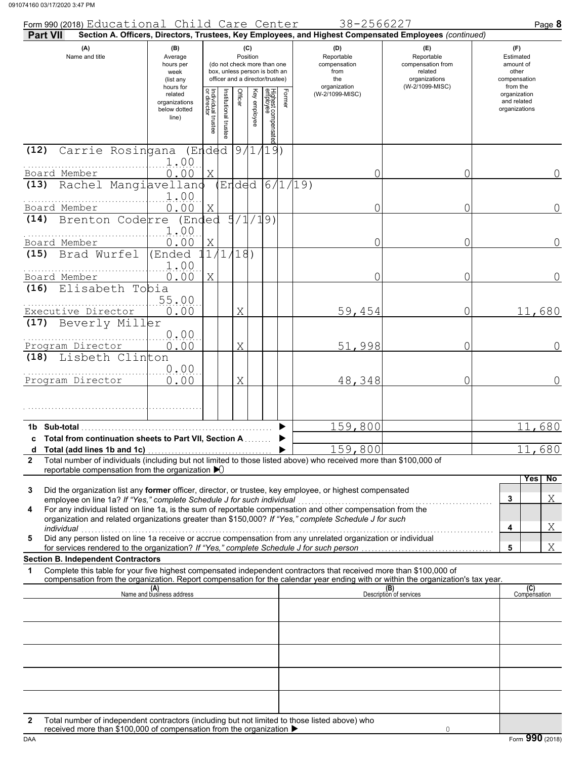| Form 990 (2018) Educational Child Care Center                                                                                                                                                                                                                                                                                               |                                                                                                                                                                        |                                   |                       |                    |                                           |                                 |                     |                                                                                       | 38-2566227                                                         |                                                                                                        | Page 8                                       |                |
|---------------------------------------------------------------------------------------------------------------------------------------------------------------------------------------------------------------------------------------------------------------------------------------------------------------------------------------------|------------------------------------------------------------------------------------------------------------------------------------------------------------------------|-----------------------------------|-----------------------|--------------------|-------------------------------------------|---------------------------------|---------------------|---------------------------------------------------------------------------------------|--------------------------------------------------------------------|--------------------------------------------------------------------------------------------------------|----------------------------------------------|----------------|
| Part VII                                                                                                                                                                                                                                                                                                                                    |                                                                                                                                                                        |                                   |                       |                    |                                           |                                 |                     |                                                                                       |                                                                    | Section A. Officers, Directors, Trustees, Key Employees, and Highest Compensated Employees (continued) |                                              |                |
| (A)<br>Name and title                                                                                                                                                                                                                                                                                                                       | (B)<br>(C)<br>Position<br>Average<br>(do not check more than one<br>hours per<br>box, unless person is both an<br>week<br>officer and a director/trustee)<br>(list any |                                   |                       |                    | Reportable<br>compensation<br>from<br>the |                                 | (D)<br>organization | (E)<br>Reportable<br>compensation from<br>related<br>organizations<br>(W-2/1099-MISC) | (F)<br>Estimated<br>amount of<br>other<br>compensation<br>from the |                                                                                                        |                                              |                |
|                                                                                                                                                                                                                                                                                                                                             | hours for<br>related<br>organizations<br>below dotted<br>line)                                                                                                         | Individual trustee<br>or director | Institutional trustee | Officer            | Key employee                              | Highest compensatec<br>employee | Former              |                                                                                       | (W-2/1099-MISC)                                                    |                                                                                                        | organization<br>and related<br>organizations |                |
| Carrie Rosingana (Ended 9/1/19)<br>(12)                                                                                                                                                                                                                                                                                                     |                                                                                                                                                                        |                                   |                       |                    |                                           |                                 |                     |                                                                                       |                                                                    |                                                                                                        |                                              |                |
| Board Member                                                                                                                                                                                                                                                                                                                                | 1.00<br>0.00                                                                                                                                                           | Χ                                 |                       |                    |                                           |                                 |                     |                                                                                       |                                                                    | 0<br>0                                                                                                 |                                              | 0              |
| Rachel Mangiavellano<br>(13)                                                                                                                                                                                                                                                                                                                |                                                                                                                                                                        |                                   |                       |                    |                                           |                                 |                     | Ended 6/1/19)                                                                         |                                                                    |                                                                                                        |                                              |                |
| Board Member                                                                                                                                                                                                                                                                                                                                | 1.00<br>0.00                                                                                                                                                           | Χ                                 |                       |                    |                                           |                                 |                     |                                                                                       |                                                                    | 0<br>0                                                                                                 |                                              | $\overline{0}$ |
| Brenton Coderre<br>(14)                                                                                                                                                                                                                                                                                                                     | (Ended                                                                                                                                                                 |                                   |                       | $\frac{1}{5}/1/19$ |                                           |                                 |                     |                                                                                       |                                                                    |                                                                                                        |                                              |                |
| Board Member                                                                                                                                                                                                                                                                                                                                | 1.00<br>0.00                                                                                                                                                           | $\mathbf X$                       |                       |                    |                                           |                                 |                     |                                                                                       |                                                                    | 0<br>0                                                                                                 |                                              | 0              |
| Brad Wurfel<br>(15)                                                                                                                                                                                                                                                                                                                         | (Ended                                                                                                                                                                 |                                   |                       | 1/1/18             |                                           |                                 |                     |                                                                                       |                                                                    |                                                                                                        |                                              |                |
|                                                                                                                                                                                                                                                                                                                                             | 1.00                                                                                                                                                                   |                                   |                       |                    |                                           |                                 |                     |                                                                                       |                                                                    |                                                                                                        |                                              |                |
| Board Member<br>Elisabeth Tobia<br>(16)                                                                                                                                                                                                                                                                                                     | 0.00                                                                                                                                                                   | X                                 |                       |                    |                                           |                                 |                     |                                                                                       |                                                                    | 0<br>0                                                                                                 |                                              | 0              |
|                                                                                                                                                                                                                                                                                                                                             | 55.00                                                                                                                                                                  |                                   |                       |                    |                                           |                                 |                     |                                                                                       |                                                                    |                                                                                                        |                                              |                |
| Executive Director<br>Beverly Miller<br>(17)                                                                                                                                                                                                                                                                                                | 0.00                                                                                                                                                                   |                                   |                       | Χ                  |                                           |                                 |                     |                                                                                       | 59,454                                                             | 0                                                                                                      | 11,680                                       |                |
|                                                                                                                                                                                                                                                                                                                                             | 0.00<br>0.00                                                                                                                                                           |                                   |                       | Χ                  |                                           |                                 |                     |                                                                                       | 51,998                                                             | 0                                                                                                      |                                              | $\Omega$       |
| Program Director<br>Lisbeth Clinton<br>(18)                                                                                                                                                                                                                                                                                                 |                                                                                                                                                                        |                                   |                       |                    |                                           |                                 |                     |                                                                                       |                                                                    |                                                                                                        |                                              |                |
|                                                                                                                                                                                                                                                                                                                                             | 0.00                                                                                                                                                                   |                                   |                       |                    |                                           |                                 |                     |                                                                                       |                                                                    |                                                                                                        |                                              |                |
| Program Director                                                                                                                                                                                                                                                                                                                            | 0.00                                                                                                                                                                   |                                   |                       | Χ                  |                                           |                                 |                     |                                                                                       | 48,348                                                             | 0                                                                                                      |                                              | $\overline{0}$ |
|                                                                                                                                                                                                                                                                                                                                             |                                                                                                                                                                        |                                   |                       |                    |                                           |                                 |                     |                                                                                       |                                                                    |                                                                                                        |                                              |                |
| 1b Sub-total                                                                                                                                                                                                                                                                                                                                |                                                                                                                                                                        |                                   |                       |                    |                                           |                                 |                     |                                                                                       | 159,800                                                            |                                                                                                        | 11,680                                       |                |
| c Total from continuation sheets to Part VII, Section A                                                                                                                                                                                                                                                                                     |                                                                                                                                                                        |                                   |                       |                    |                                           |                                 |                     |                                                                                       |                                                                    |                                                                                                        |                                              |                |
| Total number of individuals (including but not limited to those listed above) who received more than \$100,000 of<br>$\mathbf{2}$                                                                                                                                                                                                           |                                                                                                                                                                        |                                   |                       |                    |                                           |                                 |                     |                                                                                       | 159,800                                                            |                                                                                                        | 11,680                                       |                |
| reportable compensation from the organization $\blacktriangleright$                                                                                                                                                                                                                                                                         |                                                                                                                                                                        |                                   |                       |                    |                                           |                                 |                     |                                                                                       |                                                                    |                                                                                                        | Yes                                          | No             |
| Did the organization list any former officer, director, or trustee, key employee, or highest compensated<br>3<br>employee on line 1a? If "Yes," complete Schedule J for such individual                                                                                                                                                     |                                                                                                                                                                        |                                   |                       |                    |                                           |                                 |                     |                                                                                       |                                                                    |                                                                                                        | 3                                            | Χ              |
| Copyright of this case of this case, in the set of the sum of reportable compensation and other compensation from the For any individual listed on line 1a, is the sum of reportable compensation and other compensation from<br>4<br>organization and related organizations greater than \$150,000? If "Yes," complete Schedule J for such |                                                                                                                                                                        |                                   |                       |                    |                                           |                                 |                     |                                                                                       |                                                                    |                                                                                                        |                                              |                |
| individual<br>Did any person listed on line 1a receive or accrue compensation from any unrelated organization or individual<br>5                                                                                                                                                                                                            |                                                                                                                                                                        |                                   |                       |                    |                                           |                                 |                     |                                                                                       |                                                                    |                                                                                                        | 4                                            | Χ              |
|                                                                                                                                                                                                                                                                                                                                             |                                                                                                                                                                        |                                   |                       |                    |                                           |                                 |                     |                                                                                       |                                                                    |                                                                                                        | 5                                            | Χ              |
| <b>Section B. Independent Contractors</b><br>Complete this table for your five highest compensated independent contractors that received more than \$100,000 of<br>1                                                                                                                                                                        |                                                                                                                                                                        |                                   |                       |                    |                                           |                                 |                     |                                                                                       |                                                                    |                                                                                                        |                                              |                |
| compensation from the organization. Report compensation for the calendar year ending with or within the organization's tax year.                                                                                                                                                                                                            |                                                                                                                                                                        |                                   |                       |                    |                                           |                                 |                     |                                                                                       |                                                                    |                                                                                                        |                                              |                |
|                                                                                                                                                                                                                                                                                                                                             | (A)<br>Name and business address                                                                                                                                       |                                   |                       |                    |                                           |                                 |                     |                                                                                       |                                                                    | (B)<br>Description of services                                                                         | (C)<br>Compensation                          |                |
|                                                                                                                                                                                                                                                                                                                                             |                                                                                                                                                                        |                                   |                       |                    |                                           |                                 |                     |                                                                                       |                                                                    |                                                                                                        |                                              |                |
|                                                                                                                                                                                                                                                                                                                                             |                                                                                                                                                                        |                                   |                       |                    |                                           |                                 |                     |                                                                                       |                                                                    |                                                                                                        |                                              |                |
|                                                                                                                                                                                                                                                                                                                                             |                                                                                                                                                                        |                                   |                       |                    |                                           |                                 |                     |                                                                                       |                                                                    |                                                                                                        |                                              |                |
|                                                                                                                                                                                                                                                                                                                                             |                                                                                                                                                                        |                                   |                       |                    |                                           |                                 |                     |                                                                                       |                                                                    |                                                                                                        |                                              |                |
|                                                                                                                                                                                                                                                                                                                                             |                                                                                                                                                                        |                                   |                       |                    |                                           |                                 |                     |                                                                                       |                                                                    |                                                                                                        |                                              |                |
|                                                                                                                                                                                                                                                                                                                                             |                                                                                                                                                                        |                                   |                       |                    |                                           |                                 |                     |                                                                                       |                                                                    |                                                                                                        |                                              |                |
| Total number of independent contractors (including but not limited to those listed above) who<br>2                                                                                                                                                                                                                                          |                                                                                                                                                                        |                                   |                       |                    |                                           |                                 |                     |                                                                                       |                                                                    |                                                                                                        |                                              |                |
| received more than \$100,000 of compensation from the organization ▶                                                                                                                                                                                                                                                                        |                                                                                                                                                                        |                                   |                       |                    |                                           |                                 |                     |                                                                                       |                                                                    | $\mathbf{0}$                                                                                           |                                              |                |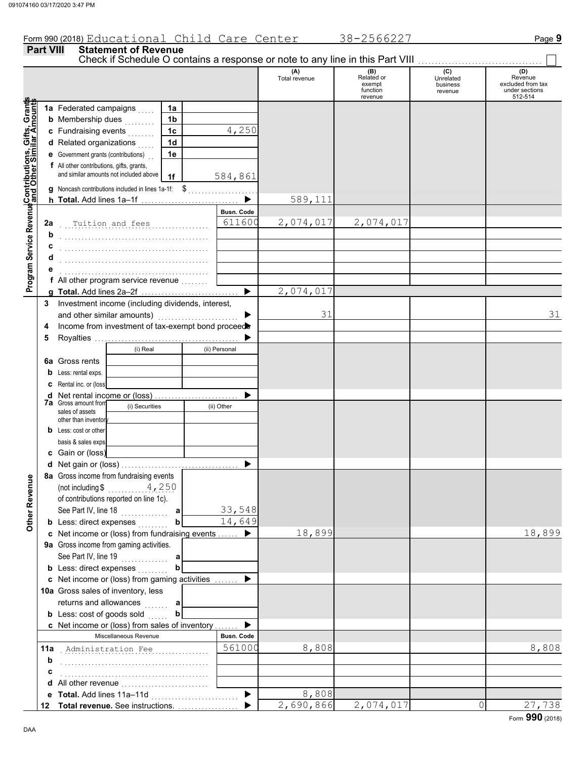Form 990 (2018) Educational Child Care Center 38-2566227 Page 9

#### **Part VIII Statement of Revenue** Check if Schedule O contains a response or note to any line in this Part VIII. (A) (B) (C) (O) (D)<br>Total revenue Related or Unrelated Reven Total revenue Related or Unrelated Revenue excluded from tax exempt business function revenue under sections 512-514 revenue **Contributions, Gifts, Grants and Other Similar Amounts** Grants **1a 1a** Federated campaigns . . . . . Gifts, Gra<br>illar Amou **1b b** Membership dues  $\begin{bmatrix} 1 & 1 & 1 & 1 \\ 1 & 1 & 1 & 1 \\ 1 & 1 & 1 & 1 \\ 1 & 1 & 1 & 1 \\ 1 & 1 & 1 & 1 \\ 1 & 1 & 1 & 1 \\ 1 & 1 & 1 & 1 \\ 1 & 1 & 1 & 1 \\ 1 & 1 & 1 & 1 \\ 1 & 1 & 1 & 1 \\ 1 & 1 & 1 & 1 \\ 1 & 1 & 1 & 1 \\ 1 & 1 & 1 & 1 \\ 1 & 1 & 1 & 1 \\ 1 & 1 & 1 & 1 \\ 1 & 1 & 1 & 1 \\ 1$ 4,250 **1c c** Fundraising events . . . . . . . . **1d d** Related organizations . . . . . Program Service RevenueContributions,<br>Program Service Revenue<br>and Other Sim **e** Government grants (contributions) . . **1e f** All other contributions, gifts, grants, and similar amounts not included above **1f** 584,861 **g** Noncash contributions included in lines 1a-1f:  $\$\quad$ 589,111  $\blacksquare$ **h Total.** Add lines 1a–1f . . . . . . . . . . . . . . . . . . . . . . . . . . . . . **Program Service Revenue Busn. Code** . . . . . . . . . . . . . . . . . . . . . . . . . . . . . . . . . . . . . . . . . . . . Tuition and fees 611600 2,074,017 2,074,017 **2a b** . . . . . . . . . . . . . . . . . . . . . . . . . . . . . . . . . . . . . . . . . . . . **c d** . . . . . . . . . . . . . . . . . . . . . . . . . . . . . . . . . . . . . . . . . . . . **e** . . . . . . . . . . . . . . . . . . . . . . . . . . . . . . . . . . . . . . . . . . . . **f** All other program service revenue . . . . . . . . 2,074,017 **g Total.** Add lines 2a–2f . . . . . . . . . . . . . . . . . . . . . . . . . . . . . **3** Investment income (including dividends, interest, and other similar amounts)  $\blacksquare$ 31 31 **4** Income from investment of tax-exempt bond proceed **5** Royalties . . . . . . . . . . . . . . . . . . . . . . . . . . . . . . . . . . . . . . . . . . . b (i) Real (ii) Personal **6a** Gross rents **b** Less: rental exps. **c** Rental inc. or (loss)  $\blacktriangleright$ **d** Net rental income or (loss) . . . . . . . . . . . . . . . . . . . . . . . . . **7a** Gross amount from (i) Securities (ii) Other sales of assets other than inventor **b** Less: cost or other basis & sales exps. **c** Gain or (loss) **d** Net gain or (loss) . . . . . . . . . . . . . . . . . . . . . . . . . . . . . . . . . . . **8a** Gross income from fundraising events **Other Revenue Other Revenue** (not including \$ . . . . . . . . . . . . . . . . . . . . 4,250 of contributions reported on line 1c). See Part IV, line 18 . . . . . . . . . . . . . . 33,548 **a b** 14,649 **b** Less: direct expenses <sub>.</sub> . . . . . . . 18,899 18,899 **c** Net income or (loss) from fundraising events . . . . . . ▶ **9a** Gross income from gaming activities. See Part IV, line 19 . . . . . . . . . . . . . . **a b b** Less: direct expenses  $\ldots$  $\blacktriangleright$ Net income or (loss) from gaming activities . . . . . . . **c** 10a Gross sales of inventory, less returns and allowances **a b b** Less:  $\cosh$  of goods  $\sinh$ ь Net income or (loss) from sales of inventory . . . . . . . **c** Miscellaneous Revenue **Busn. Code** . . . . . . . . . . . . . . . . . . . . . . . . . . . . . . . . . . . . . . . . . . . . Administration Fee 561000 8,808 8,808 **11a b** . . . . . . . . . . . . . . . . . . . . . . . . . . . . . . . . . . . . . . . . . . . . **c** . . . . . . . . . . . . . . . . . . . . . . . . . . . . . . . . . . . . . . . . . . . . **d** All other revenue . . . . . . . . . . . . . . . . . . . . . . . . . . 8,808  $\blacktriangleright$ **e Total.** Add lines 11a–11d . . . . . . . . . . . . . . . . . . . . . . . . . . 2,690,866 2,074,017 0 27,738 ь **Total revenue.** See instructions. . . . . . . . . . . . . . . . . . . **12**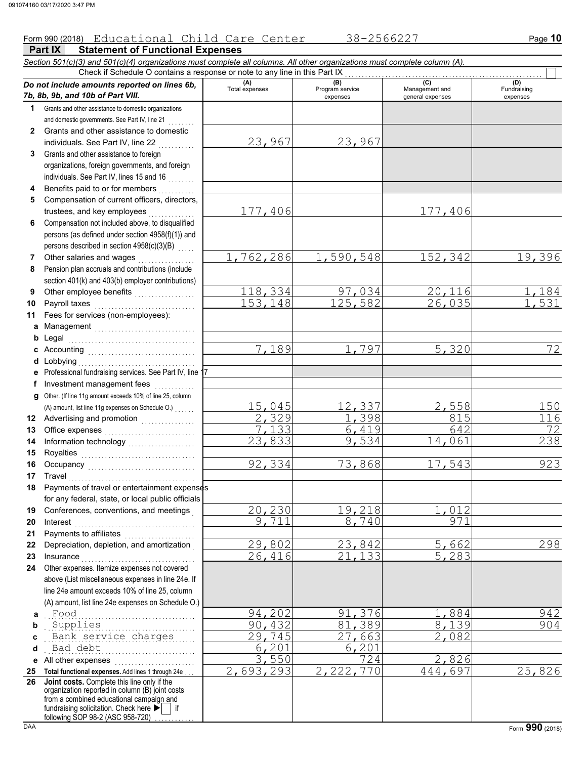### Form 990 (2018) Educational Child Care Center 38-2566227 Page 10

**Part IX Statement of Functional Expenses** *Section 501(c)(3) and 501(c)(4) organizations must complete all columns. All other organizations must complete column (A). Do not include amounts reported on lines 6b, 7b, 8b, 9b, and 10b of Part VIII.* **1 2 3 4 5 6 7 8 9 10 11 a** Management .............................. **b** Legal **c** Accounting . . . . . . . . . . . . . . . . . . . . . . . . . . . . . . . . **d** Lobbying . . . . . . . . . . . . . . . . . . . . . . . . . . . . . . . . . . . **e f g** Other. (If line 11g amount exceeds 10% of line 25, column **12** Advertising and promotion **. . . . . . . . . . . .** . . **13 14 15 16 17 18 19 20 21 22 23 24 a b c d e** All other expenses . . . . . . . . . . . . . . . . . . . . . . . . **25 Total functional expenses.** Add lines 1 through 24e . . . **26** Grants and other assistance to domestic organizations and domestic governments. See Part IV, line 21 Grants and other assistance to domestic individuals. See Part IV, line 22 Grants and other assistance to foreign organizations, foreign governments, and foreign individuals. See Part IV, lines 15 and 16 Benefits paid to or for members . . . . . . . . . . Compensation of current officers, directors, trustees, and key employees ......... Compensation not included above, to disqualified persons (as defined under section 4958(f)(1)) and persons described in section 4958(c)(3)(B) Other salaries and wages .................... Pension plan accruals and contributions (include section 401(k) and 403(b) employer contributions) Other employee benefits . . . . . . . . . . . . . . . . . . Payroll taxes . . . . . . . . . . . . . . . . . . . . . . . . . . . . . . Fees for services (non-employees): Legal . . . . . . . . . . . . . . . . . . . . . . . . . . . . . . . . . . . . . . Professional fundraising services. See Part IV, line 17 Investment management fees ............. Office expenses . . . . . . . . . . . . . . . . . . . . . . . . . . . Information technology . . . . . . . . . . . . . . . . . . . . Royalties . . . . . . . . . . . . . . . . . . . . . . . . . . . . . . . . . . Occupancy . . . . . . . . . . . . . . . . . . . . . . . . . . . . . . . . Travel . . . . . . . . . . . . . . . . . . . . . . . . . . . . . . . . . . . . . . Payments of travel or entertainment expenses for any federal, state, or local public officials Conferences, conventions, and meetings . Interest . . . . . . . . . . . . . . . . . . . . . . . . . . . . . . . . . . . . Payments to affiliates ....................... Depreciation, depletion, and amortization . Insurance . . . . . . . . . . . . . . . . . . . . . . . . . . . . . . . . . . Other expenses. Itemize expenses not covered above (List miscellaneous expenses in line 24e. If line 24e amount exceeds 10% of line 25, column (A) amount, list line 24e expenses on Schedule O.) fundraising solicitation. Check here  $\blacktriangleright$  | if organization reported in column (B) joint costs from a combined educational campaign and following SOP 98-2 (ASC 958-720) **(A) (B)** (B) (B) (C) (C) (A) (D)<br>Total expenses Program service Management and Fundrai expenses and general expenses (D)<br>Fundraising expenses . . . . . . . . . . . . . . . . . . . . . . . . . . . . . . . . . . . . . . . . . . . . . Food 94,202 91,376 1,884 942 . . . . . . . . . . . . . . . . . . . . . . . . . . . . . . . . . . . . . . . . . . . . . Supplies 90,432 81,389 8,139 904 . Bank service charges ... 29,745 27,663 2,082 . . . . . . . . . . . . . . . . . . . . . . . . . . . . . . . . . . . . . . . . . . . . . Bad debt 6,201 6,201 Check if Schedule O contains a response or note to any line in this Part IX **Joint costs.** Complete this line only if the (A) amount, list line 11g expenses on Schedule O.) . . . . . . . 23,967 23,967 177,406 177,406 <mark>1,762,286</mark> 1,590,548 152,342 19,396 118,334 97,034 20,116 1,184 153,148 125,582 26,035 1,531 <mark>7,189</mark> 1,797 5,320 72 15,045 12,337 2,558 150 2,329 1,398 815 116 7,133 6,419 642 72 23,833 9,534 14,061 238 92,334 73,868 17,543 923 20,230 19,218 1,012 9,711 8,740 971 29,802 23,842 5,662 298  $\overline{26,416}$   $\overline{21,133}$  5,283 3,550 724 2,826 2,693,293 2,222,770 444,697 25,826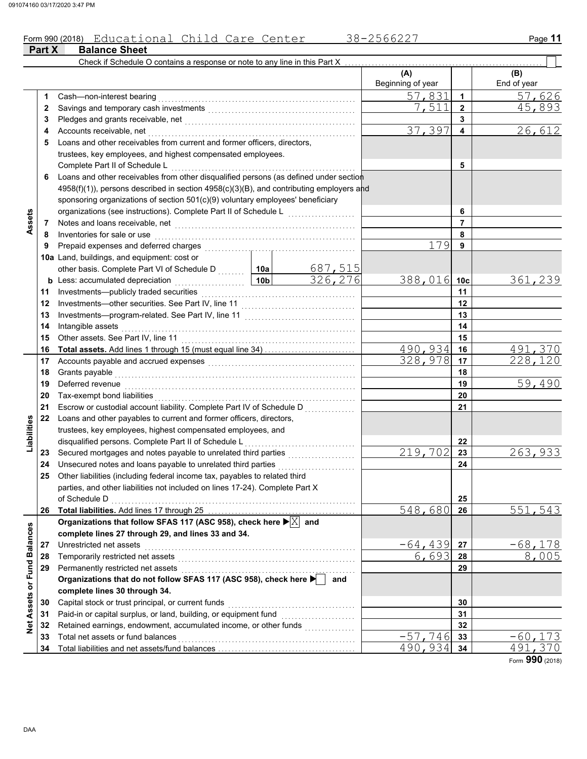#### Form 990 (2018) Educational Child Care Center 38-2566227 Page 11 Educational Child Care Center 38-2566227

|                             | Part X | <b>Balance Sheet</b>                                                                                                                          |                 |                           |                          |                 |                    |
|-----------------------------|--------|-----------------------------------------------------------------------------------------------------------------------------------------------|-----------------|---------------------------|--------------------------|-----------------|--------------------|
|                             |        | Check if Schedule O contains a response or note to any line in this Part X                                                                    |                 |                           |                          |                 |                    |
|                             |        |                                                                                                                                               |                 |                           | (A)<br>Beginning of year |                 | (B)<br>End of year |
|                             | 1      | Cash-non-interest bearing                                                                                                                     |                 |                           | 57,831                   | $\mathbf{1}$    | 57,626             |
|                             | 2      |                                                                                                                                               |                 |                           | 7,511                    | $\overline{2}$  | 45,893             |
|                             | 3      |                                                                                                                                               |                 |                           |                          | 3               |                    |
|                             | 4      | Accounts receivable, net                                                                                                                      |                 |                           | 37,397                   | 4               | 26,612             |
|                             | 5      | Loans and other receivables from current and former officers, directors,                                                                      |                 |                           |                          |                 |                    |
|                             |        | trustees, key employees, and highest compensated employees.                                                                                   |                 |                           |                          |                 |                    |
|                             |        | Complete Part II of Schedule L                                                                                                                |                 |                           |                          | 5               |                    |
|                             | 6      | Loans and other receivables from other disqualified persons (as defined under section                                                         |                 |                           |                          |                 |                    |
|                             |        | 4958(f)(1)), persons described in section 4958(c)(3)(B), and contributing employers and                                                       |                 |                           |                          |                 |                    |
|                             |        | sponsoring organizations of section 501(c)(9) voluntary employees' beneficiary                                                                |                 |                           |                          |                 |                    |
|                             |        | organizations (see instructions). Complete Part II of Schedule L                                                                              |                 |                           |                          | 6               |                    |
|                             | 7      |                                                                                                                                               |                 |                           |                          | $\overline{7}$  |                    |
| Assets                      | 8      | Inventories for sale or use                                                                                                                   |                 |                           |                          | 8               |                    |
|                             | 9      | Prepaid expenses and deferred charges                                                                                                         |                 |                           | 179                      | 9               |                    |
|                             |        | 10a Land, buildings, and equipment: cost or                                                                                                   |                 |                           |                          |                 |                    |
|                             |        |                                                                                                                                               |                 |                           |                          |                 |                    |
|                             |        | other basis. Complete Part VI of Schedule D  10a                                                                                              | 10 <sub>b</sub> | $\frac{687,515}{326,276}$ | 388,016                  | 10 <sub>c</sub> | 361,239            |
|                             |        | <b>b</b> Less: accumulated depreciation<br>.                                                                                                  |                 |                           |                          | 11              |                    |
|                             | 11     | Investments-publicly traded securities                                                                                                        |                 |                           |                          |                 |                    |
|                             | 12     |                                                                                                                                               |                 |                           |                          | 12              |                    |
|                             | 13     |                                                                                                                                               |                 |                           |                          | 13              |                    |
|                             | 14     | Intangible assets                                                                                                                             |                 |                           |                          | 14              |                    |
|                             | 15     | Other assets. See Part IV, line 11                                                                                                            |                 |                           | 490,934                  | 15              |                    |
|                             | 16     |                                                                                                                                               |                 |                           | 328,978                  | 16              | 491,370<br>228,120 |
|                             | 17     | Accounts payable and accrued expenses [[11][11] Accounts payable and accrued expenses [[11] Accounts and accrue                               |                 |                           |                          | 17<br>18        |                    |
|                             | 18     | Grants payable<br>Deferred revenue                                                                                                            |                 | 19                        | 59,490                   |                 |                    |
|                             | 19     |                                                                                                                                               |                 |                           |                          |                 |                    |
|                             | 20     | Tax-exempt bond liabilities                                                                                                                   |                 |                           | 20                       |                 |                    |
|                             | 21     |                                                                                                                                               |                 |                           |                          | 21              |                    |
| Liabilities                 | 22     | Loans and other payables to current and former officers, directors,                                                                           |                 |                           |                          |                 |                    |
|                             |        | trustees, key employees, highest compensated employees, and                                                                                   |                 |                           |                          |                 |                    |
|                             |        | disqualified persons. Complete Part II of Schedule L                                                                                          | 219,702         | 22                        |                          |                 |                    |
|                             | 23     |                                                                                                                                               |                 |                           | 23                       | 263,933         |                    |
|                             | 24     | Unsecured notes and loans payable to unrelated third parties<br>25 Other liabilities (including federal income tax, payables to related third |                 | 24                        |                          |                 |                    |
|                             |        | parties, and other liabilities not included on lines 17-24). Complete Part X                                                                  |                 |                           |                          |                 |                    |
|                             |        | of Schedule D                                                                                                                                 |                 |                           |                          | 25              |                    |
|                             | 26     |                                                                                                                                               | 548,680         | 26                        | 551,543                  |                 |                    |
|                             |        | Organizations that follow SFAS 117 (ASC 958), check here $\blacktriangleright \boxed{\text{X}}$ and                                           |                 |                           |                          |                 |                    |
|                             |        | complete lines 27 through 29, and lines 33 and 34.                                                                                            |                 |                           |                          |                 |                    |
|                             | 27     | Unrestricted net assets                                                                                                                       |                 | $-64,439$                 | 27                       | <u>–68,178</u>  |                    |
|                             | 28     | Temporarily restricted net assets                                                                                                             |                 | 6,693                     | 28                       | 8,005           |                    |
|                             | 29     | Permanently restricted net assets                                                                                                             |                 |                           | 29                       |                 |                    |
|                             |        | Organizations that do not follow SFAS 117 (ASC 958), check here                                                                               |                 | and                       |                          |                 |                    |
|                             |        | complete lines 30 through 34.                                                                                                                 |                 |                           |                          |                 |                    |
| Net Assets or Fund Balances | 30     | Capital stock or trust principal, or current funds                                                                                            |                 |                           |                          | 30              |                    |
|                             | 31     | Paid-in or capital surplus, or land, building, or equipment fund                                                                              |                 |                           |                          | 31              |                    |
|                             | 32     | Retained earnings, endowment, accumulated income, or other funds                                                                              |                 |                           |                          | 32              |                    |
|                             | 33     | Total net assets or fund balances                                                                                                             |                 |                           | $-57,746$                | 33              | $-60, 173$         |
|                             | 34     |                                                                                                                                               |                 |                           | 490,934                  | 34              | 491.               |
|                             |        |                                                                                                                                               |                 |                           |                          |                 |                    |

Form **990** (2018)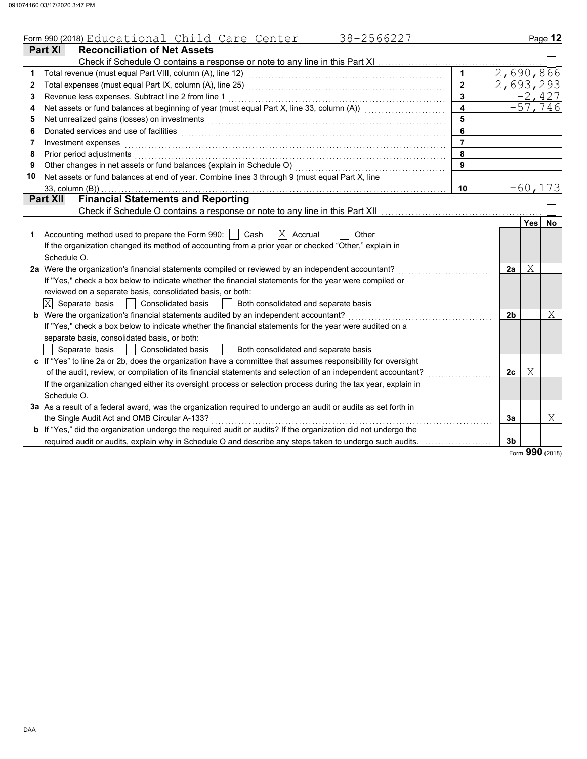| <b>Reconciliation of Net Assets</b><br><b>Part XI</b><br>Check if Schedule O contains a response or note to any line in this Part XI<br>2,690,866<br>1<br>2,693,293<br>$\overline{2}$<br>2<br>$-2,427$<br>Revenue less expenses. Subtract line 2 from line 1<br>3<br>3<br>$-57,746$<br>Net assets or fund balances at beginning of year (must equal Part X, line 33, column (A)) [[[[[[[[[[[[[[[[[[[<br>$\overline{\mathbf{4}}$<br>4<br>5<br>Net unrealized gains (losses) on investments [11] with the content of the content of the content of the content of the content of the content of the content of the content of the content of the content of the content of th<br>5<br>6<br>6<br>$\overline{7}$<br>Investment expenses<br>7<br>Prior period adjustments<br>8<br>8<br>Other changes in net assets or fund balances (explain in Schedule O)<br>9<br>9<br>Net assets or fund balances at end of year. Combine lines 3 through 9 (must equal Part X, line<br>10<br>$-60, 173$<br>10<br>33, column (B))<br><b>Financial Statements and Reporting</b><br><b>Part XII</b><br>Yes<br>$ \mathrm{X} $<br>Accounting method used to prepare the Form 990:     Cash<br>Accrual<br>Other<br>1<br>If the organization changed its method of accounting from a prior year or checked "Other," explain in<br>Schedule O.<br>2a Were the organization's financial statements compiled or reviewed by an independent accountant?<br>Χ<br>2a<br>If "Yes," check a box below to indicate whether the financial statements for the year were compiled or<br>reviewed on a separate basis, consolidated basis, or both:<br>$ \mathrm{X} $<br>Separate basis<br><b>Consolidated basis</b><br>Both consolidated and separate basis<br><b>b</b> Were the organization's financial statements audited by an independent accountant?<br>2b<br>If "Yes," check a box below to indicate whether the financial statements for the year were audited on a<br>separate basis, consolidated basis, or both:<br><b>Consolidated basis</b><br>Both consolidated and separate basis<br>Separate basis<br>c If "Yes" to line 2a or 2b, does the organization have a committee that assumes responsibility for oversight<br>Χ<br>of the audit, review, or compilation of its financial statements and selection of an independent accountant?<br>2 <sub>c</sub><br>If the organization changed either its oversight process or selection process during the tax year, explain in | 38-2566227<br>Form 990 (2018) Educational Child Care Center |  | Page 12   |
|---------------------------------------------------------------------------------------------------------------------------------------------------------------------------------------------------------------------------------------------------------------------------------------------------------------------------------------------------------------------------------------------------------------------------------------------------------------------------------------------------------------------------------------------------------------------------------------------------------------------------------------------------------------------------------------------------------------------------------------------------------------------------------------------------------------------------------------------------------------------------------------------------------------------------------------------------------------------------------------------------------------------------------------------------------------------------------------------------------------------------------------------------------------------------------------------------------------------------------------------------------------------------------------------------------------------------------------------------------------------------------------------------------------------------------------------------------------------------------------------------------------------------------------------------------------------------------------------------------------------------------------------------------------------------------------------------------------------------------------------------------------------------------------------------------------------------------------------------------------------------------------------------------------------------------------------------------------------------------------------------------------------------------------------------------------------------------------------------------------------------------------------------------------------------------------------------------------------------------------------------------------------------------------------------------------------------------------------------------------------------------------------------------------------------------------------------------|-------------------------------------------------------------|--|-----------|
|                                                                                                                                                                                                                                                                                                                                                                                                                                                                                                                                                                                                                                                                                                                                                                                                                                                                                                                                                                                                                                                                                                                                                                                                                                                                                                                                                                                                                                                                                                                                                                                                                                                                                                                                                                                                                                                                                                                                                                                                                                                                                                                                                                                                                                                                                                                                                                                                                                                         |                                                             |  |           |
|                                                                                                                                                                                                                                                                                                                                                                                                                                                                                                                                                                                                                                                                                                                                                                                                                                                                                                                                                                                                                                                                                                                                                                                                                                                                                                                                                                                                                                                                                                                                                                                                                                                                                                                                                                                                                                                                                                                                                                                                                                                                                                                                                                                                                                                                                                                                                                                                                                                         |                                                             |  |           |
|                                                                                                                                                                                                                                                                                                                                                                                                                                                                                                                                                                                                                                                                                                                                                                                                                                                                                                                                                                                                                                                                                                                                                                                                                                                                                                                                                                                                                                                                                                                                                                                                                                                                                                                                                                                                                                                                                                                                                                                                                                                                                                                                                                                                                                                                                                                                                                                                                                                         |                                                             |  |           |
|                                                                                                                                                                                                                                                                                                                                                                                                                                                                                                                                                                                                                                                                                                                                                                                                                                                                                                                                                                                                                                                                                                                                                                                                                                                                                                                                                                                                                                                                                                                                                                                                                                                                                                                                                                                                                                                                                                                                                                                                                                                                                                                                                                                                                                                                                                                                                                                                                                                         |                                                             |  |           |
|                                                                                                                                                                                                                                                                                                                                                                                                                                                                                                                                                                                                                                                                                                                                                                                                                                                                                                                                                                                                                                                                                                                                                                                                                                                                                                                                                                                                                                                                                                                                                                                                                                                                                                                                                                                                                                                                                                                                                                                                                                                                                                                                                                                                                                                                                                                                                                                                                                                         |                                                             |  |           |
|                                                                                                                                                                                                                                                                                                                                                                                                                                                                                                                                                                                                                                                                                                                                                                                                                                                                                                                                                                                                                                                                                                                                                                                                                                                                                                                                                                                                                                                                                                                                                                                                                                                                                                                                                                                                                                                                                                                                                                                                                                                                                                                                                                                                                                                                                                                                                                                                                                                         |                                                             |  |           |
|                                                                                                                                                                                                                                                                                                                                                                                                                                                                                                                                                                                                                                                                                                                                                                                                                                                                                                                                                                                                                                                                                                                                                                                                                                                                                                                                                                                                                                                                                                                                                                                                                                                                                                                                                                                                                                                                                                                                                                                                                                                                                                                                                                                                                                                                                                                                                                                                                                                         |                                                             |  |           |
|                                                                                                                                                                                                                                                                                                                                                                                                                                                                                                                                                                                                                                                                                                                                                                                                                                                                                                                                                                                                                                                                                                                                                                                                                                                                                                                                                                                                                                                                                                                                                                                                                                                                                                                                                                                                                                                                                                                                                                                                                                                                                                                                                                                                                                                                                                                                                                                                                                                         |                                                             |  |           |
|                                                                                                                                                                                                                                                                                                                                                                                                                                                                                                                                                                                                                                                                                                                                                                                                                                                                                                                                                                                                                                                                                                                                                                                                                                                                                                                                                                                                                                                                                                                                                                                                                                                                                                                                                                                                                                                                                                                                                                                                                                                                                                                                                                                                                                                                                                                                                                                                                                                         |                                                             |  |           |
|                                                                                                                                                                                                                                                                                                                                                                                                                                                                                                                                                                                                                                                                                                                                                                                                                                                                                                                                                                                                                                                                                                                                                                                                                                                                                                                                                                                                                                                                                                                                                                                                                                                                                                                                                                                                                                                                                                                                                                                                                                                                                                                                                                                                                                                                                                                                                                                                                                                         |                                                             |  |           |
|                                                                                                                                                                                                                                                                                                                                                                                                                                                                                                                                                                                                                                                                                                                                                                                                                                                                                                                                                                                                                                                                                                                                                                                                                                                                                                                                                                                                                                                                                                                                                                                                                                                                                                                                                                                                                                                                                                                                                                                                                                                                                                                                                                                                                                                                                                                                                                                                                                                         |                                                             |  |           |
|                                                                                                                                                                                                                                                                                                                                                                                                                                                                                                                                                                                                                                                                                                                                                                                                                                                                                                                                                                                                                                                                                                                                                                                                                                                                                                                                                                                                                                                                                                                                                                                                                                                                                                                                                                                                                                                                                                                                                                                                                                                                                                                                                                                                                                                                                                                                                                                                                                                         |                                                             |  |           |
|                                                                                                                                                                                                                                                                                                                                                                                                                                                                                                                                                                                                                                                                                                                                                                                                                                                                                                                                                                                                                                                                                                                                                                                                                                                                                                                                                                                                                                                                                                                                                                                                                                                                                                                                                                                                                                                                                                                                                                                                                                                                                                                                                                                                                                                                                                                                                                                                                                                         |                                                             |  |           |
|                                                                                                                                                                                                                                                                                                                                                                                                                                                                                                                                                                                                                                                                                                                                                                                                                                                                                                                                                                                                                                                                                                                                                                                                                                                                                                                                                                                                                                                                                                                                                                                                                                                                                                                                                                                                                                                                                                                                                                                                                                                                                                                                                                                                                                                                                                                                                                                                                                                         |                                                             |  |           |
|                                                                                                                                                                                                                                                                                                                                                                                                                                                                                                                                                                                                                                                                                                                                                                                                                                                                                                                                                                                                                                                                                                                                                                                                                                                                                                                                                                                                                                                                                                                                                                                                                                                                                                                                                                                                                                                                                                                                                                                                                                                                                                                                                                                                                                                                                                                                                                                                                                                         |                                                             |  |           |
|                                                                                                                                                                                                                                                                                                                                                                                                                                                                                                                                                                                                                                                                                                                                                                                                                                                                                                                                                                                                                                                                                                                                                                                                                                                                                                                                                                                                                                                                                                                                                                                                                                                                                                                                                                                                                                                                                                                                                                                                                                                                                                                                                                                                                                                                                                                                                                                                                                                         |                                                             |  | <b>No</b> |
|                                                                                                                                                                                                                                                                                                                                                                                                                                                                                                                                                                                                                                                                                                                                                                                                                                                                                                                                                                                                                                                                                                                                                                                                                                                                                                                                                                                                                                                                                                                                                                                                                                                                                                                                                                                                                                                                                                                                                                                                                                                                                                                                                                                                                                                                                                                                                                                                                                                         |                                                             |  |           |
|                                                                                                                                                                                                                                                                                                                                                                                                                                                                                                                                                                                                                                                                                                                                                                                                                                                                                                                                                                                                                                                                                                                                                                                                                                                                                                                                                                                                                                                                                                                                                                                                                                                                                                                                                                                                                                                                                                                                                                                                                                                                                                                                                                                                                                                                                                                                                                                                                                                         |                                                             |  |           |
|                                                                                                                                                                                                                                                                                                                                                                                                                                                                                                                                                                                                                                                                                                                                                                                                                                                                                                                                                                                                                                                                                                                                                                                                                                                                                                                                                                                                                                                                                                                                                                                                                                                                                                                                                                                                                                                                                                                                                                                                                                                                                                                                                                                                                                                                                                                                                                                                                                                         |                                                             |  |           |
|                                                                                                                                                                                                                                                                                                                                                                                                                                                                                                                                                                                                                                                                                                                                                                                                                                                                                                                                                                                                                                                                                                                                                                                                                                                                                                                                                                                                                                                                                                                                                                                                                                                                                                                                                                                                                                                                                                                                                                                                                                                                                                                                                                                                                                                                                                                                                                                                                                                         |                                                             |  |           |
|                                                                                                                                                                                                                                                                                                                                                                                                                                                                                                                                                                                                                                                                                                                                                                                                                                                                                                                                                                                                                                                                                                                                                                                                                                                                                                                                                                                                                                                                                                                                                                                                                                                                                                                                                                                                                                                                                                                                                                                                                                                                                                                                                                                                                                                                                                                                                                                                                                                         |                                                             |  |           |
|                                                                                                                                                                                                                                                                                                                                                                                                                                                                                                                                                                                                                                                                                                                                                                                                                                                                                                                                                                                                                                                                                                                                                                                                                                                                                                                                                                                                                                                                                                                                                                                                                                                                                                                                                                                                                                                                                                                                                                                                                                                                                                                                                                                                                                                                                                                                                                                                                                                         |                                                             |  |           |
|                                                                                                                                                                                                                                                                                                                                                                                                                                                                                                                                                                                                                                                                                                                                                                                                                                                                                                                                                                                                                                                                                                                                                                                                                                                                                                                                                                                                                                                                                                                                                                                                                                                                                                                                                                                                                                                                                                                                                                                                                                                                                                                                                                                                                                                                                                                                                                                                                                                         |                                                             |  |           |
|                                                                                                                                                                                                                                                                                                                                                                                                                                                                                                                                                                                                                                                                                                                                                                                                                                                                                                                                                                                                                                                                                                                                                                                                                                                                                                                                                                                                                                                                                                                                                                                                                                                                                                                                                                                                                                                                                                                                                                                                                                                                                                                                                                                                                                                                                                                                                                                                                                                         |                                                             |  | Χ         |
|                                                                                                                                                                                                                                                                                                                                                                                                                                                                                                                                                                                                                                                                                                                                                                                                                                                                                                                                                                                                                                                                                                                                                                                                                                                                                                                                                                                                                                                                                                                                                                                                                                                                                                                                                                                                                                                                                                                                                                                                                                                                                                                                                                                                                                                                                                                                                                                                                                                         |                                                             |  |           |
|                                                                                                                                                                                                                                                                                                                                                                                                                                                                                                                                                                                                                                                                                                                                                                                                                                                                                                                                                                                                                                                                                                                                                                                                                                                                                                                                                                                                                                                                                                                                                                                                                                                                                                                                                                                                                                                                                                                                                                                                                                                                                                                                                                                                                                                                                                                                                                                                                                                         |                                                             |  |           |
|                                                                                                                                                                                                                                                                                                                                                                                                                                                                                                                                                                                                                                                                                                                                                                                                                                                                                                                                                                                                                                                                                                                                                                                                                                                                                                                                                                                                                                                                                                                                                                                                                                                                                                                                                                                                                                                                                                                                                                                                                                                                                                                                                                                                                                                                                                                                                                                                                                                         |                                                             |  |           |
|                                                                                                                                                                                                                                                                                                                                                                                                                                                                                                                                                                                                                                                                                                                                                                                                                                                                                                                                                                                                                                                                                                                                                                                                                                                                                                                                                                                                                                                                                                                                                                                                                                                                                                                                                                                                                                                                                                                                                                                                                                                                                                                                                                                                                                                                                                                                                                                                                                                         |                                                             |  |           |
|                                                                                                                                                                                                                                                                                                                                                                                                                                                                                                                                                                                                                                                                                                                                                                                                                                                                                                                                                                                                                                                                                                                                                                                                                                                                                                                                                                                                                                                                                                                                                                                                                                                                                                                                                                                                                                                                                                                                                                                                                                                                                                                                                                                                                                                                                                                                                                                                                                                         |                                                             |  |           |
|                                                                                                                                                                                                                                                                                                                                                                                                                                                                                                                                                                                                                                                                                                                                                                                                                                                                                                                                                                                                                                                                                                                                                                                                                                                                                                                                                                                                                                                                                                                                                                                                                                                                                                                                                                                                                                                                                                                                                                                                                                                                                                                                                                                                                                                                                                                                                                                                                                                         |                                                             |  |           |
|                                                                                                                                                                                                                                                                                                                                                                                                                                                                                                                                                                                                                                                                                                                                                                                                                                                                                                                                                                                                                                                                                                                                                                                                                                                                                                                                                                                                                                                                                                                                                                                                                                                                                                                                                                                                                                                                                                                                                                                                                                                                                                                                                                                                                                                                                                                                                                                                                                                         | Schedule O.                                                 |  |           |
| 3a As a result of a federal award, was the organization required to undergo an audit or audits as set forth in                                                                                                                                                                                                                                                                                                                                                                                                                                                                                                                                                                                                                                                                                                                                                                                                                                                                                                                                                                                                                                                                                                                                                                                                                                                                                                                                                                                                                                                                                                                                                                                                                                                                                                                                                                                                                                                                                                                                                                                                                                                                                                                                                                                                                                                                                                                                          |                                                             |  |           |
| the Single Audit Act and OMB Circular A-133?<br>3a                                                                                                                                                                                                                                                                                                                                                                                                                                                                                                                                                                                                                                                                                                                                                                                                                                                                                                                                                                                                                                                                                                                                                                                                                                                                                                                                                                                                                                                                                                                                                                                                                                                                                                                                                                                                                                                                                                                                                                                                                                                                                                                                                                                                                                                                                                                                                                                                      |                                                             |  | Χ         |
| b If "Yes," did the organization undergo the required audit or audits? If the organization did not undergo the                                                                                                                                                                                                                                                                                                                                                                                                                                                                                                                                                                                                                                                                                                                                                                                                                                                                                                                                                                                                                                                                                                                                                                                                                                                                                                                                                                                                                                                                                                                                                                                                                                                                                                                                                                                                                                                                                                                                                                                                                                                                                                                                                                                                                                                                                                                                          |                                                             |  |           |
| required audit or audits, explain why in Schedule O and describe any steps taken to undergo such audits.<br>3 <sub>b</sub>                                                                                                                                                                                                                                                                                                                                                                                                                                                                                                                                                                                                                                                                                                                                                                                                                                                                                                                                                                                                                                                                                                                                                                                                                                                                                                                                                                                                                                                                                                                                                                                                                                                                                                                                                                                                                                                                                                                                                                                                                                                                                                                                                                                                                                                                                                                              |                                                             |  |           |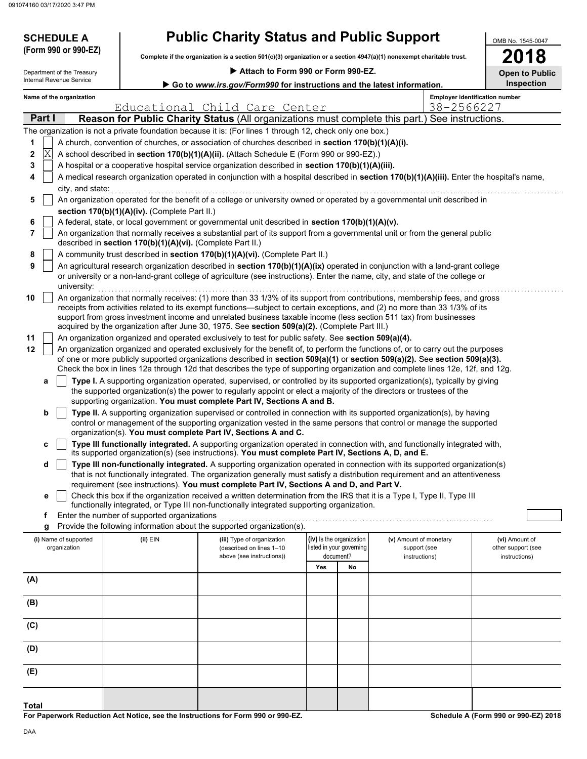# **SCHEDULE A Public Charity Status and Public Support**

 **Attach to Form 990 or Form 990-EZ. Complete if the organization is a section 501(c)(3) organization or a section 4947(a)(1) nonexempt charitable trust. (Form 990 or 990-EZ)**

| OMB No. 1545-0047     |
|-----------------------|
| 2018                  |
| <b>Open to Public</b> |
| Inspection            |

| Name of the organization   |
|----------------------------|
| Internal Revenue Service   |
| Department of the Treasury |

| Internal Revenue Service<br>Go to www.irs.gov/Form990 for instructions and the latest information. |                                                                                                                                                    |                                               |                                                            |                                                                                                                                                                                                                                                                |     | <b>Inspection</b>                     |                        |                                       |  |  |  |  |
|----------------------------------------------------------------------------------------------------|----------------------------------------------------------------------------------------------------------------------------------------------------|-----------------------------------------------|------------------------------------------------------------|----------------------------------------------------------------------------------------------------------------------------------------------------------------------------------------------------------------------------------------------------------------|-----|---------------------------------------|------------------------|---------------------------------------|--|--|--|--|
|                                                                                                    |                                                                                                                                                    | Name of the organization                      |                                                            |                                                                                                                                                                                                                                                                |     |                                       |                        | <b>Employer identification number</b> |  |  |  |  |
|                                                                                                    |                                                                                                                                                    |                                               |                                                            | Educational Child Care Center                                                                                                                                                                                                                                  |     |                                       | 38-2566227             |                                       |  |  |  |  |
|                                                                                                    | Part I                                                                                                                                             |                                               |                                                            | Reason for Public Charity Status (All organizations must complete this part.) See instructions.                                                                                                                                                                |     |                                       |                        |                                       |  |  |  |  |
|                                                                                                    |                                                                                                                                                    |                                               |                                                            | The organization is not a private foundation because it is: (For lines 1 through 12, check only one box.)                                                                                                                                                      |     |                                       |                        |                                       |  |  |  |  |
| 1                                                                                                  |                                                                                                                                                    |                                               |                                                            | A church, convention of churches, or association of churches described in section 170(b)(1)(A)(i).                                                                                                                                                             |     |                                       |                        |                                       |  |  |  |  |
| 2                                                                                                  | Χ                                                                                                                                                  |                                               |                                                            | A school described in section 170(b)(1)(A)(ii). (Attach Schedule E (Form 990 or 990-EZ).)                                                                                                                                                                      |     |                                       |                        |                                       |  |  |  |  |
| 3<br>4                                                                                             |                                                                                                                                                    |                                               |                                                            | A hospital or a cooperative hospital service organization described in section 170(b)(1)(A)(iii).<br>A medical research organization operated in conjunction with a hospital described in section 170(b)(1)(A)(iii). Enter the hospital's name,                |     |                                       |                        |                                       |  |  |  |  |
|                                                                                                    |                                                                                                                                                    |                                               |                                                            |                                                                                                                                                                                                                                                                |     |                                       |                        |                                       |  |  |  |  |
|                                                                                                    | city, and state:<br>An organization operated for the benefit of a college or university owned or operated by a governmental unit described in<br>5 |                                               |                                                            |                                                                                                                                                                                                                                                                |     |                                       |                        |                                       |  |  |  |  |
|                                                                                                    |                                                                                                                                                    | section 170(b)(1)(A)(iv). (Complete Part II.) |                                                            |                                                                                                                                                                                                                                                                |     |                                       |                        |                                       |  |  |  |  |
| 6                                                                                                  | A federal, state, or local government or governmental unit described in section 170(b)(1)(A)(v).                                                   |                                               |                                                            |                                                                                                                                                                                                                                                                |     |                                       |                        |                                       |  |  |  |  |
| 7                                                                                                  |                                                                                                                                                    |                                               |                                                            | An organization that normally receives a substantial part of its support from a governmental unit or from the general public                                                                                                                                   |     |                                       |                        |                                       |  |  |  |  |
|                                                                                                    |                                                                                                                                                    |                                               | described in section 170(b)(1)(A)(vi). (Complete Part II.) |                                                                                                                                                                                                                                                                |     |                                       |                        |                                       |  |  |  |  |
| 8                                                                                                  |                                                                                                                                                    |                                               |                                                            | A community trust described in section 170(b)(1)(A)(vi). (Complete Part II.)                                                                                                                                                                                   |     |                                       |                        |                                       |  |  |  |  |
| 9                                                                                                  |                                                                                                                                                    |                                               |                                                            | An agricultural research organization described in section 170(b)(1)(A)(ix) operated in conjunction with a land-grant college                                                                                                                                  |     |                                       |                        |                                       |  |  |  |  |
|                                                                                                    |                                                                                                                                                    |                                               |                                                            | or university or a non-land-grant college of agriculture (see instructions). Enter the name, city, and state of the college or                                                                                                                                 |     |                                       |                        |                                       |  |  |  |  |
|                                                                                                    |                                                                                                                                                    | university:                                   |                                                            |                                                                                                                                                                                                                                                                |     |                                       |                        |                                       |  |  |  |  |
| 10                                                                                                 |                                                                                                                                                    |                                               |                                                            | An organization that normally receives: (1) more than 33 1/3% of its support from contributions, membership fees, and gross<br>receipts from activities related to its exempt functions—subject to certain exceptions, and (2) no more than 33 1/3% of its     |     |                                       |                        |                                       |  |  |  |  |
|                                                                                                    |                                                                                                                                                    |                                               |                                                            | support from gross investment income and unrelated business taxable income (less section 511 tax) from businesses                                                                                                                                              |     |                                       |                        |                                       |  |  |  |  |
|                                                                                                    |                                                                                                                                                    |                                               |                                                            | acquired by the organization after June 30, 1975. See section 509(a)(2). (Complete Part III.)                                                                                                                                                                  |     |                                       |                        |                                       |  |  |  |  |
| 11                                                                                                 |                                                                                                                                                    |                                               |                                                            | An organization organized and operated exclusively to test for public safety. See section 509(a)(4).                                                                                                                                                           |     |                                       |                        |                                       |  |  |  |  |
| 12                                                                                                 |                                                                                                                                                    |                                               |                                                            | An organization organized and operated exclusively for the benefit of, to perform the functions of, or to carry out the purposes                                                                                                                               |     |                                       |                        |                                       |  |  |  |  |
|                                                                                                    |                                                                                                                                                    |                                               |                                                            | of one or more publicly supported organizations described in section 509(a)(1) or section 509(a)(2). See section 509(a)(3).<br>Check the box in lines 12a through 12d that describes the type of supporting organization and complete lines 12e, 12f, and 12g. |     |                                       |                        |                                       |  |  |  |  |
|                                                                                                    | а                                                                                                                                                  |                                               |                                                            | Type I. A supporting organization operated, supervised, or controlled by its supported organization(s), typically by giving                                                                                                                                    |     |                                       |                        |                                       |  |  |  |  |
|                                                                                                    |                                                                                                                                                    |                                               |                                                            | the supported organization(s) the power to regularly appoint or elect a majority of the directors or trustees of the                                                                                                                                           |     |                                       |                        |                                       |  |  |  |  |
|                                                                                                    |                                                                                                                                                    |                                               |                                                            | supporting organization. You must complete Part IV, Sections A and B.                                                                                                                                                                                          |     |                                       |                        |                                       |  |  |  |  |
|                                                                                                    | b                                                                                                                                                  |                                               |                                                            | Type II. A supporting organization supervised or controlled in connection with its supported organization(s), by having                                                                                                                                        |     |                                       |                        |                                       |  |  |  |  |
|                                                                                                    |                                                                                                                                                    |                                               |                                                            | control or management of the supporting organization vested in the same persons that control or manage the supported                                                                                                                                           |     |                                       |                        |                                       |  |  |  |  |
|                                                                                                    |                                                                                                                                                    |                                               |                                                            | organization(s). You must complete Part IV, Sections A and C.<br>Type III functionally integrated. A supporting organization operated in connection with, and functionally integrated with,                                                                    |     |                                       |                        |                                       |  |  |  |  |
|                                                                                                    | с                                                                                                                                                  |                                               |                                                            | its supported organization(s) (see instructions). You must complete Part IV, Sections A, D, and E.                                                                                                                                                             |     |                                       |                        |                                       |  |  |  |  |
|                                                                                                    | d                                                                                                                                                  |                                               |                                                            | Type III non-functionally integrated. A supporting organization operated in connection with its supported organization(s)                                                                                                                                      |     |                                       |                        |                                       |  |  |  |  |
|                                                                                                    |                                                                                                                                                    |                                               |                                                            | that is not functionally integrated. The organization generally must satisfy a distribution requirement and an attentiveness                                                                                                                                   |     |                                       |                        |                                       |  |  |  |  |
|                                                                                                    |                                                                                                                                                    |                                               |                                                            | requirement (see instructions). You must complete Part IV, Sections A and D, and Part V.                                                                                                                                                                       |     |                                       |                        |                                       |  |  |  |  |
|                                                                                                    | е                                                                                                                                                  |                                               |                                                            | Check this box if the organization received a written determination from the IRS that it is a Type I, Type II, Type III<br>functionally integrated, or Type III non-functionally integrated supporting organization.                                           |     |                                       |                        |                                       |  |  |  |  |
|                                                                                                    | f                                                                                                                                                  |                                               | Enter the number of supported organizations                |                                                                                                                                                                                                                                                                |     |                                       |                        |                                       |  |  |  |  |
|                                                                                                    | g                                                                                                                                                  |                                               |                                                            | Provide the following information about the supported organization(s).                                                                                                                                                                                         |     |                                       |                        |                                       |  |  |  |  |
|                                                                                                    |                                                                                                                                                    | (i) Name of supported                         | (ii) EIN                                                   | (iii) Type of organization                                                                                                                                                                                                                                     |     | (iv) Is the organization              | (v) Amount of monetary | (vi) Amount of                        |  |  |  |  |
|                                                                                                    |                                                                                                                                                    | organization                                  |                                                            | (described on lines 1-10<br>above (see instructions))                                                                                                                                                                                                          |     | listed in your governing<br>document? | support (see           | other support (see                    |  |  |  |  |
|                                                                                                    |                                                                                                                                                    |                                               |                                                            |                                                                                                                                                                                                                                                                | Yes | No                                    | instructions)          | instructions)                         |  |  |  |  |
| (A)                                                                                                |                                                                                                                                                    |                                               |                                                            |                                                                                                                                                                                                                                                                |     |                                       |                        |                                       |  |  |  |  |
|                                                                                                    |                                                                                                                                                    |                                               |                                                            |                                                                                                                                                                                                                                                                |     |                                       |                        |                                       |  |  |  |  |
| (B)                                                                                                |                                                                                                                                                    |                                               |                                                            |                                                                                                                                                                                                                                                                |     |                                       |                        |                                       |  |  |  |  |
|                                                                                                    |                                                                                                                                                    |                                               |                                                            |                                                                                                                                                                                                                                                                |     |                                       |                        |                                       |  |  |  |  |
| (C)                                                                                                |                                                                                                                                                    |                                               |                                                            |                                                                                                                                                                                                                                                                |     |                                       |                        |                                       |  |  |  |  |
|                                                                                                    |                                                                                                                                                    |                                               |                                                            |                                                                                                                                                                                                                                                                |     |                                       |                        |                                       |  |  |  |  |
| (D)                                                                                                |                                                                                                                                                    |                                               |                                                            |                                                                                                                                                                                                                                                                |     |                                       |                        |                                       |  |  |  |  |
|                                                                                                    |                                                                                                                                                    |                                               |                                                            |                                                                                                                                                                                                                                                                |     |                                       |                        |                                       |  |  |  |  |
| (E)                                                                                                |                                                                                                                                                    |                                               |                                                            |                                                                                                                                                                                                                                                                |     |                                       |                        |                                       |  |  |  |  |
|                                                                                                    |                                                                                                                                                    |                                               |                                                            |                                                                                                                                                                                                                                                                |     |                                       |                        |                                       |  |  |  |  |
|                                                                                                    |                                                                                                                                                    |                                               |                                                            |                                                                                                                                                                                                                                                                |     |                                       |                        |                                       |  |  |  |  |
| Total                                                                                              |                                                                                                                                                    |                                               |                                                            | For Paperwork Reduction Act Notice, see the Instructions for Form 990 or 990-EZ.                                                                                                                                                                               |     |                                       |                        | Schedule A (Form 990 or 990-EZ) 2018  |  |  |  |  |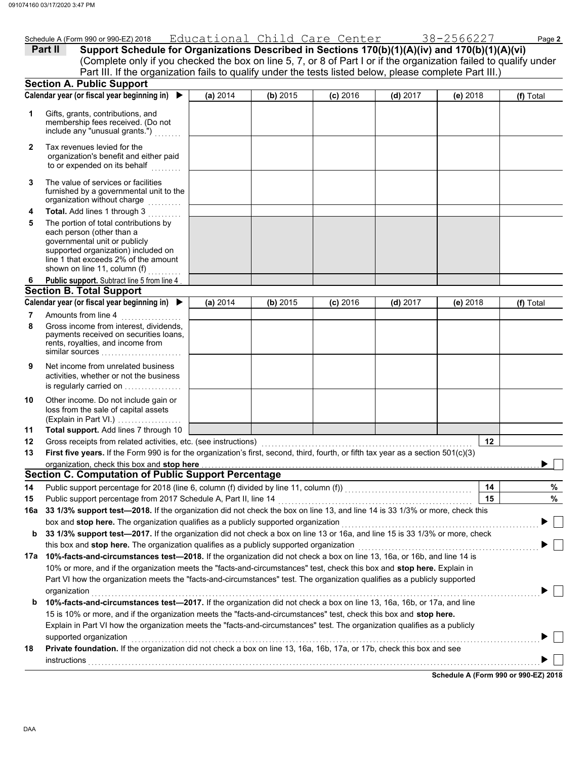(Explain in Part VI.) . . . . . . . . . . . . . . . . .

loss from the sale of capital assets Other income. Do not include gain or is regularly carried on . . . . . . . . . . . . . . . . activities, whether or not the business Net income from unrelated business

**Total support.** Add lines 7 through 10

|              | 074100 03/17/2020 3.47 PM                                                                                                                                                                                                                                                                                                                 |          |          |            |                                          |          |           |
|--------------|-------------------------------------------------------------------------------------------------------------------------------------------------------------------------------------------------------------------------------------------------------------------------------------------------------------------------------------------|----------|----------|------------|------------------------------------------|----------|-----------|
|              | Schedule A (Form 990 or 990-EZ) 2018                                                                                                                                                                                                                                                                                                      |          |          |            | Educational Child Care Center 38-2566227 |          | Page 2    |
|              | Support Schedule for Organizations Described in Sections 170(b)(1)(A)(iv) and 170(b)(1)(A)(vi)<br>Part II<br>(Complete only if you checked the box on line 5, 7, or 8 of Part I or if the organization failed to qualify under<br>Part III. If the organization fails to qualify under the tests listed below, please complete Part III.) |          |          |            |                                          |          |           |
|              | <b>Section A. Public Support</b>                                                                                                                                                                                                                                                                                                          |          |          |            |                                          |          |           |
|              | Calendar year (or fiscal year beginning in) $\blacktriangleright$                                                                                                                                                                                                                                                                         | (a) 2014 | (b) 2015 | $(c)$ 2016 | $(d)$ 2017                               | (e) 2018 | (f) Total |
| 1            | Gifts, grants, contributions, and<br>membership fees received. (Do not<br>include any "unusual grants.")                                                                                                                                                                                                                                  |          |          |            |                                          |          |           |
| $\mathbf{2}$ | Tax revenues levied for the<br>organization's benefit and either paid<br>to or expended on its behalf                                                                                                                                                                                                                                     |          |          |            |                                          |          |           |
| 3            | The value of services or facilities<br>furnished by a governmental unit to the<br>organization without charge                                                                                                                                                                                                                             |          |          |            |                                          |          |           |
| 4            | Total. Add lines 1 through 3                                                                                                                                                                                                                                                                                                              |          |          |            |                                          |          |           |
| 5            | The portion of total contributions by<br>each person (other than a<br>governmental unit or publicly<br>supported organization) included on<br>line 1 that exceeds 2% of the amount<br>shown on line 11, column (f)                                                                                                                        |          |          |            |                                          |          |           |
| 6            | Public support. Subtract line 5 from line 4                                                                                                                                                                                                                                                                                               |          |          |            |                                          |          |           |
|              | <b>Section B. Total Support</b>                                                                                                                                                                                                                                                                                                           |          |          |            |                                          |          |           |
|              | Calendar year (or fiscal year beginning in) ▶                                                                                                                                                                                                                                                                                             | (a) 2014 | (b) 2015 | $(c)$ 2016 | $(d)$ 2017                               | (e) 2018 | (f) Total |
| 7            | Amounts from line 4                                                                                                                                                                                                                                                                                                                       |          |          |            |                                          |          |           |
| 8            | Gross income from interest, dividends,<br>payments received on securities loans,<br>rents, royalties, and income from<br>similar sources                                                                                                                                                                                                  |          |          |            |                                          |          |           |

| 12  | Gross receipts from related activities, etc. (see instructions)                                                                                                                                                                      | 12 |                                      |  |  |  |  |  |  |
|-----|--------------------------------------------------------------------------------------------------------------------------------------------------------------------------------------------------------------------------------------|----|--------------------------------------|--|--|--|--|--|--|
| 13  | First five years. If the Form 990 is for the organization's first, second, third, fourth, or fifth tax year as a section $501(c)(3)$                                                                                                 |    |                                      |  |  |  |  |  |  |
|     | organization, check this box and stop here <b>construct the construct of the construct of the construct of the construct of the construct of the construct of the construct of the construct of the construction of the construc</b> |    |                                      |  |  |  |  |  |  |
|     | Section C. Computation of Public Support Percentage                                                                                                                                                                                  |    |                                      |  |  |  |  |  |  |
| 14  | Public support percentage for 2018 (line 6, column (f) divided by line 11, column (f))                                                                                                                                               | 14 | ℅                                    |  |  |  |  |  |  |
| 15  | Public support percentage from 2017 Schedule A, Part II, line 14                                                                                                                                                                     | 15 | ℅                                    |  |  |  |  |  |  |
| 16а | 33 1/3% support test—2018. If the organization did not check the box on line 13, and line 14 is 33 1/3% or more, check this                                                                                                          |    |                                      |  |  |  |  |  |  |
|     | box and stop here. The organization qualifies as a publicly supported organization                                                                                                                                                   |    |                                      |  |  |  |  |  |  |
| b   | 33 1/3% support test—2017. If the organization did not check a box on line 13 or 16a, and line 15 is 33 1/3% or more, check                                                                                                          |    |                                      |  |  |  |  |  |  |
|     | this box and <b>stop here.</b> The organization qualifies as a publicly supported organization                                                                                                                                       |    |                                      |  |  |  |  |  |  |
| 17a | 10%-facts-and-circumstances test-2018. If the organization did not check a box on line 13, 16a, or 16b, and line 14 is                                                                                                               |    |                                      |  |  |  |  |  |  |
|     | 10% or more, and if the organization meets the "facts-and-circumstances" test, check this box and <b>stop here.</b> Explain in                                                                                                       |    |                                      |  |  |  |  |  |  |
|     | Part VI how the organization meets the "facts-and-circumstances" test. The organization qualifies as a publicly supported                                                                                                            |    |                                      |  |  |  |  |  |  |
|     | organization                                                                                                                                                                                                                         |    |                                      |  |  |  |  |  |  |
| b   | 10%-facts-and-circumstances test-2017. If the organization did not check a box on line 13, 16a, 16b, or 17a, and line                                                                                                                |    |                                      |  |  |  |  |  |  |
|     | 15 is 10% or more, and if the organization meets the "facts-and-circumstances" test, check this box and <b>stop here.</b>                                                                                                            |    |                                      |  |  |  |  |  |  |
|     | Explain in Part VI how the organization meets the "facts-and-circumstances" test. The organization qualifies as a publicly                                                                                                           |    |                                      |  |  |  |  |  |  |
|     | supported organization                                                                                                                                                                                                               |    |                                      |  |  |  |  |  |  |
| 18  | Private foundation. If the organization did not check a box on line 13, 16a, 16b, 17a, or 17b, check this box and see                                                                                                                |    |                                      |  |  |  |  |  |  |
|     | instructions                                                                                                                                                                                                                         |    |                                      |  |  |  |  |  |  |
|     |                                                                                                                                                                                                                                      |    | Schodule A (Form 000 or 000 F7) 2019 |  |  |  |  |  |  |

**Schedule A (Form 990 or 990-EZ) 2018**

**11**

**9**

**10**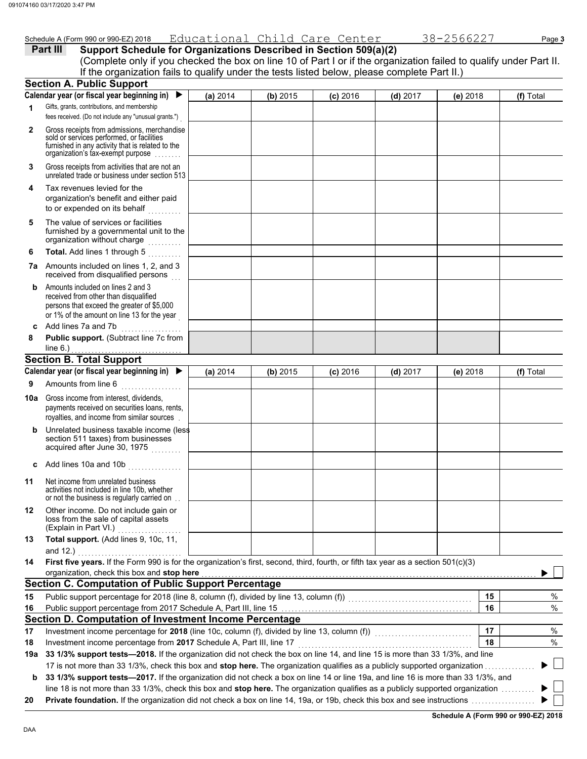|              | Schedule A (Form 990 or 990-EZ) 2018                                                                                                                                                                                                |          |          | Educational Child Care Center |            | 38-2566227 | Page 3    |
|--------------|-------------------------------------------------------------------------------------------------------------------------------------------------------------------------------------------------------------------------------------|----------|----------|-------------------------------|------------|------------|-----------|
|              | Support Schedule for Organizations Described in Section 509(a)(2)<br>Part III                                                                                                                                                       |          |          |                               |            |            |           |
|              | (Complete only if you checked the box on line 10 of Part I or if the organization failed to qualify under Part II.                                                                                                                  |          |          |                               |            |            |           |
|              | If the organization fails to qualify under the tests listed below, please complete Part II.)                                                                                                                                        |          |          |                               |            |            |           |
|              | <b>Section A. Public Support</b>                                                                                                                                                                                                    |          |          |                               |            |            |           |
|              | Calendar year (or fiscal year beginning in) ▶                                                                                                                                                                                       | (a) 2014 | (b) 2015 | $(c)$ 2016                    | $(d)$ 2017 | $(e)$ 2018 | (f) Total |
| 1            | Gifts, grants, contributions, and membership                                                                                                                                                                                        |          |          |                               |            |            |           |
|              | fees received. (Do not include any "unusual grants.")                                                                                                                                                                               |          |          |                               |            |            |           |
|              |                                                                                                                                                                                                                                     |          |          |                               |            |            |           |
| $\mathbf{2}$ | Gross receipts from admissions, merchandise<br>sold or services performed, or facilities                                                                                                                                            |          |          |                               |            |            |           |
|              | furnished in any activity that is related to the                                                                                                                                                                                    |          |          |                               |            |            |           |
|              | organization's tax-exempt purpose                                                                                                                                                                                                   |          |          |                               |            |            |           |
| 3            | Gross receipts from activities that are not an                                                                                                                                                                                      |          |          |                               |            |            |           |
|              | unrelated trade or business under section 513                                                                                                                                                                                       |          |          |                               |            |            |           |
| 4            | Tax revenues levied for the                                                                                                                                                                                                         |          |          |                               |            |            |           |
|              | organization's benefit and either paid                                                                                                                                                                                              |          |          |                               |            |            |           |
|              | to or expended on its behalf                                                                                                                                                                                                        |          |          |                               |            |            |           |
| 5            | The value of services or facilities                                                                                                                                                                                                 |          |          |                               |            |            |           |
|              | furnished by a governmental unit to the                                                                                                                                                                                             |          |          |                               |            |            |           |
|              | organization without charge                                                                                                                                                                                                         |          |          |                               |            |            |           |
| 6            | Total. Add lines 1 through 5<br>.                                                                                                                                                                                                   |          |          |                               |            |            |           |
|              | 7a Amounts included on lines 1, 2, and 3                                                                                                                                                                                            |          |          |                               |            |            |           |
|              | received from disqualified persons                                                                                                                                                                                                  |          |          |                               |            |            |           |
| b            | Amounts included on lines 2 and 3<br>received from other than disqualified                                                                                                                                                          |          |          |                               |            |            |           |
|              | persons that exceed the greater of \$5,000                                                                                                                                                                                          |          |          |                               |            |            |           |
|              | or 1% of the amount on line 13 for the year                                                                                                                                                                                         |          |          |                               |            |            |           |
| C            | Add lines 7a and 7b<br>.                                                                                                                                                                                                            |          |          |                               |            |            |           |
| 8            | Public support. (Subtract line 7c from                                                                                                                                                                                              |          |          |                               |            |            |           |
|              | line $6.$ )                                                                                                                                                                                                                         |          |          |                               |            |            |           |
|              | <b>Section B. Total Support</b>                                                                                                                                                                                                     |          |          |                               |            |            |           |
|              | Calendar year (or fiscal year beginning in)                                                                                                                                                                                         | (a) 2014 | (b) 2015 | $(c)$ 2016                    | $(d)$ 2017 | (e) 2018   | (f) Total |
| 9            | Amounts from line 6                                                                                                                                                                                                                 |          |          |                               |            |            |           |
|              |                                                                                                                                                                                                                                     |          |          |                               |            |            |           |
| 10a          | Gross income from interest, dividends,<br>payments received on securities loans, rents,                                                                                                                                             |          |          |                               |            |            |           |
|              | royalties, and income from similar sources.                                                                                                                                                                                         |          |          |                               |            |            |           |
|              | Unrelated business taxable income (less                                                                                                                                                                                             |          |          |                               |            |            |           |
| b            | section 511 taxes) from businesses                                                                                                                                                                                                  |          |          |                               |            |            |           |
|              | acquired after June 30, 1975                                                                                                                                                                                                        |          |          |                               |            |            |           |
|              |                                                                                                                                                                                                                                     |          |          |                               |            |            |           |
|              | c Add lines 10a and 10b $\ldots$                                                                                                                                                                                                    |          |          |                               |            |            |           |
| 11           | Net income from unrelated business                                                                                                                                                                                                  |          |          |                               |            |            |           |
|              | activities not included in line 10b, whether                                                                                                                                                                                        |          |          |                               |            |            |           |
|              | or not the business is regularly carried on.                                                                                                                                                                                        |          |          |                               |            |            |           |
| 12           | Other income. Do not include gain or<br>loss from the sale of capital assets                                                                                                                                                        |          |          |                               |            |            |           |
|              | (Explain in Part VI.)                                                                                                                                                                                                               |          |          |                               |            |            |           |
| 13           | Total support. (Add lines 9, 10c, 11,                                                                                                                                                                                               |          |          |                               |            |            |           |
|              | and 12.)                                                                                                                                                                                                                            |          |          |                               |            |            |           |
| 14           | First five years. If the Form 990 is for the organization's first, second, third, fourth, or fifth tax year as a section 501(c)(3)                                                                                                  |          |          |                               |            |            |           |
|              | organization, check this box and stop here <b>construction</b> and construction of the state of the state of the state of the state of the state of the state of the state of the state of the state of the state of the state of t |          |          |                               |            |            |           |
|              | <b>Section C. Computation of Public Support Percentage</b>                                                                                                                                                                          |          |          |                               |            |            |           |
| 15           |                                                                                                                                                                                                                                     |          |          |                               |            | 15         | $\%$      |
| 16           |                                                                                                                                                                                                                                     |          |          |                               |            | 16         | %         |
|              | Section D. Computation of Investment Income Percentage                                                                                                                                                                              |          |          |                               |            |            |           |
| 17           | Investment income percentage for 2018 (line 10c, column (f), divided by line 13, column (f)) [[[[[[[[[[[[[[[[                                                                                                                       |          |          |                               |            | 17         | $\%$      |
|              | Investment income percentage from 2017 Schedule A, Part III, line 17                                                                                                                                                                |          |          |                               |            | 18         | %         |
| 18           |                                                                                                                                                                                                                                     |          |          |                               |            |            |           |
|              | 19a 33 1/3% support tests-2018. If the organization did not check the box on line 14, and line 15 is more than 33 1/3%, and line                                                                                                    |          |          |                               |            |            |           |
|              | 17 is not more than 33 1/3%, check this box and stop here. The organization qualifies as a publicly supported organization                                                                                                          |          |          |                               |            |            |           |
|              |                                                                                                                                                                                                                                     |          |          |                               |            |            |           |
| b            | 33 1/3% support tests-2017. If the organization did not check a box on line 14 or line 19a, and line 16 is more than 33 1/3%, and                                                                                                   |          |          |                               |            |            |           |
| 20           | line 18 is not more than 33 1/3%, check this box and stop here. The organization qualifies as a publicly supported organization                                                                                                     |          |          |                               |            |            |           |

**Schedule A (Form 990 or 990-EZ) 2018**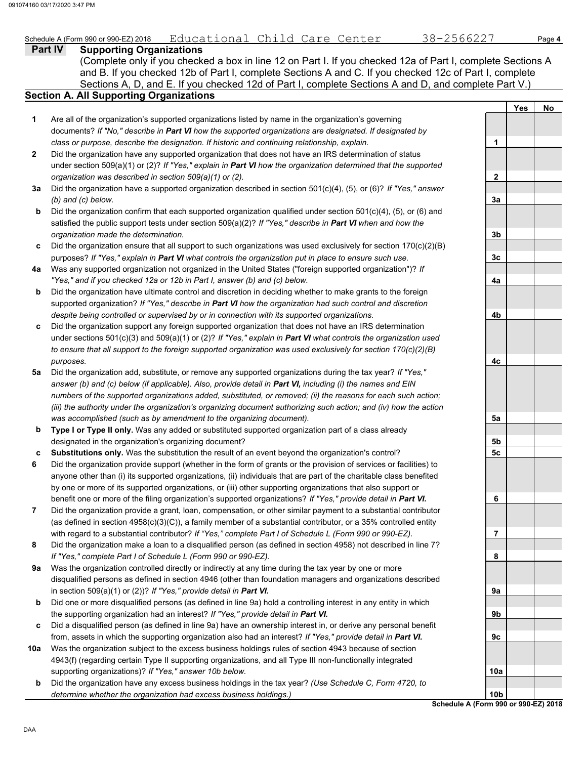### Schedule A (Form 990 or 990-EZ) 2018 Educational Child Care Center 38-2566227 Page **4**

**Part IV Supporting Organizations** Sections A, D, and E. If you checked 12d of Part I, complete Sections A and D, and complete Part V.) (Complete only if you checked a box in line 12 on Part I. If you checked 12a of Part I, complete Sections A and B. If you checked 12b of Part I, complete Sections A and C. If you checked 12c of Part I, complete

### **Section A. All Supporting Organizations**

- Are all of the organization's supported organizations listed by name in the organization's governing documents? *If "No," describe in Part VI how the supported organizations are designated. If designated by class or purpose, describe the designation. If historic and continuing relationship, explain.* **1**
- Did the organization have any supported organization that does not have an IRS determination of status under section 509(a)(1) or (2)? *If "Yes," explain in Part VI how the organization determined that the supported organization was described in section 509(a)(1) or (2).* **2**
- **3a** Did the organization have a supported organization described in section 501(c)(4), (5), or (6)? *If "Yes," answer (b) and (c) below.*
- **b** Did the organization confirm that each supported organization qualified under section  $501(c)(4)$ ,  $(5)$ , or  $(6)$  and satisfied the public support tests under section 509(a)(2)? *If "Yes," describe in Part VI when and how the organization made the determination.*
- **c** Did the organization ensure that all support to such organizations was used exclusively for section  $170(c)(2)(B)$ purposes? *If "Yes," explain in Part VI what controls the organization put in place to ensure such use.*
- **4a** Was any supported organization not organized in the United States ("foreign supported organization")? *If "Yes," and if you checked 12a or 12b in Part I, answer (b) and (c) below.*
- **b** Did the organization have ultimate control and discretion in deciding whether to make grants to the foreign supported organization? *If "Yes," describe in Part VI how the organization had such control and discretion despite being controlled or supervised by or in connection with its supported organizations.*
- **c** Did the organization support any foreign supported organization that does not have an IRS determination under sections 501(c)(3) and 509(a)(1) or (2)? *If "Yes," explain in Part VI what controls the organization used to ensure that all support to the foreign supported organization was used exclusively for section 170(c)(2)(B) purposes.*
- **5a** Did the organization add, substitute, or remove any supported organizations during the tax year? *If "Yes," answer (b) and (c) below (if applicable). Also, provide detail in Part VI, including (i) the names and EIN numbers of the supported organizations added, substituted, or removed; (ii) the reasons for each such action; (iii) the authority under the organization's organizing document authorizing such action; and (iv) how the action was accomplished (such as by amendment to the organizing document).*
- **b Type I or Type II only.** Was any added or substituted supported organization part of a class already designated in the organization's organizing document?
- **c Substitutions only.** Was the substitution the result of an event beyond the organization's control?
- **6** Did the organization provide support (whether in the form of grants or the provision of services or facilities) to anyone other than (i) its supported organizations, (ii) individuals that are part of the charitable class benefited by one or more of its supported organizations, or (iii) other supporting organizations that also support or benefit one or more of the filing organization's supported organizations? *If "Yes," provide detail in Part VI.*
- **7** Did the organization provide a grant, loan, compensation, or other similar payment to a substantial contributor (as defined in section 4958(c)(3)(C)), a family member of a substantial contributor, or a 35% controlled entity with regard to a substantial contributor? *If "Yes," complete Part I of Schedule L (Form 990 or 990-EZ).*
- **8** Did the organization make a loan to a disqualified person (as defined in section 4958) not described in line 7? *If "Yes," complete Part I of Schedule L (Form 990 or 990-EZ).*
- **9a** Was the organization controlled directly or indirectly at any time during the tax year by one or more disqualified persons as defined in section 4946 (other than foundation managers and organizations described in section 509(a)(1) or (2))? *If "Yes," provide detail in Part VI.*
- **b** Did one or more disqualified persons (as defined in line 9a) hold a controlling interest in any entity in which the supporting organization had an interest? *If "Yes," provide detail in Part VI.*
- **c** Did a disqualified person (as defined in line 9a) have an ownership interest in, or derive any personal benefit from, assets in which the supporting organization also had an interest? *If "Yes," provide detail in Part VI.*
- **10a** Was the organization subject to the excess business holdings rules of section 4943 because of section 4943(f) (regarding certain Type II supporting organizations, and all Type III non-functionally integrated supporting organizations)? *If "Yes," answer 10b below.*
- **b** Did the organization have any excess business holdings in the tax year? *(Use Schedule C, Form 4720, to determine whether the organization had excess business holdings.)*

|                 | Yes | No |
|-----------------|-----|----|
|                 |     |    |
| 1               |     |    |
|                 |     |    |
| $\overline{2}$  |     |    |
| <u>3a</u>       |     |    |
| 3b              |     |    |
| 3c              |     |    |
| 4a              |     |    |
|                 |     |    |
| 4b              |     |    |
|                 |     |    |
| 4c              |     |    |
|                 |     |    |
|                 |     |    |
| 5a              |     |    |
| 5b              |     |    |
| 5c              |     |    |
|                 |     |    |
| 6               |     |    |
| 7               |     |    |
| 8               |     |    |
|                 |     |    |
| 9а              |     |    |
| 9b              |     |    |
| 9c              |     |    |
|                 |     |    |
| 10a             |     |    |
| 10 <sub>b</sub> |     |    |

**Schedule A (Form 990 or 990-EZ) 2018**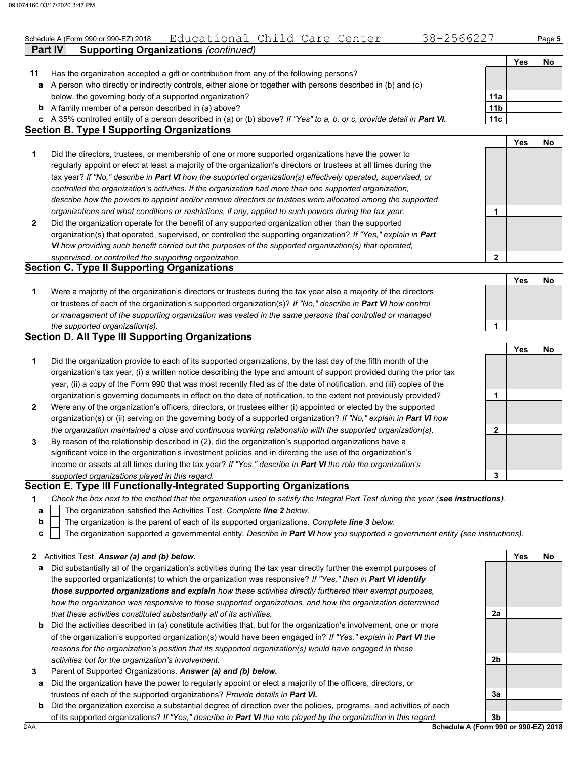|              | Educational Child Care Center<br>38-2566227<br>Schedule A (Form 990 or 990-EZ) 2018                                                                                          |                 |     | Page 5 |
|--------------|------------------------------------------------------------------------------------------------------------------------------------------------------------------------------|-----------------|-----|--------|
|              | <b>Supporting Organizations (continued)</b><br><b>Part IV</b>                                                                                                                |                 |     |        |
|              |                                                                                                                                                                              |                 | Yes | No     |
| 11           | Has the organization accepted a gift or contribution from any of the following persons?                                                                                      |                 |     |        |
| a            | A person who directly or indirectly controls, either alone or together with persons described in (b) and (c)                                                                 |                 |     |        |
|              | below, the governing body of a supported organization?                                                                                                                       | 11a             |     |        |
|              | <b>b</b> A family member of a person described in (a) above?                                                                                                                 | 11 <sub>b</sub> |     |        |
|              | c A 35% controlled entity of a person described in (a) or (b) above? If "Yes" to a, b, or c, provide detail in Part VI.<br><b>Section B. Type I Supporting Organizations</b> | 11c             |     |        |
|              |                                                                                                                                                                              |                 | Yes | No     |
| 1            | Did the directors, trustees, or membership of one or more supported organizations have the power to                                                                          |                 |     |        |
|              | regularly appoint or elect at least a majority of the organization's directors or trustees at all times during the                                                           |                 |     |        |
|              | tax year? If "No," describe in Part VI how the supported organization(s) effectively operated, supervised, or                                                                |                 |     |        |
|              | controlled the organization's activities. If the organization had more than one supported organization,                                                                      |                 |     |        |
|              | describe how the powers to appoint and/or remove directors or trustees were allocated among the supported                                                                    |                 |     |        |
|              | organizations and what conditions or restrictions, if any, applied to such powers during the tax year.                                                                       |                 |     |        |
|              |                                                                                                                                                                              | 1               |     |        |
| $\mathbf{2}$ | Did the organization operate for the benefit of any supported organization other than the supported                                                                          |                 |     |        |
|              | organization(s) that operated, supervised, or controlled the supporting organization? If "Yes," explain in Part                                                              |                 |     |        |
|              | VI how providing such benefit carried out the purposes of the supported organization(s) that operated,                                                                       |                 |     |        |
|              | supervised, or controlled the supporting organization.<br><b>Section C. Type II Supporting Organizations</b>                                                                 | 2               |     |        |
|              |                                                                                                                                                                              |                 | Yes | No     |
| 1            | Were a majority of the organization's directors or trustees during the tax year also a majority of the directors                                                             |                 |     |        |
|              | or trustees of each of the organization's supported organization(s)? If "No," describe in Part VI how control                                                                |                 |     |        |
|              | or management of the supporting organization was vested in the same persons that controlled or managed                                                                       |                 |     |        |
|              | the supported organization(s).                                                                                                                                               | 1               |     |        |
|              | <b>Section D. All Type III Supporting Organizations</b>                                                                                                                      |                 |     |        |
|              |                                                                                                                                                                              |                 | Yes | No     |
| 1            | Did the organization provide to each of its supported organizations, by the last day of the fifth month of the                                                               |                 |     |        |
|              | organization's tax year, (i) a written notice describing the type and amount of support provided during the prior tax                                                        |                 |     |        |
|              | year, (ii) a copy of the Form 990 that was most recently filed as of the date of notification, and (iii) copies of the                                                       |                 |     |        |
|              | organization's governing documents in effect on the date of notification, to the extent not previously provided?                                                             | 1               |     |        |
| $\mathbf{2}$ | Were any of the organization's officers, directors, or trustees either (i) appointed or elected by the supported                                                             |                 |     |        |
|              | organization(s) or (ii) serving on the governing body of a supported organization? If "No," explain in Part VI how                                                           |                 |     |        |
|              | the organization maintained a close and continuous working relationship with the supported organization(s).                                                                  | 2               |     |        |
| 3            | By reason of the relationship described in (2), did the organization's supported organizations have a                                                                        |                 |     |        |
|              | significant voice in the organization's investment policies and in directing the use of the organization's                                                                   |                 |     |        |
|              | income or assets at all times during the tax year? If "Yes," describe in Part VI the role the organization's                                                                 |                 |     |        |
|              | supported organizations played in this regard.                                                                                                                               | 3               |     |        |
|              | Section E. Type III Functionally-Integrated Supporting Organizations                                                                                                         |                 |     |        |
| 1            | Check the box next to the method that the organization used to satisfy the Integral Part Test during the year (see instructions).                                            |                 |     |        |
| а            | The organization satisfied the Activities Test. Complete line 2 below.                                                                                                       |                 |     |        |
| b            | The organization is the parent of each of its supported organizations. Complete line 3 below.                                                                                |                 |     |        |
| c            | The organization supported a governmental entity. Describe in Part VI how you supported a government entity (see instructions).                                              |                 |     |        |
| $\mathbf{z}$ | Activities Test. Answer (a) and (b) below.                                                                                                                                   |                 | Yes | No     |
| а            | Did substantially all of the organization's activities during the tax year directly further the exempt purposes of                                                           |                 |     |        |
|              | the supported organization(s) to which the organization was responsive? If "Yes," then in Part VI identify                                                                   |                 |     |        |
|              |                                                                                                                                                                              |                 |     |        |

- **b** Did the activities described in (a) constitute activities that, but for the organization's involvement, one or more *those supported organizations and explain how these activities directly furthered their exempt purposes, how the organization was responsive to those supported organizations, and how the organization determined that these activities constituted substantially all of its activities.* of the organization's supported organization(s) would have been engaged in? *If "Yes," explain in Part VI the*
- *reasons for the organization's position that its supported organization(s) would have engaged in these activities but for the organization's involvement.*
- **3** Parent of Supported Organizations. *Answer (a) and (b) below.*
- **a** Did the organization have the power to regularly appoint or elect a majority of the officers, directors, or trustees of each of the supported organizations? *Provide details in Part VI.*
- **b** Did the organization exercise a substantial degree of direction over the policies, programs, and activities of each of its supported organizations? *If "Yes," describe in Part VI the role played by the organization in this regard.*

DAA **Schedule A (Form 990 or 990-EZ) 2018 3b**

**3a**

**2a**

**2b**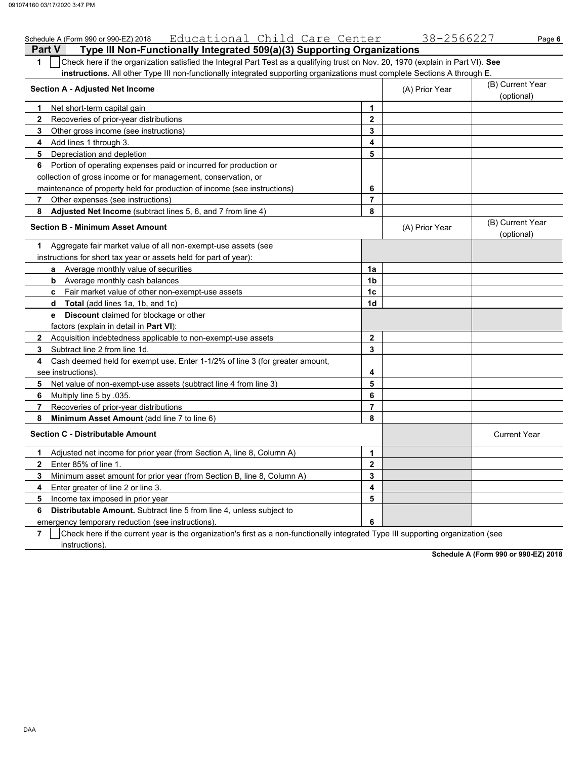|               | Schedule A (Form 990 or 990-EZ) 2018 Educational Child Care Center                                                               |                | 38-2566227     | Page 6                         |  |  |  |  |  |  |
|---------------|----------------------------------------------------------------------------------------------------------------------------------|----------------|----------------|--------------------------------|--|--|--|--|--|--|
| <b>Part V</b> | Type III Non-Functionally Integrated 509(a)(3) Supporting Organizations                                                          |                |                |                                |  |  |  |  |  |  |
| 1             | Check here if the organization satisfied the Integral Part Test as a qualifying trust on Nov. 20, 1970 (explain in Part VI). See |                |                |                                |  |  |  |  |  |  |
|               | instructions. All other Type III non-functionally integrated supporting organizations must complete Sections A through E.        |                |                |                                |  |  |  |  |  |  |
|               | <b>Section A - Adjusted Net Income</b>                                                                                           |                | (A) Prior Year | (B) Current Year<br>(optional) |  |  |  |  |  |  |
| 1.            | Net short-term capital gain                                                                                                      | $\mathbf{1}$   |                |                                |  |  |  |  |  |  |
| $\mathbf{2}$  | Recoveries of prior-year distributions                                                                                           | 2              |                |                                |  |  |  |  |  |  |
| 3             | Other gross income (see instructions)                                                                                            | 3              |                |                                |  |  |  |  |  |  |
| 4             | Add lines 1 through 3.                                                                                                           | 4              |                |                                |  |  |  |  |  |  |
| 5             | Depreciation and depletion                                                                                                       | 5              |                |                                |  |  |  |  |  |  |
| 6             | Portion of operating expenses paid or incurred for production or                                                                 |                |                |                                |  |  |  |  |  |  |
|               | collection of gross income or for management, conservation, or                                                                   |                |                |                                |  |  |  |  |  |  |
|               | maintenance of property held for production of income (see instructions)                                                         | 6              |                |                                |  |  |  |  |  |  |
| 7             | Other expenses (see instructions)                                                                                                | 7              |                |                                |  |  |  |  |  |  |
| 8             | Adjusted Net Income (subtract lines 5, 6, and 7 from line 4)                                                                     | 8              |                |                                |  |  |  |  |  |  |
|               | <b>Section B - Minimum Asset Amount</b>                                                                                          |                | (A) Prior Year | (B) Current Year<br>(optional) |  |  |  |  |  |  |
| 1.            | Aggregate fair market value of all non-exempt-use assets (see                                                                    |                |                |                                |  |  |  |  |  |  |
|               | instructions for short tax year or assets held for part of year):                                                                |                |                |                                |  |  |  |  |  |  |
|               | Average monthly value of securities<br>a                                                                                         | 1a             |                |                                |  |  |  |  |  |  |
|               | Average monthly cash balances<br>b                                                                                               | 1 <sub>b</sub> |                |                                |  |  |  |  |  |  |
|               | c Fair market value of other non-exempt-use assets                                                                               | 1 <sub>c</sub> |                |                                |  |  |  |  |  |  |
|               | Total (add lines 1a, 1b, and 1c)<br>d                                                                                            | 1d             |                |                                |  |  |  |  |  |  |
|               | <b>Discount</b> claimed for blockage or other<br>e                                                                               |                |                |                                |  |  |  |  |  |  |
|               | factors (explain in detail in <b>Part VI)</b> :                                                                                  |                |                |                                |  |  |  |  |  |  |
| $\mathbf{2}$  | Acquisition indebtedness applicable to non-exempt-use assets                                                                     | $\mathbf{2}$   |                |                                |  |  |  |  |  |  |
| 3             | Subtract line 2 from line 1d.                                                                                                    | 3              |                |                                |  |  |  |  |  |  |
| 4             | Cash deemed held for exempt use. Enter 1-1/2% of line 3 (for greater amount,                                                     |                |                |                                |  |  |  |  |  |  |
|               | see instructions)                                                                                                                | 4              |                |                                |  |  |  |  |  |  |
| 5             | Net value of non-exempt-use assets (subtract line 4 from line 3)                                                                 | 5              |                |                                |  |  |  |  |  |  |
| 6             | Multiply line 5 by 035.                                                                                                          | 6              |                |                                |  |  |  |  |  |  |
| 7             | Recoveries of prior-year distributions                                                                                           | $\overline{7}$ |                |                                |  |  |  |  |  |  |
| 8             | Minimum Asset Amount (add line 7 to line 6)                                                                                      | 8              |                |                                |  |  |  |  |  |  |
|               | <b>Section C - Distributable Amount</b>                                                                                          |                |                | <b>Current Year</b>            |  |  |  |  |  |  |
| 1             | Adjusted net income for prior year (from Section A, line 8, Column A)                                                            | 1              |                |                                |  |  |  |  |  |  |
| $\mathbf{2}$  | Enter 85% of line 1                                                                                                              | $\overline{2}$ |                |                                |  |  |  |  |  |  |
| 3             | Minimum asset amount for prior year (from Section B, line 8, Column A)                                                           | 3              |                |                                |  |  |  |  |  |  |
| 4             | Enter greater of line 2 or line 3.                                                                                               | 4              |                |                                |  |  |  |  |  |  |
| 5             | Income tax imposed in prior year                                                                                                 | 5              |                |                                |  |  |  |  |  |  |
| 6             | <b>Distributable Amount.</b> Subtract line 5 from line 4, unless subject to                                                      |                |                |                                |  |  |  |  |  |  |
|               | emergency temporary reduction (see instructions)                                                                                 | 6              |                |                                |  |  |  |  |  |  |

**7** Check here if the current year is the organization's first as a non-functionally integrated Type III supporting organization (see instructions).

**Schedule A (Form 990 or 990-EZ) 2018**

DAA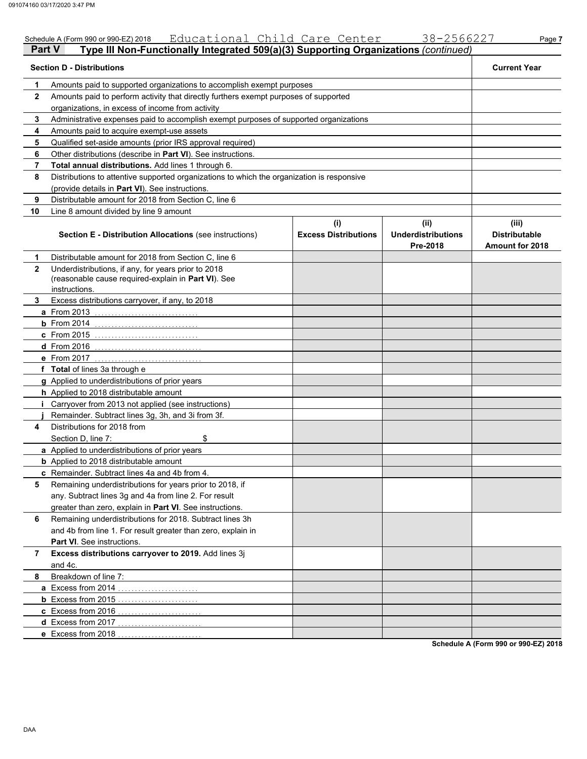|              | Educational Child Care Center<br>Schedule A (Form 990 or 990-EZ) 2018                                                       |                                    | 38-2566227                                    | Page 7                                           |
|--------------|-----------------------------------------------------------------------------------------------------------------------------|------------------------------------|-----------------------------------------------|--------------------------------------------------|
|              | Type III Non-Functionally Integrated 509(a)(3) Supporting Organizations (continued)<br><b>Part V</b>                        |                                    |                                               |                                                  |
|              | <b>Section D - Distributions</b>                                                                                            |                                    |                                               | <b>Current Year</b>                              |
| 1            | Amounts paid to supported organizations to accomplish exempt purposes                                                       |                                    |                                               |                                                  |
| $\mathbf{2}$ | Amounts paid to perform activity that directly furthers exempt purposes of supported                                        |                                    |                                               |                                                  |
|              | organizations, in excess of income from activity                                                                            |                                    |                                               |                                                  |
| 3            | Administrative expenses paid to accomplish exempt purposes of supported organizations                                       |                                    |                                               |                                                  |
| 4            | Amounts paid to acquire exempt-use assets                                                                                   |                                    |                                               |                                                  |
| 5            | Qualified set-aside amounts (prior IRS approval required)                                                                   |                                    |                                               |                                                  |
| 6            | Other distributions (describe in Part VI). See instructions.                                                                |                                    |                                               |                                                  |
| 7            | Total annual distributions. Add lines 1 through 6.                                                                          |                                    |                                               |                                                  |
| 8            | Distributions to attentive supported organizations to which the organization is responsive                                  |                                    |                                               |                                                  |
|              | (provide details in Part VI). See instructions.                                                                             |                                    |                                               |                                                  |
| 9            | Distributable amount for 2018 from Section C, line 6                                                                        |                                    |                                               |                                                  |
| 10           | Line 8 amount divided by line 9 amount                                                                                      |                                    |                                               |                                                  |
|              | Section E - Distribution Allocations (see instructions)                                                                     | (i)<br><b>Excess Distributions</b> | (ii)<br><b>Underdistributions</b><br>Pre-2018 | (iii)<br><b>Distributable</b><br>Amount for 2018 |
| 1            | Distributable amount for 2018 from Section C. line 6                                                                        |                                    |                                               |                                                  |
| 2            | Underdistributions, if any, for years prior to 2018<br>(reasonable cause required-explain in Part VI). See<br>instructions. |                                    |                                               |                                                  |
| 3.           | Excess distributions carryover, if any, to 2018                                                                             |                                    |                                               |                                                  |
|              | a From 2013                                                                                                                 |                                    |                                               |                                                  |
|              | $b$ From 2014                                                                                                               |                                    |                                               |                                                  |
|              | <b>c</b> From 2015                                                                                                          |                                    |                                               |                                                  |
|              | <b>d</b> From 2016                                                                                                          |                                    |                                               |                                                  |
|              | e From 2017                                                                                                                 |                                    |                                               |                                                  |
|              | f Total of lines 3a through e                                                                                               |                                    |                                               |                                                  |
|              | g Applied to underdistributions of prior years                                                                              |                                    |                                               |                                                  |
|              | h Applied to 2018 distributable amount                                                                                      |                                    |                                               |                                                  |
|              | Carryover from 2013 not applied (see instructions)                                                                          |                                    |                                               |                                                  |
|              | Remainder. Subtract lines 3g, 3h, and 3i from 3f.                                                                           |                                    |                                               |                                                  |
| 4            | Distributions for 2018 from                                                                                                 |                                    |                                               |                                                  |
|              | \$<br>Section D, line 7:                                                                                                    |                                    |                                               |                                                  |
|              | a Applied to underdistributions of prior years                                                                              |                                    |                                               |                                                  |
|              | <b>b</b> Applied to 2018 distributable amount                                                                               |                                    |                                               |                                                  |
|              | c Remainder. Subtract lines 4a and 4b from 4.                                                                               |                                    |                                               |                                                  |
| 5            | Remaining underdistributions for years prior to 2018, if                                                                    |                                    |                                               |                                                  |
|              | any. Subtract lines 3g and 4a from line 2. For result                                                                       |                                    |                                               |                                                  |
|              | greater than zero, explain in Part VI. See instructions.                                                                    |                                    |                                               |                                                  |
| 6            | Remaining underdistributions for 2018. Subtract lines 3h                                                                    |                                    |                                               |                                                  |
|              | and 4b from line 1. For result greater than zero, explain in                                                                |                                    |                                               |                                                  |
|              | Part VI. See instructions.                                                                                                  |                                    |                                               |                                                  |
| 7            | Excess distributions carryover to 2019. Add lines 3j                                                                        |                                    |                                               |                                                  |
|              | and 4c.                                                                                                                     |                                    |                                               |                                                  |
| 8            | Breakdown of line 7:                                                                                                        |                                    |                                               |                                                  |
|              | a Excess from 2014                                                                                                          |                                    |                                               |                                                  |
|              |                                                                                                                             |                                    |                                               |                                                  |
|              | <b>b</b> Excess from 2015                                                                                                   |                                    |                                               |                                                  |
|              | c Excess from 2016                                                                                                          |                                    |                                               |                                                  |
|              | d Excess from 2017<br>.                                                                                                     |                                    |                                               |                                                  |
|              | e Excess from 2018                                                                                                          |                                    |                                               | Schedule A (Form 990 or 990-EZ) 2018             |

DAA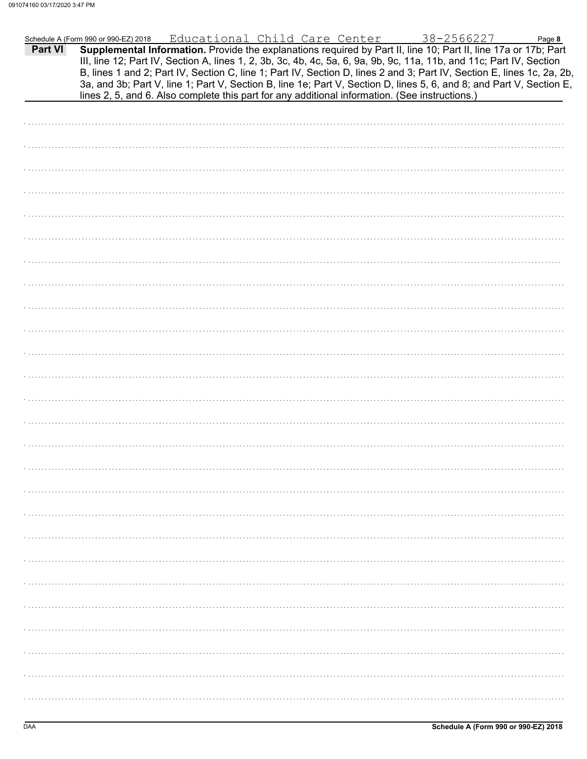|         | Schedule A (Form 990 or 990-EZ) 2018 | Educational Child Care Center |  | 38-2566227                                                                                     | Page 8                                                                                                                                                                                                                                                                                                                                                                                                                                                                                    |
|---------|--------------------------------------|-------------------------------|--|------------------------------------------------------------------------------------------------|-------------------------------------------------------------------------------------------------------------------------------------------------------------------------------------------------------------------------------------------------------------------------------------------------------------------------------------------------------------------------------------------------------------------------------------------------------------------------------------------|
| Part VI |                                      |                               |  | lines 2, 5, and 6. Also complete this part for any additional information. (See instructions.) | Supplemental Information. Provide the explanations required by Part II, line 10; Part II, line 17a or 17b; Part<br>III, line 12; Part IV, Section A, lines 1, 2, 3b, 3c, 4b, 4c, 5a, 6, 9a, 9b, 9c, 11a, 11b, and 11c; Part IV, Section<br>B, lines 1 and 2; Part IV, Section C, line 1; Part IV, Section D, lines 2 and 3; Part IV, Section E, lines 1c, 2a, 2b,<br>3a, and 3b; Part V, line 1; Part V, Section B, line 1e; Part V, Section D, lines 5, 6, and 8; and Part V, Section E, |
|         |                                      |                               |  |                                                                                                |                                                                                                                                                                                                                                                                                                                                                                                                                                                                                           |
|         |                                      |                               |  |                                                                                                |                                                                                                                                                                                                                                                                                                                                                                                                                                                                                           |
|         |                                      |                               |  |                                                                                                |                                                                                                                                                                                                                                                                                                                                                                                                                                                                                           |
|         |                                      |                               |  |                                                                                                |                                                                                                                                                                                                                                                                                                                                                                                                                                                                                           |
|         |                                      |                               |  |                                                                                                |                                                                                                                                                                                                                                                                                                                                                                                                                                                                                           |
|         |                                      |                               |  |                                                                                                |                                                                                                                                                                                                                                                                                                                                                                                                                                                                                           |
|         |                                      |                               |  |                                                                                                |                                                                                                                                                                                                                                                                                                                                                                                                                                                                                           |
|         |                                      |                               |  |                                                                                                |                                                                                                                                                                                                                                                                                                                                                                                                                                                                                           |
|         |                                      |                               |  |                                                                                                |                                                                                                                                                                                                                                                                                                                                                                                                                                                                                           |
|         |                                      |                               |  |                                                                                                |                                                                                                                                                                                                                                                                                                                                                                                                                                                                                           |
|         |                                      |                               |  |                                                                                                |                                                                                                                                                                                                                                                                                                                                                                                                                                                                                           |
|         |                                      |                               |  |                                                                                                |                                                                                                                                                                                                                                                                                                                                                                                                                                                                                           |
|         |                                      |                               |  |                                                                                                |                                                                                                                                                                                                                                                                                                                                                                                                                                                                                           |
|         |                                      |                               |  |                                                                                                |                                                                                                                                                                                                                                                                                                                                                                                                                                                                                           |
|         |                                      |                               |  |                                                                                                |                                                                                                                                                                                                                                                                                                                                                                                                                                                                                           |
|         |                                      |                               |  |                                                                                                |                                                                                                                                                                                                                                                                                                                                                                                                                                                                                           |
|         |                                      |                               |  |                                                                                                |                                                                                                                                                                                                                                                                                                                                                                                                                                                                                           |
|         |                                      |                               |  |                                                                                                |                                                                                                                                                                                                                                                                                                                                                                                                                                                                                           |
|         |                                      |                               |  |                                                                                                |                                                                                                                                                                                                                                                                                                                                                                                                                                                                                           |
|         |                                      |                               |  |                                                                                                |                                                                                                                                                                                                                                                                                                                                                                                                                                                                                           |
|         |                                      |                               |  |                                                                                                |                                                                                                                                                                                                                                                                                                                                                                                                                                                                                           |
|         |                                      |                               |  |                                                                                                |                                                                                                                                                                                                                                                                                                                                                                                                                                                                                           |
|         |                                      |                               |  |                                                                                                |                                                                                                                                                                                                                                                                                                                                                                                                                                                                                           |
|         |                                      |                               |  |                                                                                                |                                                                                                                                                                                                                                                                                                                                                                                                                                                                                           |
|         |                                      |                               |  |                                                                                                |                                                                                                                                                                                                                                                                                                                                                                                                                                                                                           |
|         |                                      |                               |  |                                                                                                |                                                                                                                                                                                                                                                                                                                                                                                                                                                                                           |
|         |                                      |                               |  |                                                                                                |                                                                                                                                                                                                                                                                                                                                                                                                                                                                                           |
|         |                                      |                               |  |                                                                                                |                                                                                                                                                                                                                                                                                                                                                                                                                                                                                           |
|         |                                      |                               |  |                                                                                                |                                                                                                                                                                                                                                                                                                                                                                                                                                                                                           |
|         |                                      |                               |  |                                                                                                |                                                                                                                                                                                                                                                                                                                                                                                                                                                                                           |
|         |                                      |                               |  |                                                                                                |                                                                                                                                                                                                                                                                                                                                                                                                                                                                                           |
|         |                                      |                               |  |                                                                                                |                                                                                                                                                                                                                                                                                                                                                                                                                                                                                           |
|         |                                      |                               |  |                                                                                                |                                                                                                                                                                                                                                                                                                                                                                                                                                                                                           |
|         |                                      |                               |  |                                                                                                |                                                                                                                                                                                                                                                                                                                                                                                                                                                                                           |
|         |                                      |                               |  |                                                                                                |                                                                                                                                                                                                                                                                                                                                                                                                                                                                                           |
|         |                                      |                               |  |                                                                                                |                                                                                                                                                                                                                                                                                                                                                                                                                                                                                           |
|         |                                      |                               |  |                                                                                                |                                                                                                                                                                                                                                                                                                                                                                                                                                                                                           |
|         |                                      |                               |  |                                                                                                |                                                                                                                                                                                                                                                                                                                                                                                                                                                                                           |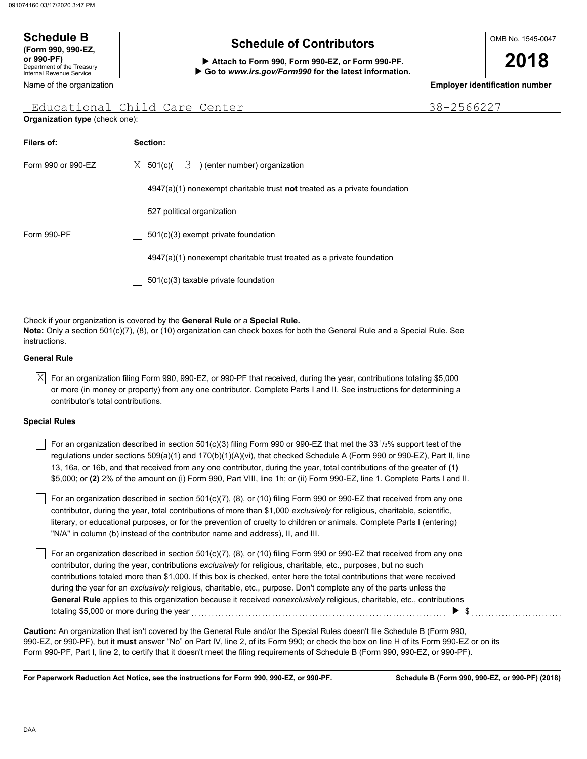#### OMB No. 1545-0047 Department of the Treasury Internal Revenue Service Name of the organization **2018 Schedule B**  $\overline{\phantom{a}}$  **Schedule of Contributors (Form 990, 990-EZ, or 990-PF) Attach to Form 990, Form 990-EZ, or Form 990-PF. Employer identification number Go to** *www.irs.gov/Form990* **for the latest information.**

### Educational Child Care Center 138-2566227

**Organization type** (check one):

| Section:                                                                           |
|------------------------------------------------------------------------------------|
| $ X $ 501(c)( $3$ ) (enter number) organization                                    |
| $4947(a)(1)$ nonexempt charitable trust <b>not</b> treated as a private foundation |
| 527 political organization                                                         |
| $501(c)(3)$ exempt private foundation                                              |
| $4947(a)(1)$ nonexempt charitable trust treated as a private foundation            |
| 501(c)(3) taxable private foundation                                               |
|                                                                                    |

Check if your organization is covered by the **General Rule** or a **Special Rule. Note:** Only a section 501(c)(7), (8), or (10) organization can check boxes for both the General Rule and a Special Rule. See instructions.

#### **General Rule**

 $\overline{\rm X}$  For an organization filing Form 990, 990-EZ, or 990-PF that received, during the year, contributions totaling \$5,000 or more (in money or property) from any one contributor. Complete Parts I and II. See instructions for determining a contributor's total contributions.

#### **Special Rules**

For an organization described in section 501(c)(3) filing Form 990 or 990-EZ that met the 33<sup>1</sup>/3% support test of the regulations under sections 509(a)(1) and 170(b)(1)(A)(vi), that checked Schedule A (Form 990 or 990-EZ), Part II, line 13, 16a, or 16b, and that received from any one contributor, during the year, total contributions of the greater of **(1)** \$5,000; or **(2)** 2% of the amount on (i) Form 990, Part VIII, line 1h; or (ii) Form 990-EZ, line 1. Complete Parts I and II.

literary, or educational purposes, or for the prevention of cruelty to children or animals. Complete Parts I (entering) For an organization described in section 501(c)(7), (8), or (10) filing Form 990 or 990-EZ that received from any one contributor, during the year, total contributions of more than \$1,000 *exclusively* for religious, charitable, scientific, "N/A" in column (b) instead of the contributor name and address), II, and III.

For an organization described in section 501(c)(7), (8), or (10) filing Form 990 or 990-EZ that received from any one contributor, during the year, contributions *exclusively* for religious, charitable, etc., purposes, but no such contributions totaled more than \$1,000. If this box is checked, enter here the total contributions that were received during the year for an *exclusively* religious, charitable, etc., purpose. Don't complete any of the parts unless the **General Rule** applies to this organization because it received *nonexclusively* religious, charitable, etc., contributions totaling \$5,000 or more during the year . . . . . . . . . . . . . . . . . . . . . . . . . . . . . . . . . . . . . . . . . . . . . . . . . . . . . . . . . . . . . . . . . . . . . . . . . . . . \$ . . . . . . . . . . . . . . . . . . . . . . . . . . .

990-EZ, or 990-PF), but it **must** answer "No" on Part IV, line 2, of its Form 990; or check the box on line H of its Form 990-EZ or on its Form 990-PF, Part I, line 2, to certify that it doesn't meet the filing requirements of Schedule B (Form 990, 990-EZ, or 990-PF). **Caution:** An organization that isn't covered by the General Rule and/or the Special Rules doesn't file Schedule B (Form 990,

**For Paperwork Reduction Act Notice, see the instructions for Form 990, 990-EZ, or 990-PF.**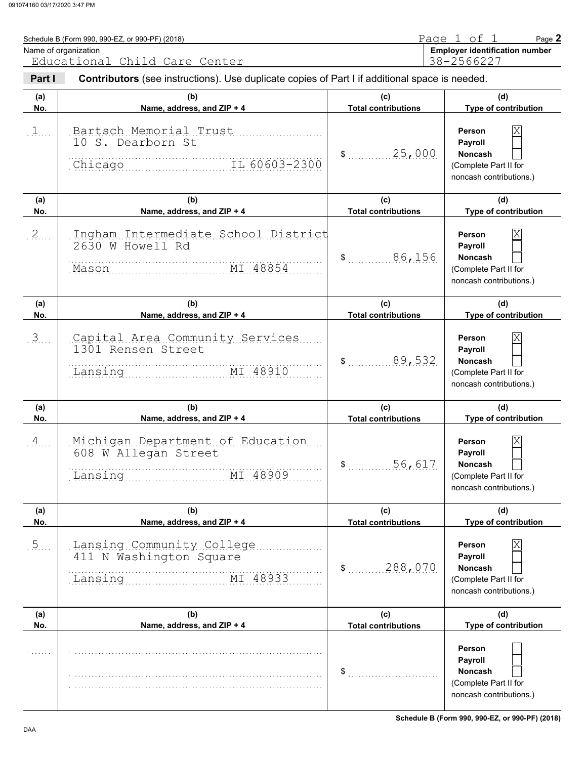| Name of organization | Schedule B (Form 990, 990-EZ, or 990-PF) (2018)                                                                                        |                                   | Page 1 of 1<br>Page 2<br><b>Employer identification number</b>                                       |
|----------------------|----------------------------------------------------------------------------------------------------------------------------------------|-----------------------------------|------------------------------------------------------------------------------------------------------|
| Part I               | Educational Child Care Center<br><b>Contributors</b> (see instructions). Use duplicate copies of Part I if additional space is needed. |                                   | 38-2566227                                                                                           |
| (a)<br>No.           | (b)<br>Name, address, and ZIP + 4                                                                                                      | (c)<br><b>Total contributions</b> | (d)<br>Type of contribution                                                                          |
| $1$                  | Bartsch Memorial Trust<br>10 S. Dearborn St<br>Chicago III 60603-2300                                                                  | \$ 25,000                         | ΙX<br>Person<br>Payroll<br><b>Noncash</b><br>(Complete Part II for<br>noncash contributions.)        |
| (a)<br>No.           | (b)<br>Name, address, and ZIP + 4                                                                                                      | (c)<br><b>Total contributions</b> | (d)<br>Type of contribution                                                                          |
| 2                    | Ingham Intermediate School District<br>2630 W Howell Rd<br>MI 48854<br>Mason                                                           | 86,156                            | ΙX<br>Person<br>Payroll<br><b>Noncash</b><br>(Complete Part II for<br>noncash contributions.)        |
| (a)<br>No.           | (b)<br>Name, address, and ZIP + 4                                                                                                      | (c)<br><b>Total contributions</b> | (d)<br><b>Type of contribution</b>                                                                   |
| $\mathfrak{Z}$       | Capital Area Community Services<br>1301 Rensen Street<br>MI 48910<br>Lansing                                                           | 89,532                            | ΙX<br><b>Person</b><br>Payroll<br><b>Noncash</b><br>(Complete Part II for<br>noncash contributions.) |
| (a)<br>No.           | (b)<br>Name, address, and ZIP + 4                                                                                                      | (c)<br><b>Total contributions</b> | (d)<br>Type of contribution                                                                          |
| $\overline{A}$       | Michigan Department of Education<br>608 W Allegan Street<br>MI 48909<br>Lansing                                                        | 56,617<br>\$                      | ΙX<br><b>Person</b><br>Payroll<br><b>Noncash</b><br>(Complete Part II for<br>noncash contributions.) |
| (a)<br>No.           | (b)<br>Name, address, and ZIP + 4                                                                                                      | (c)<br><b>Total contributions</b> | (d)<br>Type of contribution                                                                          |
| .5                   | Lansing Community College<br>411 N Washington Square<br>MI 48933<br>Lansing                                                            | \$ 288,070                        | X<br>Person<br>Payroll<br><b>Noncash</b><br>(Complete Part II for<br>noncash contributions.)         |
| (a)<br>No.           | (b)<br>Name, address, and ZIP + 4                                                                                                      | (c)<br><b>Total contributions</b> | (d)<br>Type of contribution                                                                          |
|                      |                                                                                                                                        | \$                                | Person<br>Payroll<br><b>Noncash</b><br>(Complete Part II for<br>noncash contributions.)              |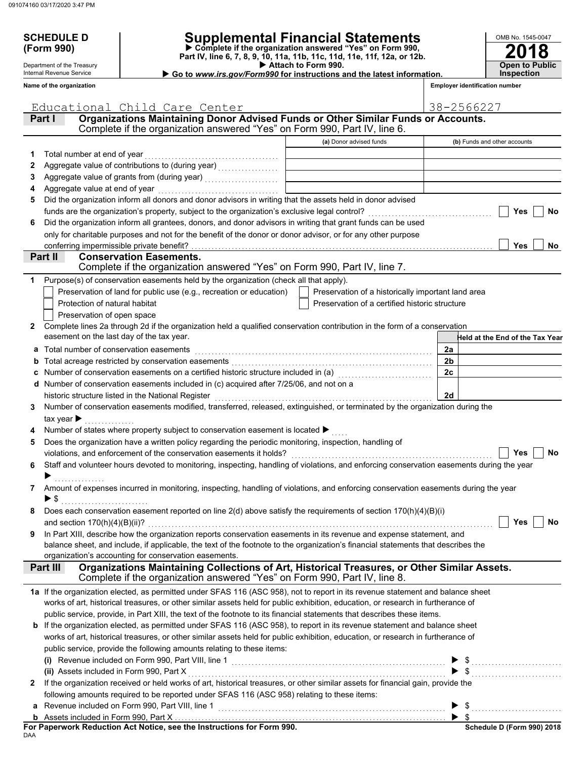Department of the Treasury Internal Revenue Service **Name of the organization**

## **SCHEDULE D Supplemental Financial Statements**

 **Attach to Form 990. (Form 990) Part IV, line 6, 7, 8, 9, 10, 11a, 11b, 11c, 11d, 11e, 11f, 12a, or 12b. Complete if the organization answered "Yes" on Form 990,**

 **Go to** *www.irs.gov/Form990* **for instructions and the latest information.**

| OMB No. 1545-0047     |
|-----------------------|
| 2018                  |
|                       |
| <b>Open to Public</b> |
| <b>Inspection</b>     |

|    | Educational Child Care Center                                                                                                                                                           |                                                    | 38-2566227     |                                 |
|----|-----------------------------------------------------------------------------------------------------------------------------------------------------------------------------------------|----------------------------------------------------|----------------|---------------------------------|
|    | Organizations Maintaining Donor Advised Funds or Other Similar Funds or Accounts.<br>Part I                                                                                             |                                                    |                |                                 |
|    | Complete if the organization answered "Yes" on Form 990, Part IV, line 6.                                                                                                               |                                                    |                |                                 |
|    |                                                                                                                                                                                         | (a) Donor advised funds                            |                | (b) Funds and other accounts    |
| 1  | Total number at end of year                                                                                                                                                             |                                                    |                |                                 |
| 2  |                                                                                                                                                                                         |                                                    |                |                                 |
| 3  |                                                                                                                                                                                         |                                                    |                |                                 |
| 4  | Aggregate value at end of year                                                                                                                                                          |                                                    |                |                                 |
| 5  | Did the organization inform all donors and donor advisors in writing that the assets held in donor advised                                                                              |                                                    |                |                                 |
|    | funds are the organization's property, subject to the organization's exclusive legal control?                                                                                           |                                                    |                | Yes<br><b>No</b>                |
| 6  | Did the organization inform all grantees, donors, and donor advisors in writing that grant funds can be used                                                                            |                                                    |                |                                 |
|    | only for charitable purposes and not for the benefit of the donor or donor advisor, or for any other purpose                                                                            |                                                    |                |                                 |
|    | conferring impermissible private benefit?                                                                                                                                               |                                                    |                | <b>Yes</b><br><b>No</b>         |
|    | Part II<br><b>Conservation Easements.</b>                                                                                                                                               |                                                    |                |                                 |
|    | Complete if the organization answered "Yes" on Form 990, Part IV, line 7.                                                                                                               |                                                    |                |                                 |
| 1. | Purpose(s) of conservation easements held by the organization (check all that apply).                                                                                                   |                                                    |                |                                 |
|    | Preservation of land for public use (e.g., recreation or education)                                                                                                                     | Preservation of a historically important land area |                |                                 |
|    | Protection of natural habitat                                                                                                                                                           | Preservation of a certified historic structure     |                |                                 |
|    | Preservation of open space                                                                                                                                                              |                                                    |                |                                 |
| 2  | Complete lines 2a through 2d if the organization held a qualified conservation contribution in the form of a conservation                                                               |                                                    |                |                                 |
|    | easement on the last day of the tax year.                                                                                                                                               |                                                    |                | Held at the End of the Tax Year |
|    | Total number of conservation easements                                                                                                                                                  |                                                    | 2a             |                                 |
| b  | Total acreage restricted by conservation easements                                                                                                                                      |                                                    | 2 <sub>b</sub> |                                 |
|    | Number of conservation easements on a certified historic structure included in (a)                                                                                                      |                                                    | 2c             |                                 |
| d  | Number of conservation easements included in (c) acquired after 7/25/06, and not on a                                                                                                   |                                                    |                |                                 |
|    | historic structure listed in the National Register                                                                                                                                      |                                                    | 2d             |                                 |
| 3  | Number of conservation easements modified, transferred, released, extinguished, or terminated by the organization during the                                                            |                                                    |                |                                 |
|    | tax year $\blacktriangleright$                                                                                                                                                          |                                                    |                |                                 |
|    | Number of states where property subject to conservation easement is located ▶<br>Does the organization have a written policy regarding the periodic monitoring, inspection, handling of |                                                    |                |                                 |
| 5  | violations, and enforcement of the conservation easements it holds?                                                                                                                     |                                                    |                | Yes<br>No                       |
| 6  | Staff and volunteer hours devoted to monitoring, inspecting, handling of violations, and enforcing conservation easements during the year                                               |                                                    |                |                                 |
|    |                                                                                                                                                                                         |                                                    |                |                                 |
|    | 7 Amount of expenses incurred in monitoring, inspecting, handling of violations, and enforcing conservation easements during the year                                                   |                                                    |                |                                 |
|    | ► \$                                                                                                                                                                                    |                                                    |                |                                 |
| 8  | Does each conservation easement reported on line $2(d)$ above satisfy the requirements of section $170(h)(4)(B)(i)$                                                                     |                                                    |                |                                 |
|    | and section $170(h)(4)(B)(ii)?$                                                                                                                                                         |                                                    |                | Yes<br><b>No</b>                |
| 9  | In Part XIII, describe how the organization reports conservation easements in its revenue and expense statement, and                                                                    |                                                    |                |                                 |
|    | balance sheet, and include, if applicable, the text of the footnote to the organization's financial statements that describes the                                                       |                                                    |                |                                 |
|    | organization's accounting for conservation easements.                                                                                                                                   |                                                    |                |                                 |
|    | Organizations Maintaining Collections of Art, Historical Treasures, or Other Similar Assets.<br>Part III                                                                                |                                                    |                |                                 |
|    | Complete if the organization answered "Yes" on Form 990, Part IV, line 8.                                                                                                               |                                                    |                |                                 |
|    | 1a If the organization elected, as permitted under SFAS 116 (ASC 958), not to report in its revenue statement and balance sheet                                                         |                                                    |                |                                 |
|    | works of art, historical treasures, or other similar assets held for public exhibition, education, or research in furtherance of                                                        |                                                    |                |                                 |
|    | public service, provide, in Part XIII, the text of the footnote to its financial statements that describes these items.                                                                 |                                                    |                |                                 |
| b  | If the organization elected, as permitted under SFAS 116 (ASC 958), to report in its revenue statement and balance sheet                                                                |                                                    |                |                                 |
|    | works of art, historical treasures, or other similar assets held for public exhibition, education, or research in furtherance of                                                        |                                                    |                |                                 |
|    | public service, provide the following amounts relating to these items:                                                                                                                  |                                                    |                |                                 |
|    |                                                                                                                                                                                         |                                                    |                |                                 |
|    | (ii) Assets included in Form 990, Part X                                                                                                                                                |                                                    |                |                                 |
| 2  | If the organization received or held works of art, historical treasures, or other similar assets for financial gain, provide the                                                        |                                                    |                |                                 |
|    | following amounts required to be reported under SFAS 116 (ASC 958) relating to these items:                                                                                             |                                                    |                |                                 |
|    |                                                                                                                                                                                         |                                                    |                |                                 |
|    | For Paperwork Reduction Act Notice, see the Instructions for Form 990.                                                                                                                  |                                                    |                | Schedule D (Form 990) 2018      |

**FUI**<br>DAA **For Paperwork Reduction Act Notice, see the Instructions for Form 990.**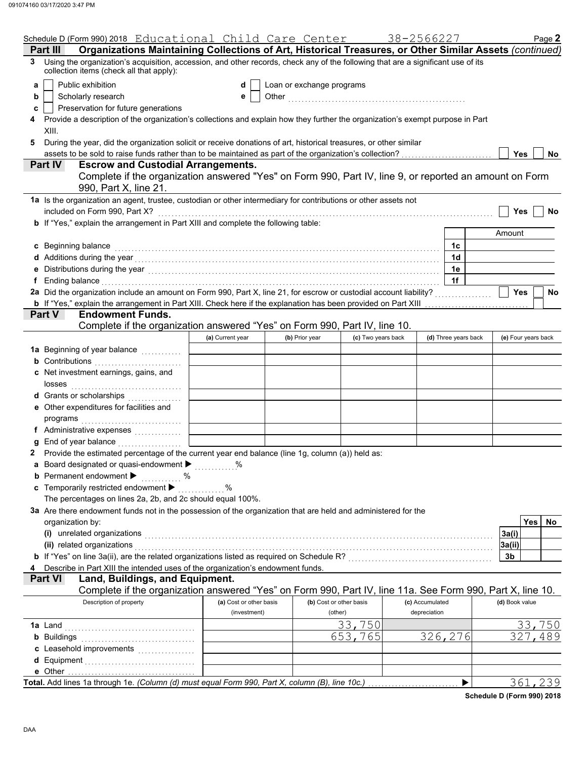|   | Schedule D (Form 990) 2018 Educational Child Care Center                                                                                                                                                                       |                         |                           |                         | 38-2566227      |                       |                | Page 2              |
|---|--------------------------------------------------------------------------------------------------------------------------------------------------------------------------------------------------------------------------------|-------------------------|---------------------------|-------------------------|-----------------|-----------------------|----------------|---------------------|
|   | Organizations Maintaining Collections of Art, Historical Treasures, or Other Similar Assets (continued)<br>Part III                                                                                                            |                         |                           |                         |                 |                       |                |                     |
| 3 | Using the organization's acquisition, accession, and other records, check any of the following that are a significant use of its<br>collection items (check all that apply):                                                   |                         |                           |                         |                 |                       |                |                     |
| a | Public exhibition                                                                                                                                                                                                              | d                       | Loan or exchange programs |                         |                 |                       |                |                     |
| b | Scholarly research                                                                                                                                                                                                             | е                       |                           |                         |                 |                       |                |                     |
| c | Preservation for future generations                                                                                                                                                                                            |                         |                           |                         |                 |                       |                |                     |
|   | Provide a description of the organization's collections and explain how they further the organization's exempt purpose in Part                                                                                                 |                         |                           |                         |                 |                       |                |                     |
|   | XIII.                                                                                                                                                                                                                          |                         |                           |                         |                 |                       |                |                     |
|   | During the year, did the organization solicit or receive donations of art, historical treasures, or other similar                                                                                                              |                         |                           |                         |                 |                       |                |                     |
|   |                                                                                                                                                                                                                                |                         |                           |                         |                 |                       | <b>Yes</b>     | <b>No</b>           |
|   | <b>Escrow and Custodial Arrangements.</b><br><b>Part IV</b>                                                                                                                                                                    |                         |                           |                         |                 |                       |                |                     |
|   | Complete if the organization answered "Yes" on Form 990, Part IV, line 9, or reported an amount on Form                                                                                                                        |                         |                           |                         |                 |                       |                |                     |
|   | 990, Part X, line 21.                                                                                                                                                                                                          |                         |                           |                         |                 |                       |                |                     |
|   | 1a Is the organization an agent, trustee, custodian or other intermediary for contributions or other assets not                                                                                                                |                         |                           |                         |                 |                       |                |                     |
|   | included on Form 990, Part X?                                                                                                                                                                                                  |                         |                           |                         |                 |                       | <b>Yes</b>     | No                  |
|   | b If "Yes," explain the arrangement in Part XIII and complete the following table:                                                                                                                                             |                         |                           |                         |                 |                       |                |                     |
|   |                                                                                                                                                                                                                                |                         |                           |                         |                 |                       | Amount         |                     |
|   | c Beginning balance                                                                                                                                                                                                            |                         |                           |                         |                 | 1c                    |                |                     |
|   | d Additions during the year contains and account of a state of the year of Additions during the year contains and a state of Additions during the year contains and a state of the state of Additional Additional Additional A |                         |                           |                         |                 | 1d                    |                |                     |
|   | Distributions during the year [1, 1, 2010] [1, 2010] [1, 2010] [1, 2010] [1, 2010] [1, 2010] [1, 2010] [1, 2010                                                                                                                |                         |                           |                         |                 | 1e                    |                |                     |
| f | Ending balance with a construction of the construction of the construction of the construction of the construction of the construction of the construction of the construction of the construction of the construction of the  |                         |                           |                         |                 | 1f                    |                |                     |
|   | 2a Did the organization include an amount on Form 990, Part X, line 21, for escrow or custodial account liability?                                                                                                             |                         |                           |                         |                 |                       | Yes            | No                  |
|   | <b>b</b> If "Yes," explain the arrangement in Part XIII. Check here if the explanation has been provided on Part XIII                                                                                                          |                         |                           |                         |                 |                       |                |                     |
|   | <b>Part V</b><br><b>Endowment Funds.</b>                                                                                                                                                                                       |                         |                           |                         |                 |                       |                |                     |
|   | Complete if the organization answered "Yes" on Form 990, Part IV, line 10.                                                                                                                                                     |                         |                           |                         |                 |                       |                |                     |
|   |                                                                                                                                                                                                                                | (a) Current year        | (b) Prior year            | (c) Two years back      |                 | (d) Three years back  |                | (e) Four years back |
|   | 1a Beginning of year balance <b>contained</b>                                                                                                                                                                                  |                         |                           |                         |                 |                       |                |                     |
|   | <b>b</b> Contributions <b>b</b>                                                                                                                                                                                                |                         |                           |                         |                 |                       |                |                     |
|   | c Net investment earnings, gains, and                                                                                                                                                                                          |                         |                           |                         |                 |                       |                |                     |
|   |                                                                                                                                                                                                                                |                         |                           |                         |                 |                       |                |                     |
|   | losses                                                                                                                                                                                                                         |                         |                           |                         |                 |                       |                |                     |
|   | d Grants or scholarships<br>.                                                                                                                                                                                                  |                         |                           |                         |                 |                       |                |                     |
|   | e Other expenditures for facilities and                                                                                                                                                                                        |                         |                           |                         |                 |                       |                |                     |
|   | programs                                                                                                                                                                                                                       |                         |                           |                         |                 |                       |                |                     |
|   | f Administrative expenses                                                                                                                                                                                                      |                         |                           |                         |                 |                       |                |                     |
|   | g End of year balance                                                                                                                                                                                                          |                         |                           |                         |                 |                       |                |                     |
|   | Provide the estimated percentage of the current year end balance (line 1g, column (a)) held as:                                                                                                                                |                         |                           |                         |                 |                       |                |                     |
|   | Board designated or quasi-endowment > %                                                                                                                                                                                        |                         |                           |                         |                 |                       |                |                     |
|   | <b>b</b> Permanent endowment $\blacktriangleright$<br>. %                                                                                                                                                                      |                         |                           |                         |                 |                       |                |                     |
|   | c Temporarily restricted endowment >                                                                                                                                                                                           | $\%$                    |                           |                         |                 |                       |                |                     |
|   | The percentages on lines 2a, 2b, and 2c should equal 100%.                                                                                                                                                                     |                         |                           |                         |                 |                       |                |                     |
|   | 3a Are there endowment funds not in the possession of the organization that are held and administered for the                                                                                                                  |                         |                           |                         |                 |                       |                |                     |
|   | organization by:                                                                                                                                                                                                               |                         |                           |                         |                 |                       |                | Yes  <br><b>No</b>  |
|   | (i) unrelated organizations entertainment and all the contract of the contract of the contract of the contract of the contract of the contract of the contract of the contract of the contract of the contract of the contract |                         |                           |                         |                 |                       | 3a(i)          |                     |
|   | (ii) related organizations                                                                                                                                                                                                     |                         |                           |                         |                 |                       | 3a(ii)         |                     |
|   | b If "Yes" on line 3a(ii), are the related organizations listed as required on Schedule R? [[[[[[[[[[[[[[[[[[[                                                                                                                 |                         |                           |                         |                 |                       | 3b             |                     |
|   | Describe in Part XIII the intended uses of the organization's endowment funds.                                                                                                                                                 |                         |                           |                         |                 |                       |                |                     |
|   | <b>Part VI</b><br>Land, Buildings, and Equipment.                                                                                                                                                                              |                         |                           |                         |                 |                       |                |                     |
|   | Complete if the organization answered "Yes" on Form 990, Part IV, line 11a. See Form 990, Part X, line 10.                                                                                                                     |                         |                           |                         |                 |                       |                |                     |
|   | Description of property                                                                                                                                                                                                        | (a) Cost or other basis |                           | (b) Cost or other basis | (c) Accumulated |                       | (d) Book value |                     |
|   |                                                                                                                                                                                                                                | (investment)            |                           | (other)                 | depreciation    |                       |                |                     |
|   | <b>1a</b> Land                                                                                                                                                                                                                 |                         |                           | 33,750                  |                 |                       |                | 33,750              |
|   | <b>b</b> Buildings                                                                                                                                                                                                             |                         |                           | 653,765                 |                 | 326,276               | 327            | 489                 |
|   | c Leasehold improvements                                                                                                                                                                                                       |                         |                           |                         |                 |                       |                |                     |
|   |                                                                                                                                                                                                                                |                         |                           |                         |                 |                       |                |                     |
|   |                                                                                                                                                                                                                                |                         |                           |                         |                 |                       |                |                     |
|   |                                                                                                                                                                                                                                |                         |                           |                         |                 | $\blacktriangleright$ |                |                     |
|   |                                                                                                                                                                                                                                |                         |                           |                         |                 |                       |                | 361,239             |

**Schedule D (Form 990) 2018**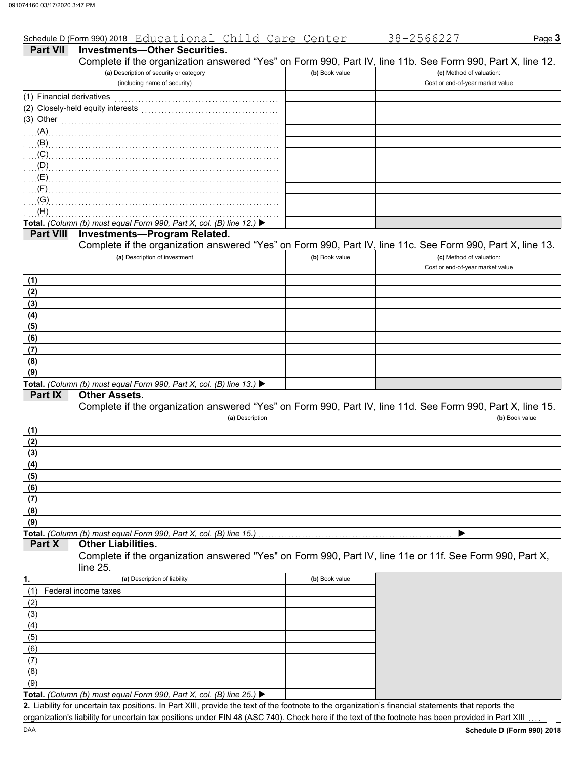|                           | Schedule D (Form 990) 2018 Educational Child Care Center                                                         |                | 38-2566227                                                   | Page 3         |
|---------------------------|------------------------------------------------------------------------------------------------------------------|----------------|--------------------------------------------------------------|----------------|
| <b>Part VII</b>           | <b>Investments-Other Securities.</b>                                                                             |                |                                                              |                |
|                           | Complete if the organization answered "Yes" on Form 990, Part IV, line 11b. See Form 990, Part X, line 12.       |                |                                                              |                |
|                           | (a) Description of security or category<br>(including name of security)                                          | (b) Book value | (c) Method of valuation:<br>Cost or end-of-year market value |                |
| (1) Financial derivatives |                                                                                                                  |                |                                                              |                |
|                           | (2) Closely-held equity interests                                                                                |                |                                                              |                |
| (3) Other                 |                                                                                                                  |                |                                                              |                |
|                           |                                                                                                                  |                |                                                              |                |
| . (B)                     |                                                                                                                  |                |                                                              |                |
| $(\mathsf{C})$ (C)        |                                                                                                                  |                |                                                              |                |
| (D)                       |                                                                                                                  |                |                                                              |                |
| $\ldots$ (E) $\ldots$     |                                                                                                                  |                |                                                              |                |
| $\ldots$ (F)              |                                                                                                                  |                |                                                              |                |
| $\alpha$ . (G)            |                                                                                                                  |                |                                                              |                |
| (H)                       |                                                                                                                  |                |                                                              |                |
|                           | Total. (Column (b) must equal Form 990, Part X, col. (B) line 12.) ▶                                             |                |                                                              |                |
| <b>Part VIII</b>          | <b>Investments-Program Related.</b>                                                                              |                |                                                              |                |
|                           | Complete if the organization answered "Yes" on Form 990, Part IV, line 11c. See Form 990, Part X, line 13.       |                |                                                              |                |
|                           | (a) Description of investment                                                                                    | (b) Book value | (c) Method of valuation:                                     |                |
|                           |                                                                                                                  |                | Cost or end-of-year market value                             |                |
| (1)                       |                                                                                                                  |                |                                                              |                |
| (2)                       |                                                                                                                  |                |                                                              |                |
| (3)                       |                                                                                                                  |                |                                                              |                |
| (4)                       |                                                                                                                  |                |                                                              |                |
| (5)                       |                                                                                                                  |                |                                                              |                |
| (6)                       |                                                                                                                  |                |                                                              |                |
| (7)                       |                                                                                                                  |                |                                                              |                |
| (8)                       |                                                                                                                  |                |                                                              |                |
| (9)                       |                                                                                                                  |                |                                                              |                |
| Part IX                   | Total. (Column (b) must equal Form 990, Part X, col. (B) line 13.) $\blacktriangleright$<br><b>Other Assets.</b> |                |                                                              |                |
|                           | Complete if the organization answered "Yes" on Form 990, Part IV, line 11d. See Form 990, Part X, line 15.       |                |                                                              |                |
|                           | (a) Description                                                                                                  |                |                                                              | (b) Book value |
| (1)                       |                                                                                                                  |                |                                                              |                |
| (2)                       |                                                                                                                  |                |                                                              |                |
| (3)                       |                                                                                                                  |                |                                                              |                |
| (4)                       |                                                                                                                  |                |                                                              |                |
| (5)                       |                                                                                                                  |                |                                                              |                |
| (6)                       |                                                                                                                  |                |                                                              |                |
| (7)                       |                                                                                                                  |                |                                                              |                |
| (8)                       |                                                                                                                  |                |                                                              |                |
| (9)                       |                                                                                                                  |                |                                                              |                |
|                           | Total. (Column (b) must equal Form 990, Part X, col. (B) line 15.)                                               |                |                                                              |                |
| Part X                    | <b>Other Liabilities.</b>                                                                                        |                |                                                              |                |
|                           | Complete if the organization answered "Yes" on Form 990, Part IV, line 11e or 11f. See Form 990, Part X,         |                |                                                              |                |
|                           | line 25.                                                                                                         |                |                                                              |                |
| 1.                        | (a) Description of liability                                                                                     | (b) Book value |                                                              |                |
| (1)                       | Federal income taxes                                                                                             |                |                                                              |                |
| (2)                       |                                                                                                                  |                |                                                              |                |
| (3)                       |                                                                                                                  |                |                                                              |                |
| (4)                       |                                                                                                                  |                |                                                              |                |
| (5)                       |                                                                                                                  |                |                                                              |                |
| (6)<br>(7)                |                                                                                                                  |                |                                                              |                |
|                           |                                                                                                                  |                |                                                              |                |

**Total.** *(Column (b) must equal Form 990, Part X, col. (B) line 25.)*   $(9)$ 

Liability for uncertain tax positions. In Part XIII, provide the text of the footnote to the organization's financial statements that reports the **2.** organization's liability for uncertain tax positions under FIN 48 (ASC 740). Check here if the text of the footnote has been provided in Part XIII

(8)

|                | Cost or end-of-year market value                                                                           |
|----------------|------------------------------------------------------------------------------------------------------------|
|                |                                                                                                            |
|                |                                                                                                            |
|                |                                                                                                            |
|                |                                                                                                            |
|                |                                                                                                            |
|                |                                                                                                            |
|                |                                                                                                            |
|                |                                                                                                            |
|                |                                                                                                            |
|                |                                                                                                            |
|                |                                                                                                            |
|                |                                                                                                            |
|                |                                                                                                            |
|                | Complete if the organization answered "Yes" on Form 990, Part IV, line 11c. See Form 990, Part X, line 13. |
| (b) Book value | (c) Method of valuation:                                                                                   |
|                | Cost or end-of-year market value                                                                           |
|                |                                                                                                            |
|                |                                                                                                            |
|                |                                                                                                            |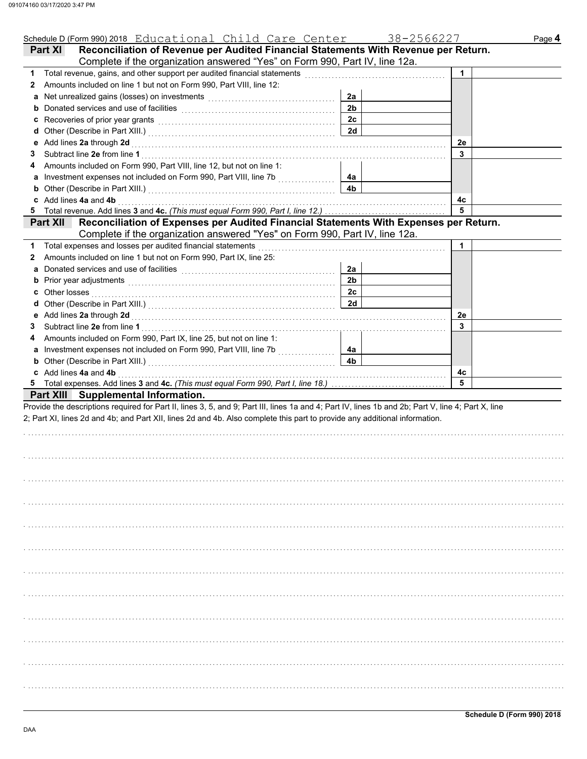| Schedule D (Form 990) 2018 Educational Child Care Center                                                                                                                                                                                |                | 38-2566227 | Page 4 |
|-----------------------------------------------------------------------------------------------------------------------------------------------------------------------------------------------------------------------------------------|----------------|------------|--------|
| Reconciliation of Revenue per Audited Financial Statements With Revenue per Return.<br>Part XI                                                                                                                                          |                |            |        |
| Complete if the organization answered "Yes" on Form 990, Part IV, line 12a.                                                                                                                                                             |                |            |        |
| 1 Total revenue, gains, and other support per audited financial statements                                                                                                                                                              |                | 1          |        |
| Amounts included on line 1 but not on Form 990, Part VIII, line 12:<br>2                                                                                                                                                                |                |            |        |
| a                                                                                                                                                                                                                                       | 2a             |            |        |
| <b>b</b> Donated services and use of facilities <b>constants</b> and the constant of the service of the service of the service of the service of the service of the service of the service of the service of the service of the service | 2 <sub>b</sub> |            |        |
|                                                                                                                                                                                                                                         | 2c             |            |        |
|                                                                                                                                                                                                                                         | 2d             |            |        |
| Add lines 2a through 2d <b>Martin Community Community</b> Add lines 2a through 1<br>е                                                                                                                                                   |                | 2e         |        |
| 3                                                                                                                                                                                                                                       |                | 3          |        |
| Amounts included on Form 990, Part VIII, line 12, but not on line 1:<br>4                                                                                                                                                               |                |            |        |
| a Investment expenses not included on Form 990, Part VIII, line 7b [[[[[[[[[[[[[[[[[[[[[[[[[[[[[[[[[                                                                                                                                    | 4a             |            |        |
| <b>b</b> Other (Describe in Part XIII.) <b>CONVERGENT</b> OF OUR <b>DESCRIPTION</b>                                                                                                                                                     | 4b             |            |        |
| c Add lines 4a and 4b                                                                                                                                                                                                                   |                | 4с         |        |
|                                                                                                                                                                                                                                         |                | 5          |        |
| Part XII Reconciliation of Expenses per Audited Financial Statements With Expenses per Return.                                                                                                                                          |                |            |        |
| Complete if the organization answered "Yes" on Form 990, Part IV, line 12a.                                                                                                                                                             |                |            |        |
| Total expenses and losses per audited financial statements<br>1.                                                                                                                                                                        |                | 1          |        |
| Amounts included on line 1 but not on Form 990, Part IX, line 25:<br>2                                                                                                                                                                  |                |            |        |
| a                                                                                                                                                                                                                                       | 2a             |            |        |
|                                                                                                                                                                                                                                         | 2 <sub>b</sub> |            |        |
|                                                                                                                                                                                                                                         | 2c             |            |        |
|                                                                                                                                                                                                                                         | 2d             |            |        |
|                                                                                                                                                                                                                                         |                | 2e         |        |
| 3                                                                                                                                                                                                                                       |                | 3          |        |
| Amounts included on Form 990, Part IX, line 25, but not on line 1:<br>4                                                                                                                                                                 |                |            |        |
|                                                                                                                                                                                                                                         | 4a             |            |        |
| <b>b</b> Other (Describe in Part XIII.) <b>CONVERGENT</b> OF OUR <b>DESCRIPTION</b>                                                                                                                                                     | 4b             |            |        |
| c Add lines 4a and 4b                                                                                                                                                                                                                   |                | 4с         |        |
|                                                                                                                                                                                                                                         |                | 5          |        |
| Part XIII Supplemental Information.                                                                                                                                                                                                     |                |            |        |
| Provide the descriptions required for Part II, lines 3, 5, and 9; Part III, lines 1a and 4; Part IV, lines 1b and 2b; Part V, line 4; Part X, line                                                                                      |                |            |        |
| 2; Part XI, lines 2d and 4b; and Part XII, lines 2d and 4b. Also complete this part to provide any additional information.                                                                                                              |                |            |        |
|                                                                                                                                                                                                                                         |                |            |        |
|                                                                                                                                                                                                                                         |                |            |        |
|                                                                                                                                                                                                                                         |                |            |        |
|                                                                                                                                                                                                                                         |                |            |        |
|                                                                                                                                                                                                                                         |                |            |        |
|                                                                                                                                                                                                                                         |                |            |        |
|                                                                                                                                                                                                                                         |                |            |        |
|                                                                                                                                                                                                                                         |                |            |        |
|                                                                                                                                                                                                                                         |                |            |        |
|                                                                                                                                                                                                                                         |                |            |        |
|                                                                                                                                                                                                                                         |                |            |        |
|                                                                                                                                                                                                                                         |                |            |        |
|                                                                                                                                                                                                                                         |                |            |        |
|                                                                                                                                                                                                                                         |                |            |        |
|                                                                                                                                                                                                                                         |                |            |        |
|                                                                                                                                                                                                                                         |                |            |        |
|                                                                                                                                                                                                                                         |                |            |        |
|                                                                                                                                                                                                                                         |                |            |        |
|                                                                                                                                                                                                                                         |                |            |        |
|                                                                                                                                                                                                                                         |                |            |        |
|                                                                                                                                                                                                                                         |                |            |        |
|                                                                                                                                                                                                                                         |                |            |        |
|                                                                                                                                                                                                                                         |                |            |        |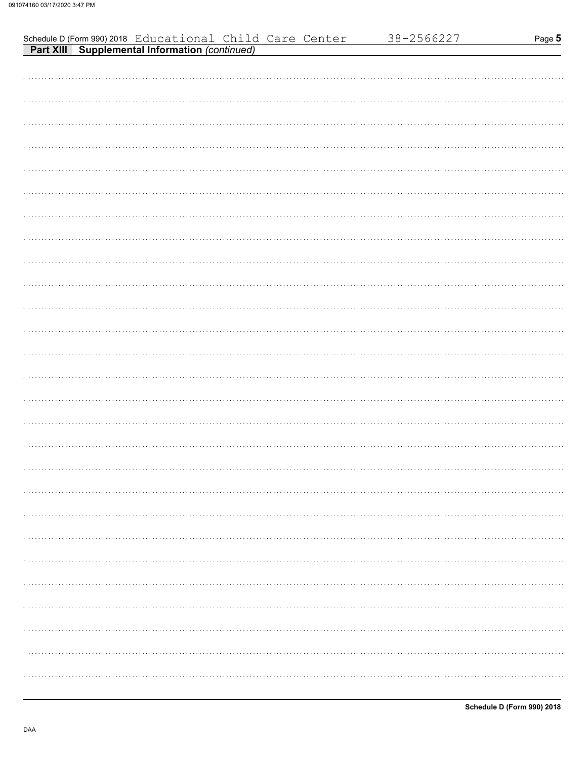| Schedule D (Form 990) 2018 Educational Child Care Center<br><b>Part XIII Supplemental Information (continued)</b> |  |  |  | 38-2566227 | Page 5 |
|-------------------------------------------------------------------------------------------------------------------|--|--|--|------------|--------|
|                                                                                                                   |  |  |  |            |        |
|                                                                                                                   |  |  |  |            |        |
|                                                                                                                   |  |  |  |            |        |
|                                                                                                                   |  |  |  |            |        |
|                                                                                                                   |  |  |  |            |        |
|                                                                                                                   |  |  |  |            |        |
|                                                                                                                   |  |  |  |            |        |
|                                                                                                                   |  |  |  |            |        |
|                                                                                                                   |  |  |  |            |        |
|                                                                                                                   |  |  |  |            |        |
|                                                                                                                   |  |  |  |            |        |
|                                                                                                                   |  |  |  |            |        |
|                                                                                                                   |  |  |  |            |        |
|                                                                                                                   |  |  |  |            |        |
|                                                                                                                   |  |  |  |            |        |
|                                                                                                                   |  |  |  |            |        |
|                                                                                                                   |  |  |  |            |        |
|                                                                                                                   |  |  |  |            |        |
|                                                                                                                   |  |  |  |            |        |
|                                                                                                                   |  |  |  |            |        |
|                                                                                                                   |  |  |  |            |        |
|                                                                                                                   |  |  |  |            |        |
|                                                                                                                   |  |  |  |            |        |
|                                                                                                                   |  |  |  |            |        |
|                                                                                                                   |  |  |  |            |        |
|                                                                                                                   |  |  |  |            |        |
|                                                                                                                   |  |  |  |            |        |
|                                                                                                                   |  |  |  |            |        |
|                                                                                                                   |  |  |  |            |        |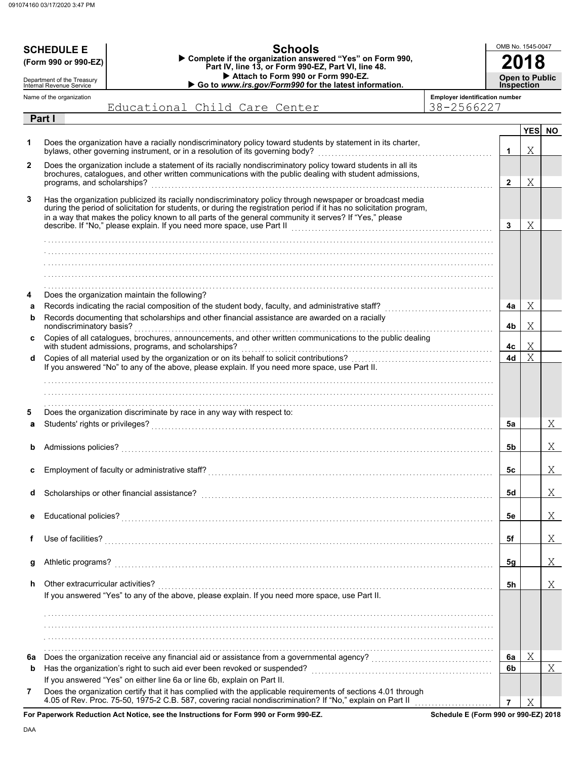|    | <b>SCHEDULE E</b><br>(Form 990 or 990-EZ)<br>Department of the Treasury<br>Internal Revenue Service |                                                                                                                                                                                                                                                                                                                                                                                                                        | OMB No. 1545-0047<br><b>Open to Public</b><br><b>Inspection</b> |                |            |     |
|----|-----------------------------------------------------------------------------------------------------|------------------------------------------------------------------------------------------------------------------------------------------------------------------------------------------------------------------------------------------------------------------------------------------------------------------------------------------------------------------------------------------------------------------------|-----------------------------------------------------------------|----------------|------------|-----|
|    | Name of the organization                                                                            |                                                                                                                                                                                                                                                                                                                                                                                                                        | <b>Employer identification number</b>                           |                |            |     |
|    | Part I                                                                                              | Educational Child Care Center                                                                                                                                                                                                                                                                                                                                                                                          | 38-2566227                                                      |                |            |     |
|    |                                                                                                     |                                                                                                                                                                                                                                                                                                                                                                                                                        |                                                                 |                | <b>YES</b> | NO. |
| 1  |                                                                                                     | Does the organization have a racially nondiscriminatory policy toward students by statement in its charter,<br>bylaws, other governing instrument, or in a resolution of its governing body?                                                                                                                                                                                                                           |                                                                 | 1              | Χ          |     |
| 2  |                                                                                                     | Does the organization include a statement of its racially nondiscriminatory policy toward students in all its<br>brochures, catalogues, and other written communications with the public dealing with student admissions,                                                                                                                                                                                              |                                                                 | $\overline{2}$ | Χ          |     |
| 3  |                                                                                                     | Has the organization publicized its racially nondiscriminatory policy through newspaper or broadcast media<br>during the period of solicitation for students, or during the registration period if it has no solicitation program,<br>in a way that makes the policy known to all parts of the general community it serves? If "Yes," please<br>describe. If "No," please explain. If you need more space, use Part II |                                                                 | 3              | Χ          |     |
|    |                                                                                                     |                                                                                                                                                                                                                                                                                                                                                                                                                        |                                                                 |                |            |     |
|    |                                                                                                     |                                                                                                                                                                                                                                                                                                                                                                                                                        |                                                                 |                |            |     |
|    |                                                                                                     |                                                                                                                                                                                                                                                                                                                                                                                                                        |                                                                 |                |            |     |
|    |                                                                                                     |                                                                                                                                                                                                                                                                                                                                                                                                                        |                                                                 |                |            |     |
| 4  |                                                                                                     | Does the organization maintain the following?                                                                                                                                                                                                                                                                                                                                                                          |                                                                 |                |            |     |
| a  |                                                                                                     |                                                                                                                                                                                                                                                                                                                                                                                                                        |                                                                 | 4a             | Χ          |     |
| b  |                                                                                                     | Records documenting that scholarships and other financial assistance are awarded on a racially                                                                                                                                                                                                                                                                                                                         |                                                                 |                |            |     |
| c  | nondiscriminatory basis?                                                                            | Copies of all catalogues, brochures, announcements, and other written communications to the public dealing                                                                                                                                                                                                                                                                                                             |                                                                 | 4b             | Χ          |     |
|    |                                                                                                     | with student admissions, programs, and scholarships?                                                                                                                                                                                                                                                                                                                                                                   |                                                                 | 4c             | Χ<br>X     |     |
| d  |                                                                                                     | If you answered "No" to any of the above, please explain. If you need more space, use Part II.                                                                                                                                                                                                                                                                                                                         |                                                                 | 4d             |            |     |
|    |                                                                                                     |                                                                                                                                                                                                                                                                                                                                                                                                                        |                                                                 |                |            |     |
|    |                                                                                                     |                                                                                                                                                                                                                                                                                                                                                                                                                        |                                                                 |                |            |     |
| 5  |                                                                                                     | Does the organization discriminate by race in any way with respect to:                                                                                                                                                                                                                                                                                                                                                 |                                                                 |                |            |     |
| a  |                                                                                                     |                                                                                                                                                                                                                                                                                                                                                                                                                        |                                                                 | 5а             |            | Χ   |
|    |                                                                                                     |                                                                                                                                                                                                                                                                                                                                                                                                                        |                                                                 |                |            |     |
|    | Admissions policies?                                                                                |                                                                                                                                                                                                                                                                                                                                                                                                                        |                                                                 | 5b             |            | Χ   |
| c  |                                                                                                     |                                                                                                                                                                                                                                                                                                                                                                                                                        |                                                                 | 5c             |            | Χ   |
| d  |                                                                                                     | Scholarships or other financial assistance?                                                                                                                                                                                                                                                                                                                                                                            |                                                                 | 5d             |            | X   |
| е  |                                                                                                     |                                                                                                                                                                                                                                                                                                                                                                                                                        |                                                                 | 5е             |            | Χ   |
|    | Use of facilities?                                                                                  |                                                                                                                                                                                                                                                                                                                                                                                                                        |                                                                 | 5f             |            | Χ   |
| g  | Athletic programs?                                                                                  |                                                                                                                                                                                                                                                                                                                                                                                                                        |                                                                 | 5g             |            | Χ   |
|    |                                                                                                     |                                                                                                                                                                                                                                                                                                                                                                                                                        |                                                                 |                |            |     |
| h  | Other extracurricular activities?                                                                   | If you answered "Yes" to any of the above, please explain. If you need more space, use Part II.                                                                                                                                                                                                                                                                                                                        |                                                                 | 5h             |            | Χ   |
|    |                                                                                                     |                                                                                                                                                                                                                                                                                                                                                                                                                        |                                                                 |                |            |     |
|    |                                                                                                     |                                                                                                                                                                                                                                                                                                                                                                                                                        |                                                                 |                |            |     |
|    |                                                                                                     |                                                                                                                                                                                                                                                                                                                                                                                                                        |                                                                 |                |            |     |
|    |                                                                                                     |                                                                                                                                                                                                                                                                                                                                                                                                                        |                                                                 |                |            |     |
| 6a |                                                                                                     |                                                                                                                                                                                                                                                                                                                                                                                                                        |                                                                 | 6а             | Χ          |     |
| b  |                                                                                                     |                                                                                                                                                                                                                                                                                                                                                                                                                        |                                                                 | 6b             |            | Χ   |
| 7  |                                                                                                     | If you answered "Yes" on either line 6a or line 6b, explain on Part II.<br>Does the organization certify that it has complied with the applicable requirements of sections 4.01 through<br>4.05 of Rev. Proc. 75-50, 1975-2 C.B. 587, covering racial nondiscrimination? If "No," explain on Part II                                                                                                                   |                                                                 | $\overline{7}$ | Χ          |     |
|    |                                                                                                     | For Panerwork Reduction Act Notice, see the Instructions for Form 990 or Form 990-FZ                                                                                                                                                                                                                                                                                                                                   | Schodule F (Form 990 or 990-F7) 2018                            |                |            |     |

**Schedule E (Form 990 or 990-EZ) 2018**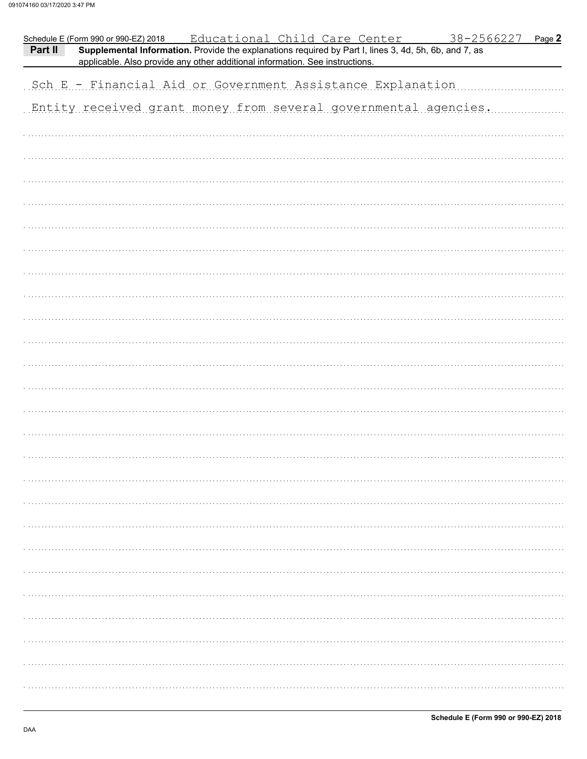| applicable. Also provide any other additional information. See instructions.<br>Sch E - Financial Aid or Government Assistance Explanation<br>Entity received grant money from several governmental agencies. | Part II | Schedule E (Form 990 or 990-EZ) 2018 | Educational Child Care Center<br>Supplemental Information. Provide the explanations required by Part I, lines 3, 4d, 5h, 6b, and 7, as | <u>38-2566227</u><br>Page 2 |
|---------------------------------------------------------------------------------------------------------------------------------------------------------------------------------------------------------------|---------|--------------------------------------|----------------------------------------------------------------------------------------------------------------------------------------|-----------------------------|
|                                                                                                                                                                                                               |         |                                      |                                                                                                                                        |                             |
|                                                                                                                                                                                                               |         |                                      |                                                                                                                                        |                             |
|                                                                                                                                                                                                               |         |                                      |                                                                                                                                        |                             |
|                                                                                                                                                                                                               |         |                                      |                                                                                                                                        |                             |
|                                                                                                                                                                                                               |         |                                      |                                                                                                                                        |                             |
|                                                                                                                                                                                                               |         |                                      |                                                                                                                                        |                             |
|                                                                                                                                                                                                               |         |                                      |                                                                                                                                        |                             |
|                                                                                                                                                                                                               |         |                                      |                                                                                                                                        |                             |
|                                                                                                                                                                                                               |         |                                      |                                                                                                                                        |                             |
|                                                                                                                                                                                                               |         |                                      |                                                                                                                                        |                             |
|                                                                                                                                                                                                               |         |                                      |                                                                                                                                        |                             |
|                                                                                                                                                                                                               |         |                                      |                                                                                                                                        |                             |
|                                                                                                                                                                                                               |         |                                      |                                                                                                                                        |                             |
|                                                                                                                                                                                                               |         |                                      |                                                                                                                                        |                             |
|                                                                                                                                                                                                               |         |                                      |                                                                                                                                        |                             |
|                                                                                                                                                                                                               |         |                                      |                                                                                                                                        |                             |
|                                                                                                                                                                                                               |         |                                      |                                                                                                                                        |                             |
|                                                                                                                                                                                                               |         |                                      |                                                                                                                                        |                             |
|                                                                                                                                                                                                               |         |                                      |                                                                                                                                        |                             |
|                                                                                                                                                                                                               |         |                                      |                                                                                                                                        |                             |
|                                                                                                                                                                                                               |         |                                      |                                                                                                                                        |                             |
|                                                                                                                                                                                                               |         |                                      |                                                                                                                                        |                             |
|                                                                                                                                                                                                               |         |                                      |                                                                                                                                        |                             |
|                                                                                                                                                                                                               |         |                                      |                                                                                                                                        |                             |
|                                                                                                                                                                                                               |         |                                      |                                                                                                                                        |                             |
|                                                                                                                                                                                                               |         |                                      |                                                                                                                                        |                             |
|                                                                                                                                                                                                               |         |                                      |                                                                                                                                        |                             |
|                                                                                                                                                                                                               |         |                                      |                                                                                                                                        |                             |
|                                                                                                                                                                                                               |         |                                      |                                                                                                                                        |                             |
|                                                                                                                                                                                                               |         |                                      |                                                                                                                                        |                             |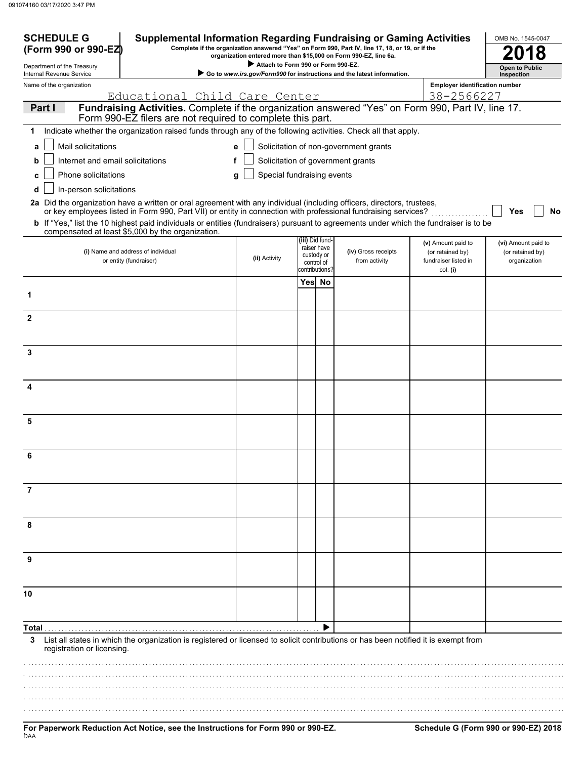| <b>SCHEDULE G</b><br>(Form 990 or 990-EZ)                                                                                                                               | <b>Supplemental Information Regarding Fundraising or Gaming Activities</b><br>OMB No. 1545-0047<br>Complete if the organization answered "Yes" on Form 990, Part IV, line 17, 18, or 19, or if the<br>organization entered more than \$15,000 on Form 990-EZ, line 6a.                                                                                                                                                                 |                                 |                |                                                            |                                       |                                                                            |                                                         |
|-------------------------------------------------------------------------------------------------------------------------------------------------------------------------|----------------------------------------------------------------------------------------------------------------------------------------------------------------------------------------------------------------------------------------------------------------------------------------------------------------------------------------------------------------------------------------------------------------------------------------|---------------------------------|----------------|------------------------------------------------------------|---------------------------------------|----------------------------------------------------------------------------|---------------------------------------------------------|
| Department of the Treasury                                                                                                                                              | Attach to Form 990 or Form 990-EZ.                                                                                                                                                                                                                                                                                                                                                                                                     |                                 |                |                                                            |                                       | <b>Open to Public</b>                                                      |                                                         |
| Go to www.irs.gov/Form990 for instructions and the latest information.<br>Internal Revenue Service<br><b>Employer identification number</b><br>Name of the organization |                                                                                                                                                                                                                                                                                                                                                                                                                                        |                                 |                |                                                            |                                       |                                                                            | Inspection                                              |
|                                                                                                                                                                         | Educational Child Care Center                                                                                                                                                                                                                                                                                                                                                                                                          |                                 |                |                                                            |                                       | 38-2566227                                                                 |                                                         |
| Part I                                                                                                                                                                  | Fundraising Activities. Complete if the organization answered "Yes" on Form 990, Part IV, line 17.<br>Form 990-EZ filers are not required to complete this part.                                                                                                                                                                                                                                                                       |                                 |                |                                                            |                                       |                                                                            |                                                         |
|                                                                                                                                                                         | Indicate whether the organization raised funds through any of the following activities. Check all that apply.                                                                                                                                                                                                                                                                                                                          |                                 |                |                                                            |                                       |                                                                            |                                                         |
| Mail solicitations<br>a                                                                                                                                                 |                                                                                                                                                                                                                                                                                                                                                                                                                                        | e                               |                |                                                            | Solicitation of non-government grants |                                                                            |                                                         |
| Internet and email solicitations<br>b                                                                                                                                   | f                                                                                                                                                                                                                                                                                                                                                                                                                                      |                                 |                |                                                            | Solicitation of government grants     |                                                                            |                                                         |
| Phone solicitations                                                                                                                                                     |                                                                                                                                                                                                                                                                                                                                                                                                                                        | Special fundraising events<br>a |                |                                                            |                                       |                                                                            |                                                         |
| In-person solicitations<br>d                                                                                                                                            | 2a Did the organization have a written or oral agreement with any individual (including officers, directors, trustees,<br>or key employees listed in Form 990, Part VII) or entity in connection with professional fundraising services?<br>b If "Yes," list the 10 highest paid individuals or entities (fundraisers) pursuant to agreements under which the fundraiser is to be<br>compensated at least \$5,000 by the organization. |                                 |                |                                                            |                                       |                                                                            | Yes<br><b>No</b>                                        |
|                                                                                                                                                                         | (i) Name and address of individual<br>or entity (fundraiser)                                                                                                                                                                                                                                                                                                                                                                           | (ii) Activity                   | contributions? | (iii) Did fund-<br>raiser have<br>custody or<br>control of | (iv) Gross receipts<br>from activity  | (v) Amount paid to<br>(or retained by)<br>fundraiser listed in<br>col. (i) | (vi) Amount paid to<br>(or retained by)<br>organization |
|                                                                                                                                                                         |                                                                                                                                                                                                                                                                                                                                                                                                                                        |                                 | Yes No         |                                                            |                                       |                                                                            |                                                         |
| 1                                                                                                                                                                       |                                                                                                                                                                                                                                                                                                                                                                                                                                        |                                 |                |                                                            |                                       |                                                                            |                                                         |
| $\mathbf{2}$                                                                                                                                                            |                                                                                                                                                                                                                                                                                                                                                                                                                                        |                                 |                |                                                            |                                       |                                                                            |                                                         |
| 3                                                                                                                                                                       |                                                                                                                                                                                                                                                                                                                                                                                                                                        |                                 |                |                                                            |                                       |                                                                            |                                                         |
|                                                                                                                                                                         |                                                                                                                                                                                                                                                                                                                                                                                                                                        |                                 |                |                                                            |                                       |                                                                            |                                                         |
| 4                                                                                                                                                                       |                                                                                                                                                                                                                                                                                                                                                                                                                                        |                                 |                |                                                            |                                       |                                                                            |                                                         |
| 5                                                                                                                                                                       |                                                                                                                                                                                                                                                                                                                                                                                                                                        |                                 |                |                                                            |                                       |                                                                            |                                                         |
| 6                                                                                                                                                                       |                                                                                                                                                                                                                                                                                                                                                                                                                                        |                                 |                |                                                            |                                       |                                                                            |                                                         |
| 7                                                                                                                                                                       |                                                                                                                                                                                                                                                                                                                                                                                                                                        |                                 |                |                                                            |                                       |                                                                            |                                                         |
| 8                                                                                                                                                                       |                                                                                                                                                                                                                                                                                                                                                                                                                                        |                                 |                |                                                            |                                       |                                                                            |                                                         |
| 9                                                                                                                                                                       |                                                                                                                                                                                                                                                                                                                                                                                                                                        |                                 |                |                                                            |                                       |                                                                            |                                                         |
| 10                                                                                                                                                                      |                                                                                                                                                                                                                                                                                                                                                                                                                                        |                                 |                |                                                            |                                       |                                                                            |                                                         |
| Total                                                                                                                                                                   |                                                                                                                                                                                                                                                                                                                                                                                                                                        |                                 |                |                                                            |                                       |                                                                            |                                                         |
| 3<br>registration or licensing.                                                                                                                                         | List all states in which the organization is registered or licensed to solicit contributions or has been notified it is exempt from                                                                                                                                                                                                                                                                                                    |                                 |                |                                                            |                                       |                                                                            |                                                         |
|                                                                                                                                                                         |                                                                                                                                                                                                                                                                                                                                                                                                                                        |                                 |                |                                                            |                                       |                                                                            |                                                         |
|                                                                                                                                                                         |                                                                                                                                                                                                                                                                                                                                                                                                                                        |                                 |                |                                                            |                                       |                                                                            |                                                         |
|                                                                                                                                                                         |                                                                                                                                                                                                                                                                                                                                                                                                                                        |                                 |                |                                                            |                                       |                                                                            |                                                         |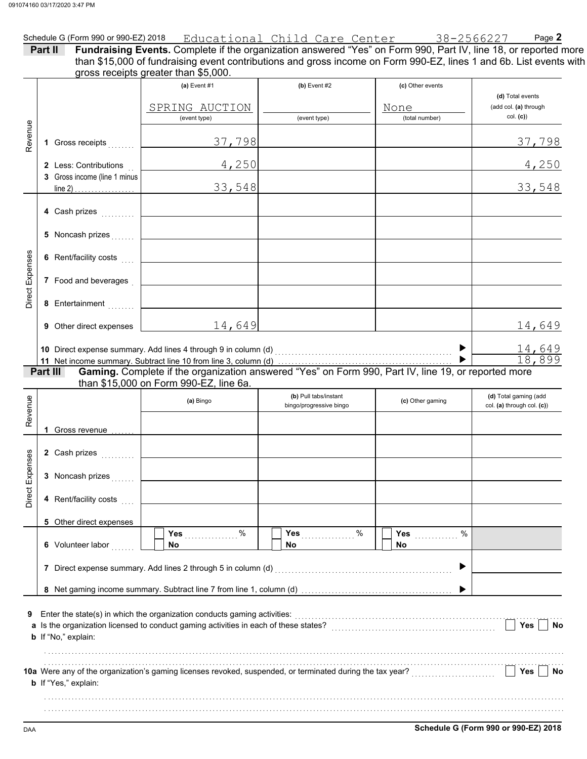|                 |                                                       | Schedule G (Form 990 or 990-EZ) 2018 Educational Child Care Center 38-2566227                                                                                                                                                                                                 |                                                  |                          | Page 2                                              |
|-----------------|-------------------------------------------------------|-------------------------------------------------------------------------------------------------------------------------------------------------------------------------------------------------------------------------------------------------------------------------------|--------------------------------------------------|--------------------------|-----------------------------------------------------|
|                 | Part II                                               | Fundraising Events. Complete if the organization answered "Yes" on Form 990, Part IV, line 18, or reported more<br>than \$15,000 of fundraising event contributions and gross income on Form 990-EZ, lines 1 and 6b. List events with<br>gross receipts greater than \$5,000. |                                                  |                          |                                                     |
|                 |                                                       | (a) Event $#1$<br>SPRING AUCTION                                                                                                                                                                                                                                              | $(b)$ Event #2                                   | (c) Other events<br>None | (d) Total events<br>(add col. (a) through           |
|                 |                                                       | (event type)                                                                                                                                                                                                                                                                  | (event type)                                     | (total number)           | col. (c)                                            |
| Revenue         | 1 Gross receipts                                      | 37,798                                                                                                                                                                                                                                                                        |                                                  |                          | 37,798                                              |
|                 | 2 Less: Contributions<br>3 Gross income (line 1 minus | 4,250                                                                                                                                                                                                                                                                         |                                                  |                          | 4,250                                               |
|                 | line 2) $\ldots$                                      | 33,548                                                                                                                                                                                                                                                                        |                                                  |                          | 33,548                                              |
|                 | 4 Cash prizes                                         |                                                                                                                                                                                                                                                                               |                                                  |                          |                                                     |
|                 | 5 Noncash prizes                                      |                                                                                                                                                                                                                                                                               |                                                  |                          |                                                     |
|                 | 6 Rent/facility costs                                 |                                                                                                                                                                                                                                                                               |                                                  |                          |                                                     |
| Direct Expenses | 7 Food and beverages                                  |                                                                                                                                                                                                                                                                               |                                                  |                          |                                                     |
|                 | 8 Entertainment                                       |                                                                                                                                                                                                                                                                               |                                                  |                          |                                                     |
|                 | <b>9</b> Other direct expenses                        | 14,649                                                                                                                                                                                                                                                                        |                                                  |                          | 14,649                                              |
|                 |                                                       |                                                                                                                                                                                                                                                                               |                                                  |                          | $\frac{14,649}{18,899}$                             |
|                 | Part III                                              | Gaming. Complete if the organization answered "Yes" on Form 990, Part IV, line 19, or reported more                                                                                                                                                                           |                                                  |                          |                                                     |
|                 |                                                       | than \$15,000 on Form 990-EZ, line 6a.<br>(a) Bingo                                                                                                                                                                                                                           | (b) Pull tabs/instant<br>bingo/progressive bingo | (c) Other gaming         | (d) Total gaming (add<br>col. (a) through col. (c)) |
| Revenue         |                                                       |                                                                                                                                                                                                                                                                               |                                                  |                          |                                                     |
|                 | 1 Gross revenue                                       |                                                                                                                                                                                                                                                                               |                                                  |                          |                                                     |
| ses             |                                                       |                                                                                                                                                                                                                                                                               |                                                  |                          |                                                     |
|                 | 3 Noncash prizes                                      |                                                                                                                                                                                                                                                                               |                                                  |                          |                                                     |
| Direct Expen    | 4 Rent/facility costs                                 |                                                                                                                                                                                                                                                                               |                                                  |                          |                                                     |
|                 | 5 Other direct expenses                               |                                                                                                                                                                                                                                                                               |                                                  |                          |                                                     |
|                 | 6 Volunteer labor                                     | Yes $%$<br>No.                                                                                                                                                                                                                                                                | Yes $%$<br>No                                    | $\%$<br>Yes<br>No.       |                                                     |
|                 |                                                       | 7 Direct expense summary. Add lines 2 through 5 in column (d)                                                                                                                                                                                                                 |                                                  | ▶                        |                                                     |
|                 |                                                       |                                                                                                                                                                                                                                                                               |                                                  |                          |                                                     |
| 9               | b If "No," explain:                                   | Enter the state(s) in which the organization conducts gaming activities:<br>[[[CONDIDERET]]                                                                                                                                                                                   |                                                  |                          | Yes<br>No                                           |
|                 |                                                       |                                                                                                                                                                                                                                                                               |                                                  |                          |                                                     |
|                 | b If "Yes," explain:                                  |                                                                                                                                                                                                                                                                               |                                                  |                          | Yes<br>No                                           |
|                 |                                                       |                                                                                                                                                                                                                                                                               |                                                  |                          |                                                     |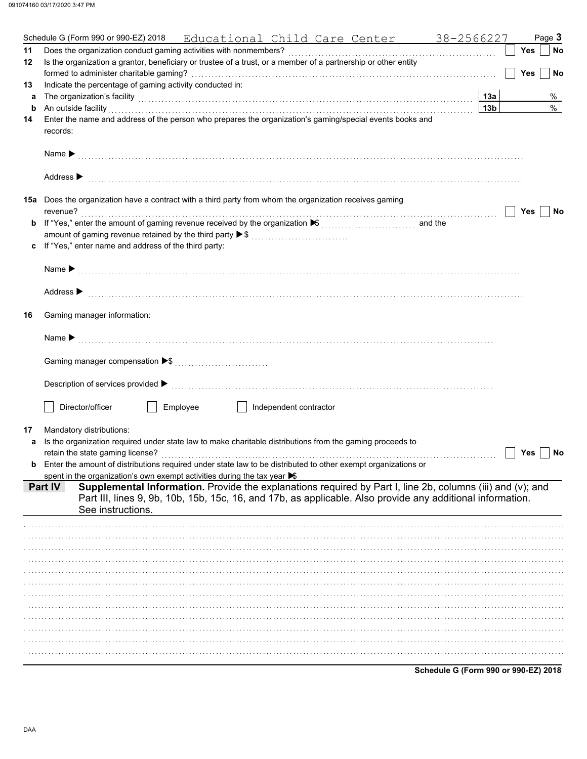|    | Schedule G (Form 990 or 990-EZ) 2018<br>Educational Child Care Center 38-2566227                                                                                                                                                                                                       |                 |            | Page 3 |           |
|----|----------------------------------------------------------------------------------------------------------------------------------------------------------------------------------------------------------------------------------------------------------------------------------------|-----------------|------------|--------|-----------|
| 11 |                                                                                                                                                                                                                                                                                        |                 | Yes        |        | No        |
| 12 | Is the organization a grantor, beneficiary or trustee of a trust, or a member of a partnership or other entity                                                                                                                                                                         |                 |            |        |           |
|    |                                                                                                                                                                                                                                                                                        |                 | <b>Yes</b> |        | <b>No</b> |
| 13 | Indicate the percentage of gaming activity conducted in:                                                                                                                                                                                                                               |                 |            |        |           |
| а  | The organization's facility [1, 2003] The organization's facility [1, 2004] The organization's facility [1, 2004] The organization's facility [1, 2004] The organization's facility [1, 2004] The organization of the organiza                                                         | 13a             |            |        | %         |
| b  | An outside facility                                                                                                                                                                                                                                                                    | 13 <sub>b</sub> |            |        | $\%$      |
| 14 | Enter the name and address of the person who prepares the organization's gaming/special events books and                                                                                                                                                                               |                 |            |        |           |
|    | records:                                                                                                                                                                                                                                                                               |                 |            |        |           |
|    |                                                                                                                                                                                                                                                                                        |                 |            |        |           |
|    | Name <b>Decision of the Contract Contract Contract Contract Contract Contract Contract Contract Contract Contract Contract Contract Contract Contract Contract Contract Contract Contract Contract Contract Contract Contract Co</b>                                                   |                 |            |        |           |
|    |                                                                                                                                                                                                                                                                                        |                 |            |        |           |
|    | Address $\blacktriangleright$                                                                                                                                                                                                                                                          |                 |            |        |           |
|    | 15a Does the organization have a contract with a third party from whom the organization receives gaming                                                                                                                                                                                |                 |            |        |           |
|    | revenue?                                                                                                                                                                                                                                                                               |                 | Yes        |        | No        |
| b  | If "Yes," enter the amount of gaming revenue received by the organization ▶ (\\times\)                                                                                                                                                                                                 |                 |            |        |           |
|    | amount of gaming revenue retained by the third party ▶ \$                                                                                                                                                                                                                              |                 |            |        |           |
| c  | If "Yes," enter name and address of the third party:                                                                                                                                                                                                                                   |                 |            |        |           |
|    |                                                                                                                                                                                                                                                                                        |                 |            |        |           |
|    |                                                                                                                                                                                                                                                                                        |                 |            |        |           |
|    |                                                                                                                                                                                                                                                                                        |                 |            |        |           |
|    | Address > material contracts and contracts are contracted and contract of the contract of the contract of the contract of the contract of the contract of the contract of the contract of the contract of the contract of the                                                          |                 |            |        |           |
|    |                                                                                                                                                                                                                                                                                        |                 |            |        |           |
| 16 | Gaming manager information:                                                                                                                                                                                                                                                            |                 |            |        |           |
|    |                                                                                                                                                                                                                                                                                        |                 |            |        |           |
|    |                                                                                                                                                                                                                                                                                        |                 |            |        |           |
|    |                                                                                                                                                                                                                                                                                        |                 |            |        |           |
|    |                                                                                                                                                                                                                                                                                        |                 |            |        |           |
|    |                                                                                                                                                                                                                                                                                        |                 |            |        |           |
|    | Description of services provided $\blacktriangleright$ [100] contract the contract of services provided $\blacktriangleright$ [100] contract the contract of services provided $\blacktriangleright$ [100] contract the contract of services provided $\blacktriangleright$ [100] cont |                 |            |        |           |
|    | Director/officer<br>Employee<br>Independent contractor                                                                                                                                                                                                                                 |                 |            |        |           |
|    |                                                                                                                                                                                                                                                                                        |                 |            |        |           |
| 17 | Mandatory distributions:                                                                                                                                                                                                                                                               |                 |            |        |           |
| a  | Is the organization required under state law to make charitable distributions from the gaming proceeds to                                                                                                                                                                              |                 |            |        |           |
|    |                                                                                                                                                                                                                                                                                        |                 | Yes        |        | No        |
|    | Enter the amount of distributions required under state law to be distributed to other exempt organizations or                                                                                                                                                                          |                 |            |        |           |
|    | spent in the organization's own exempt activities during the tax year $\blacktriangleright$                                                                                                                                                                                            |                 |            |        |           |
|    | Supplemental Information. Provide the explanations required by Part I, line 2b, columns (iii) and (v); and<br><b>Part IV</b>                                                                                                                                                           |                 |            |        |           |
|    | Part III, lines 9, 9b, 10b, 15b, 15c, 16, and 17b, as applicable. Also provide any additional information.                                                                                                                                                                             |                 |            |        |           |
|    | See instructions.                                                                                                                                                                                                                                                                      |                 |            |        |           |
|    |                                                                                                                                                                                                                                                                                        |                 |            |        |           |
|    |                                                                                                                                                                                                                                                                                        |                 |            |        |           |
|    |                                                                                                                                                                                                                                                                                        |                 |            |        |           |
|    |                                                                                                                                                                                                                                                                                        |                 |            |        |           |
|    |                                                                                                                                                                                                                                                                                        |                 |            |        |           |
|    |                                                                                                                                                                                                                                                                                        |                 |            |        |           |
|    |                                                                                                                                                                                                                                                                                        |                 |            |        |           |
|    |                                                                                                                                                                                                                                                                                        |                 |            |        |           |
|    |                                                                                                                                                                                                                                                                                        |                 |            |        |           |
|    |                                                                                                                                                                                                                                                                                        |                 |            |        |           |
|    |                                                                                                                                                                                                                                                                                        |                 |            |        |           |
|    |                                                                                                                                                                                                                                                                                        |                 |            |        |           |
|    |                                                                                                                                                                                                                                                                                        |                 |            |        |           |

Schedule G (Form 990 or 990-EZ) 2018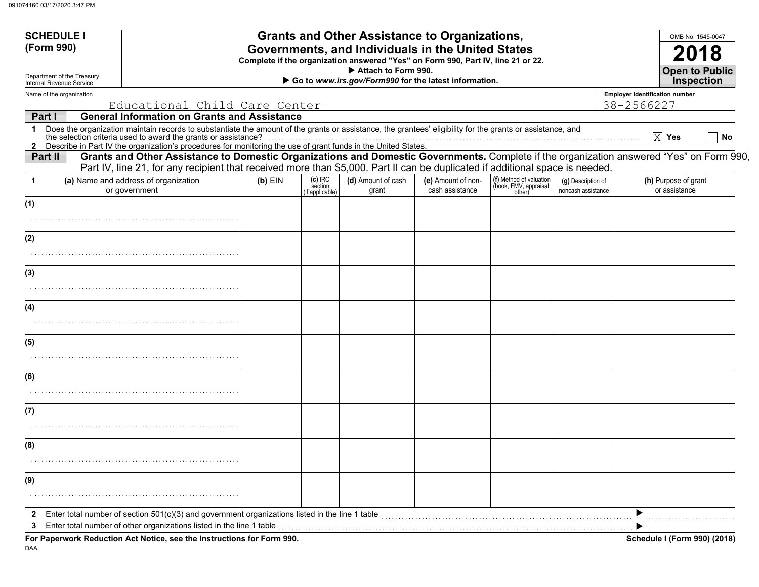| (Form 990)<br>Governments, and Individuals in the United States<br>Complete if the organization answered "Yes" on Form 990, Part IV, line 21 or 22.<br>Attach to Form 990.<br>Department of the Treasury<br><b>Inspection</b><br>Go to www.irs.gov/Form990 for the latest information.<br>Internal Revenue Service<br>Employer identification number<br>Name of the organization<br>Educational Child Care Center<br>38-2566227<br><b>General Information on Grants and Assistance</b><br>Part I<br>Does the organization maintain records to substantiate the amount of the grants or assistance, the grantees' eligibility for the grants or assistance, and<br>$\mathbf 1$<br>$\overline{X}$ Yes<br>2 Describe in Part IV the organization's procedures for monitoring the use of grant funds in the United States.<br>Grants and Other Assistance to Domestic Organizations and Domestic Governments. Complete if the organization answered "Yes" on Form 990,<br>Part II<br>Part IV, line 21, for any recipient that received more than \$5,000. Part II can be duplicated if additional space is needed.<br>(f) Method of valuation<br>(book, FMV, appraisal,<br>(c) IRC<br>section<br>(a) Name and address of organization<br>(d) Amount of cash<br>(e) Amount of non-<br>(h) Purpose of grant<br>$(b)$ EIN<br>(g) Description of<br>-1<br>cash assistance<br>or assistance<br>or government<br>grant<br>noncash assistance<br>other)<br>if applicable)<br>(1)<br>(2)<br>(3)<br>(4)<br>(5)<br>(6)<br>(7)<br>(8)<br>(9)<br>Enter total number of section 501(c)(3) and government organizations listed in the line 1 table <i>manumeranom community</i><br>2<br>3 | <b>SCHEDULE I</b> |  |  | <b>Grants and Other Assistance to Organizations,</b> |  |  |  |  | OMB No. 1545-0047     |    |
|-------------------------------------------------------------------------------------------------------------------------------------------------------------------------------------------------------------------------------------------------------------------------------------------------------------------------------------------------------------------------------------------------------------------------------------------------------------------------------------------------------------------------------------------------------------------------------------------------------------------------------------------------------------------------------------------------------------------------------------------------------------------------------------------------------------------------------------------------------------------------------------------------------------------------------------------------------------------------------------------------------------------------------------------------------------------------------------------------------------------------------------------------------------------------------------------------------------------------------------------------------------------------------------------------------------------------------------------------------------------------------------------------------------------------------------------------------------------------------------------------------------------------------------------------------------------------------------------------------------------------------------------------------------------------|-------------------|--|--|------------------------------------------------------|--|--|--|--|-----------------------|----|
|                                                                                                                                                                                                                                                                                                                                                                                                                                                                                                                                                                                                                                                                                                                                                                                                                                                                                                                                                                                                                                                                                                                                                                                                                                                                                                                                                                                                                                                                                                                                                                                                                                                                         |                   |  |  |                                                      |  |  |  |  |                       |    |
|                                                                                                                                                                                                                                                                                                                                                                                                                                                                                                                                                                                                                                                                                                                                                                                                                                                                                                                                                                                                                                                                                                                                                                                                                                                                                                                                                                                                                                                                                                                                                                                                                                                                         |                   |  |  |                                                      |  |  |  |  | <b>Open to Public</b> |    |
|                                                                                                                                                                                                                                                                                                                                                                                                                                                                                                                                                                                                                                                                                                                                                                                                                                                                                                                                                                                                                                                                                                                                                                                                                                                                                                                                                                                                                                                                                                                                                                                                                                                                         |                   |  |  |                                                      |  |  |  |  |                       |    |
|                                                                                                                                                                                                                                                                                                                                                                                                                                                                                                                                                                                                                                                                                                                                                                                                                                                                                                                                                                                                                                                                                                                                                                                                                                                                                                                                                                                                                                                                                                                                                                                                                                                                         |                   |  |  |                                                      |  |  |  |  |                       |    |
|                                                                                                                                                                                                                                                                                                                                                                                                                                                                                                                                                                                                                                                                                                                                                                                                                                                                                                                                                                                                                                                                                                                                                                                                                                                                                                                                                                                                                                                                                                                                                                                                                                                                         |                   |  |  |                                                      |  |  |  |  |                       |    |
|                                                                                                                                                                                                                                                                                                                                                                                                                                                                                                                                                                                                                                                                                                                                                                                                                                                                                                                                                                                                                                                                                                                                                                                                                                                                                                                                                                                                                                                                                                                                                                                                                                                                         |                   |  |  |                                                      |  |  |  |  |                       | No |
|                                                                                                                                                                                                                                                                                                                                                                                                                                                                                                                                                                                                                                                                                                                                                                                                                                                                                                                                                                                                                                                                                                                                                                                                                                                                                                                                                                                                                                                                                                                                                                                                                                                                         |                   |  |  |                                                      |  |  |  |  |                       |    |
|                                                                                                                                                                                                                                                                                                                                                                                                                                                                                                                                                                                                                                                                                                                                                                                                                                                                                                                                                                                                                                                                                                                                                                                                                                                                                                                                                                                                                                                                                                                                                                                                                                                                         |                   |  |  |                                                      |  |  |  |  |                       |    |
|                                                                                                                                                                                                                                                                                                                                                                                                                                                                                                                                                                                                                                                                                                                                                                                                                                                                                                                                                                                                                                                                                                                                                                                                                                                                                                                                                                                                                                                                                                                                                                                                                                                                         |                   |  |  |                                                      |  |  |  |  |                       |    |
|                                                                                                                                                                                                                                                                                                                                                                                                                                                                                                                                                                                                                                                                                                                                                                                                                                                                                                                                                                                                                                                                                                                                                                                                                                                                                                                                                                                                                                                                                                                                                                                                                                                                         |                   |  |  |                                                      |  |  |  |  |                       |    |
|                                                                                                                                                                                                                                                                                                                                                                                                                                                                                                                                                                                                                                                                                                                                                                                                                                                                                                                                                                                                                                                                                                                                                                                                                                                                                                                                                                                                                                                                                                                                                                                                                                                                         |                   |  |  |                                                      |  |  |  |  |                       |    |
|                                                                                                                                                                                                                                                                                                                                                                                                                                                                                                                                                                                                                                                                                                                                                                                                                                                                                                                                                                                                                                                                                                                                                                                                                                                                                                                                                                                                                                                                                                                                                                                                                                                                         |                   |  |  |                                                      |  |  |  |  |                       |    |
|                                                                                                                                                                                                                                                                                                                                                                                                                                                                                                                                                                                                                                                                                                                                                                                                                                                                                                                                                                                                                                                                                                                                                                                                                                                                                                                                                                                                                                                                                                                                                                                                                                                                         |                   |  |  |                                                      |  |  |  |  |                       |    |
|                                                                                                                                                                                                                                                                                                                                                                                                                                                                                                                                                                                                                                                                                                                                                                                                                                                                                                                                                                                                                                                                                                                                                                                                                                                                                                                                                                                                                                                                                                                                                                                                                                                                         |                   |  |  |                                                      |  |  |  |  |                       |    |
|                                                                                                                                                                                                                                                                                                                                                                                                                                                                                                                                                                                                                                                                                                                                                                                                                                                                                                                                                                                                                                                                                                                                                                                                                                                                                                                                                                                                                                                                                                                                                                                                                                                                         |                   |  |  |                                                      |  |  |  |  |                       |    |
|                                                                                                                                                                                                                                                                                                                                                                                                                                                                                                                                                                                                                                                                                                                                                                                                                                                                                                                                                                                                                                                                                                                                                                                                                                                                                                                                                                                                                                                                                                                                                                                                                                                                         |                   |  |  |                                                      |  |  |  |  |                       |    |
|                                                                                                                                                                                                                                                                                                                                                                                                                                                                                                                                                                                                                                                                                                                                                                                                                                                                                                                                                                                                                                                                                                                                                                                                                                                                                                                                                                                                                                                                                                                                                                                                                                                                         |                   |  |  |                                                      |  |  |  |  |                       |    |
|                                                                                                                                                                                                                                                                                                                                                                                                                                                                                                                                                                                                                                                                                                                                                                                                                                                                                                                                                                                                                                                                                                                                                                                                                                                                                                                                                                                                                                                                                                                                                                                                                                                                         |                   |  |  |                                                      |  |  |  |  |                       |    |
|                                                                                                                                                                                                                                                                                                                                                                                                                                                                                                                                                                                                                                                                                                                                                                                                                                                                                                                                                                                                                                                                                                                                                                                                                                                                                                                                                                                                                                                                                                                                                                                                                                                                         |                   |  |  |                                                      |  |  |  |  |                       |    |
|                                                                                                                                                                                                                                                                                                                                                                                                                                                                                                                                                                                                                                                                                                                                                                                                                                                                                                                                                                                                                                                                                                                                                                                                                                                                                                                                                                                                                                                                                                                                                                                                                                                                         |                   |  |  |                                                      |  |  |  |  |                       |    |
|                                                                                                                                                                                                                                                                                                                                                                                                                                                                                                                                                                                                                                                                                                                                                                                                                                                                                                                                                                                                                                                                                                                                                                                                                                                                                                                                                                                                                                                                                                                                                                                                                                                                         |                   |  |  |                                                      |  |  |  |  |                       |    |
|                                                                                                                                                                                                                                                                                                                                                                                                                                                                                                                                                                                                                                                                                                                                                                                                                                                                                                                                                                                                                                                                                                                                                                                                                                                                                                                                                                                                                                                                                                                                                                                                                                                                         |                   |  |  |                                                      |  |  |  |  |                       |    |
|                                                                                                                                                                                                                                                                                                                                                                                                                                                                                                                                                                                                                                                                                                                                                                                                                                                                                                                                                                                                                                                                                                                                                                                                                                                                                                                                                                                                                                                                                                                                                                                                                                                                         |                   |  |  |                                                      |  |  |  |  |                       |    |
|                                                                                                                                                                                                                                                                                                                                                                                                                                                                                                                                                                                                                                                                                                                                                                                                                                                                                                                                                                                                                                                                                                                                                                                                                                                                                                                                                                                                                                                                                                                                                                                                                                                                         |                   |  |  |                                                      |  |  |  |  |                       |    |
|                                                                                                                                                                                                                                                                                                                                                                                                                                                                                                                                                                                                                                                                                                                                                                                                                                                                                                                                                                                                                                                                                                                                                                                                                                                                                                                                                                                                                                                                                                                                                                                                                                                                         |                   |  |  |                                                      |  |  |  |  |                       |    |
|                                                                                                                                                                                                                                                                                                                                                                                                                                                                                                                                                                                                                                                                                                                                                                                                                                                                                                                                                                                                                                                                                                                                                                                                                                                                                                                                                                                                                                                                                                                                                                                                                                                                         |                   |  |  |                                                      |  |  |  |  |                       |    |
| For Paperwork Reduction Act Notice, see the Instructions for Form 990.<br>Schedule I (Form 990) (2018)                                                                                                                                                                                                                                                                                                                                                                                                                                                                                                                                                                                                                                                                                                                                                                                                                                                                                                                                                                                                                                                                                                                                                                                                                                                                                                                                                                                                                                                                                                                                                                  |                   |  |  |                                                      |  |  |  |  |                       |    |

DAA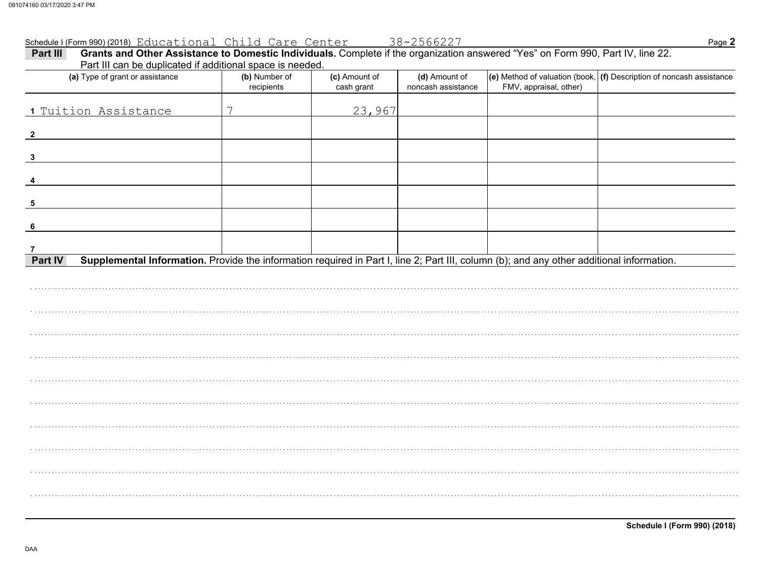#### Schedule I (Form 990) (2018) Educational Child Care Center 38-2566227

| Grants and Other Assistance to Domestic Individuals. Complete if the organization answered "Yes" on Form 990, Part IV, line 22.<br>Part III<br>Part III can be duplicated if additional space is needed. |                             |                             |                                     |                        |                                                                                                    |  |  |  |  |
|----------------------------------------------------------------------------------------------------------------------------------------------------------------------------------------------------------|-----------------------------|-----------------------------|-------------------------------------|------------------------|----------------------------------------------------------------------------------------------------|--|--|--|--|
| (a) Type of grant or assistance                                                                                                                                                                          | (b) Number of<br>recipients | (c) Amount of<br>cash grant | (d) Amount of<br>noncash assistance | FMV, appraisal, other) | $\left\vert{}$ (e) Method of valuation (book, $\left\vert{}$ (f) Description of noncash assistance |  |  |  |  |
| 1 Tuition Assistance                                                                                                                                                                                     | 7                           | 23,967                      |                                     |                        |                                                                                                    |  |  |  |  |
| $\overline{\mathbf{2}}$                                                                                                                                                                                  |                             |                             |                                     |                        |                                                                                                    |  |  |  |  |
| $\mathbf{3}$                                                                                                                                                                                             |                             |                             |                                     |                        |                                                                                                    |  |  |  |  |
| $\overline{4}$                                                                                                                                                                                           |                             |                             |                                     |                        |                                                                                                    |  |  |  |  |
| $5\phantom{1}$                                                                                                                                                                                           |                             |                             |                                     |                        |                                                                                                    |  |  |  |  |
| $6\phantom{1}6$                                                                                                                                                                                          |                             |                             |                                     |                        |                                                                                                    |  |  |  |  |
| 7<br>Part IV<br>Supplemental Information. Provide the information required in Part I, line 2; Part III, column (b); and any other additional information.                                                |                             |                             |                                     |                        |                                                                                                    |  |  |  |  |
|                                                                                                                                                                                                          |                             |                             |                                     |                        |                                                                                                    |  |  |  |  |
|                                                                                                                                                                                                          |                             |                             |                                     |                        |                                                                                                    |  |  |  |  |
|                                                                                                                                                                                                          |                             |                             |                                     |                        |                                                                                                    |  |  |  |  |
|                                                                                                                                                                                                          |                             |                             |                                     |                        |                                                                                                    |  |  |  |  |
|                                                                                                                                                                                                          |                             |                             |                                     |                        |                                                                                                    |  |  |  |  |
|                                                                                                                                                                                                          |                             |                             |                                     |                        |                                                                                                    |  |  |  |  |
|                                                                                                                                                                                                          |                             |                             |                                     |                        |                                                                                                    |  |  |  |  |
|                                                                                                                                                                                                          |                             |                             |                                     |                        |                                                                                                    |  |  |  |  |
|                                                                                                                                                                                                          |                             |                             |                                     |                        |                                                                                                    |  |  |  |  |
|                                                                                                                                                                                                          |                             |                             |                                     |                        |                                                                                                    |  |  |  |  |

Page 2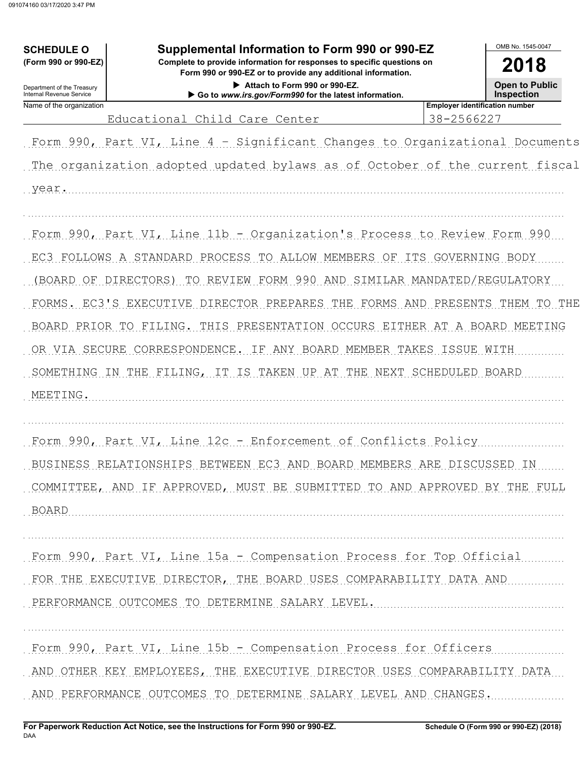| <b>SCHEDULE O</b>                                                      | Supplemental Information to Form 990 or 990-EZ                                                                                                                                                                                                                                                                                                                                                                                                                    |                                                     | OMB No. 1545-0047      |  |  |  |
|------------------------------------------------------------------------|-------------------------------------------------------------------------------------------------------------------------------------------------------------------------------------------------------------------------------------------------------------------------------------------------------------------------------------------------------------------------------------------------------------------------------------------------------------------|-----------------------------------------------------|------------------------|--|--|--|
| (Form 990 or 990-EZ)                                                   | Complete to provide information for responses to specific questions on<br>Form 990 or 990-EZ or to provide any additional information.                                                                                                                                                                                                                                                                                                                            |                                                     | 2018                   |  |  |  |
| Department of the Treasury<br><b>Internal Revenue Service</b>          | Attach to Form 990 or 990-EZ.<br>Go to www.irs.gov/Form990 for the latest information.                                                                                                                                                                                                                                                                                                                                                                            |                                                     |                        |  |  |  |
| Name of the organization                                               | Educational Child Care Center                                                                                                                                                                                                                                                                                                                                                                                                                                     | <b>Employer identification number</b><br>38-2566227 |                        |  |  |  |
| year.                                                                  | Form 990, Part VI, Line 4 - Significant Changes to Organizational Documents<br>The organization adopted updated bylaws as of October of the current fiscal                                                                                                                                                                                                                                                                                                        |                                                     |                        |  |  |  |
| (BOARD OF DIRECTORS)<br>OR VIA SECURE<br>SOMETHING<br>- IN<br>MEETING. | Form 990, Part VI, Line 11b - Organization's Process to Review Form 990<br>EC3 FOLLOWS A STANDARD PROCESS TO<br>ALLOW MEMBERS<br>TO REVIEW FORM 990<br>SIMILAR MANDATED/REGULATORY<br>AND<br>FORMS. EC3'S EXECUTIVE DIRECTOR PREPARES<br>THE<br>FORMS AND PRESENTS<br>BOARD PRIOR TO FILING. THIS PRESENTATION OCCURS EITHER AT A BOARD MEETING<br>CORRESPONDENCE.<br>ANY BOARD MEMBER TAKES ISSUE<br>IF<br>THE<br>FILING, IT<br>IS TAKEN<br>UP AT<br>THE<br>NEXT | OF ITS GOVERNING BODY<br>SCHEDULED BOARD            | THEM<br>TO THE<br>WITH |  |  |  |
| BOARD                                                                  | Form 990, Part VI, Line 12c - Enforcement of Conflicts Policy<br>BUSINESS RELATIONSHIPS BETWEEN EC3 AND BOARD MEMBERS ARE DISCUSSED IN<br>COMMITTEE, AND IF APPROVED, MUST BE SUBMITTED TO AND APPROVED BY THE FULL                                                                                                                                                                                                                                               |                                                     |                        |  |  |  |
|                                                                        | Form 990, Part VI, Line 15a - Compensation Process for Top Official<br>FOR THE EXECUTIVE DIRECTOR, THE BOARD USES COMPARABILITY DATA AND<br>PERFORMANCE OUTCOMES TO DETERMINE SALARY LEVEL.                                                                                                                                                                                                                                                                       |                                                     |                        |  |  |  |
|                                                                        | Form 990, Part VI, Line 15b - Compensation Process for Officers<br>AND OTHER KEY EMPLOYEES, THE EXECUTIVE DIRECTOR USES COMPARABILITY DATA<br>AND PERFORMANCE OUTCOMES TO DETERMINE SALARY LEVEL AND CHANGES.                                                                                                                                                                                                                                                     |                                                     |                        |  |  |  |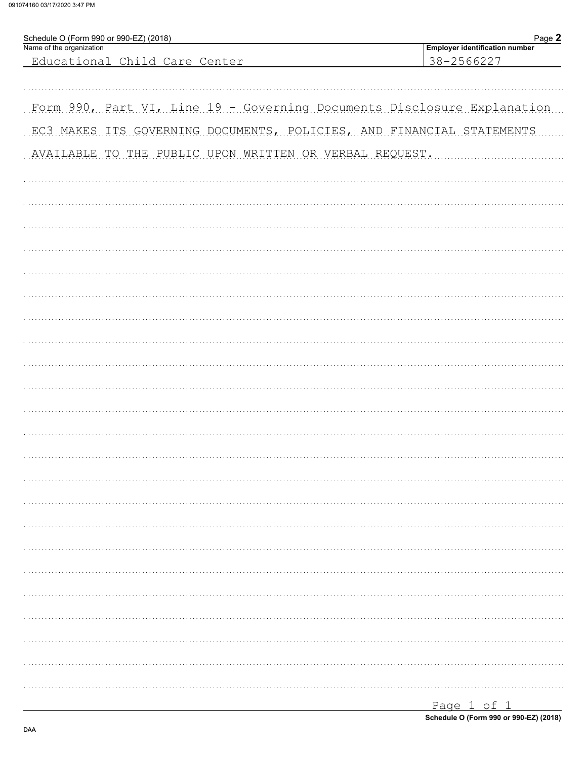091074160 03/17/2020 3:47 PM

| Schedule O (Form 990 or 990-EZ) (2018)                                  | Page 2                                              |
|-------------------------------------------------------------------------|-----------------------------------------------------|
| Name of the organization<br>Educational Child Care Center               | <b>Employer identification number</b><br>38-2566227 |
|                                                                         |                                                     |
|                                                                         |                                                     |
| Form 990, Part VI, Line 19 - Governing Documents Disclosure Explanation |                                                     |
| EC3 MAKES ITS GOVERNING DOCUMENTS, POLICIES, AND FINANCIAL STATEMENTS   |                                                     |
| AVAILABLE TO THE PUBLIC UPON WRITTEN OR VERBAL REQUEST.                 |                                                     |
|                                                                         |                                                     |
|                                                                         |                                                     |
|                                                                         |                                                     |
|                                                                         |                                                     |
|                                                                         |                                                     |
|                                                                         |                                                     |
|                                                                         |                                                     |
|                                                                         |                                                     |
|                                                                         |                                                     |
|                                                                         |                                                     |
|                                                                         |                                                     |
|                                                                         |                                                     |
|                                                                         |                                                     |
|                                                                         |                                                     |
|                                                                         |                                                     |
|                                                                         |                                                     |
|                                                                         |                                                     |
|                                                                         |                                                     |
|                                                                         |                                                     |
|                                                                         |                                                     |
|                                                                         |                                                     |
|                                                                         |                                                     |
|                                                                         |                                                     |
|                                                                         |                                                     |
|                                                                         |                                                     |
|                                                                         |                                                     |
|                                                                         |                                                     |

| Page 1 of |  |                                        |
|-----------|--|----------------------------------------|
|           |  | Schedule O (Form 990 or 990-EZ) (2018) |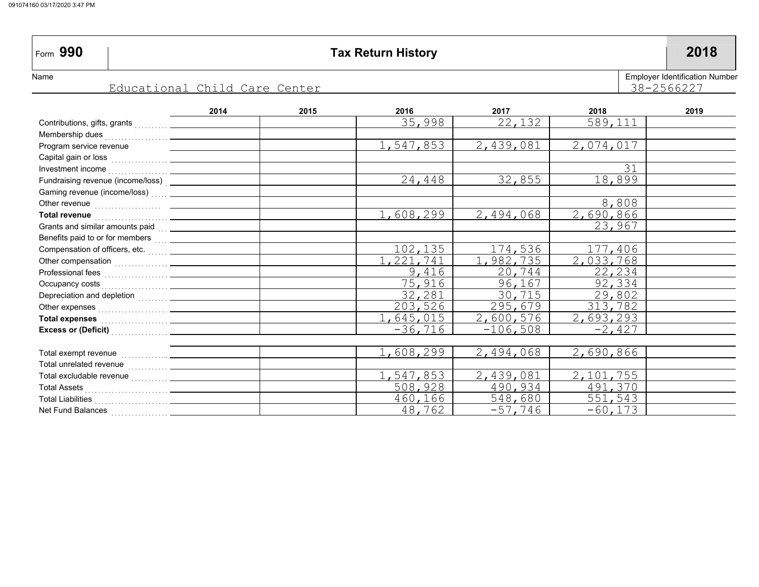| Form 990                                                                          |                                                                                                                                                                                                                                        | <b>Tax Return History</b> |           |           |           |      |  |  |  |
|-----------------------------------------------------------------------------------|----------------------------------------------------------------------------------------------------------------------------------------------------------------------------------------------------------------------------------------|---------------------------|-----------|-----------|-----------|------|--|--|--|
| Employer Identification Nu<br>Name<br>38-2566227<br>Educational Child Care Center |                                                                                                                                                                                                                                        |                           |           |           |           |      |  |  |  |
|                                                                                   | 2014                                                                                                                                                                                                                                   | 2015                      | 2016      | 2017      | 2018      | 2019 |  |  |  |
|                                                                                   |                                                                                                                                                                                                                                        |                           | 35,998    | 22,132    | 589,111   |      |  |  |  |
|                                                                                   |                                                                                                                                                                                                                                        |                           |           |           |           |      |  |  |  |
| Program service revenue                                                           |                                                                                                                                                                                                                                        |                           | 1,547,853 | 2,439,081 | 2,074,017 |      |  |  |  |
|                                                                                   |                                                                                                                                                                                                                                        |                           |           |           |           |      |  |  |  |
|                                                                                   |                                                                                                                                                                                                                                        |                           |           |           | 31        |      |  |  |  |
|                                                                                   | Fundraising revenue (income/loss)<br><u>Letter and the set of the set of the set of the set of the set of the set of the set of the set of the set of the set of the set of the set of the set of the set of the set of the set of</u> |                           | 24,448    | 32,855    | 18,899    |      |  |  |  |
|                                                                                   | Gaming revenue (income/loss)  _______________                                                                                                                                                                                          |                           |           |           |           |      |  |  |  |
|                                                                                   |                                                                                                                                                                                                                                        |                           |           |           | 8,808     |      |  |  |  |
| <b>Total revenue</b>                                                              |                                                                                                                                                                                                                                        |                           | 1,608,299 | 2,494,068 | 2,690,866 |      |  |  |  |
| Grants and similar amounts paid                                                   |                                                                                                                                                                                                                                        |                           |           |           | 23,967    |      |  |  |  |

102,135 1,221,741

1,608,299

1,547,853 508,928 460,166 48,762

9,416 75,916 32,281 203,526 1,645,015 -36,716

174,536 1,982,735 20,744 96,167 30,715 295,679 2,600,576 -106,508

177,406 2,033,768 22,234 92,334 29,802 313,782 2,693,293 -2,427

2,690,866

2,101,755 491,370 551,543 -60,173

2,494,068

2,439,081 490,934 548,680 -57,746

 $\textsf{Total}\xspace$  excludable revenue  $\begin{smallmatrix} \dots \dots \dots \dots \end{smallmatrix}$ Total Assets . . . . . . . . . . . . . . . . . . . . . . . . .

Net Fund Balances <sub>…………………</sub> Total Liabilities . . . . . . . . . . . . . . . . . . . . . .

Total unrelated revenue  $\begin{bmatrix} \ldots & \ldots & \ldots \end{bmatrix}$  $\textsf{Total}\texttt{~exempt}\texttt{~revenue}\textcolor{red}{\sum_{1},\ldots,\ldots,\ldots}$ 

**Total expenses** . . . . . . . . . . . . . . . . . . . .**Excess or (Deficit)** . . . . . . . . . . . . . . . . .

 Benefits paid to or for members  $\mathsf{Compensation\ of\ of\ forces,\ etc.}$ Other compensation  $\begin{pmatrix} 1 & 0 & 0 \\ 0 & 1 & 0 \\ 0 & 0 & 1 \end{pmatrix}$  Professional fees . . . . . . . . . . . . . . . . . . . Occupancy costs <sub>. . . . . . . . . . . . . . . . . .</sub> Depreciation and depletion Other expenses

loyer Identification Number  $-2566227$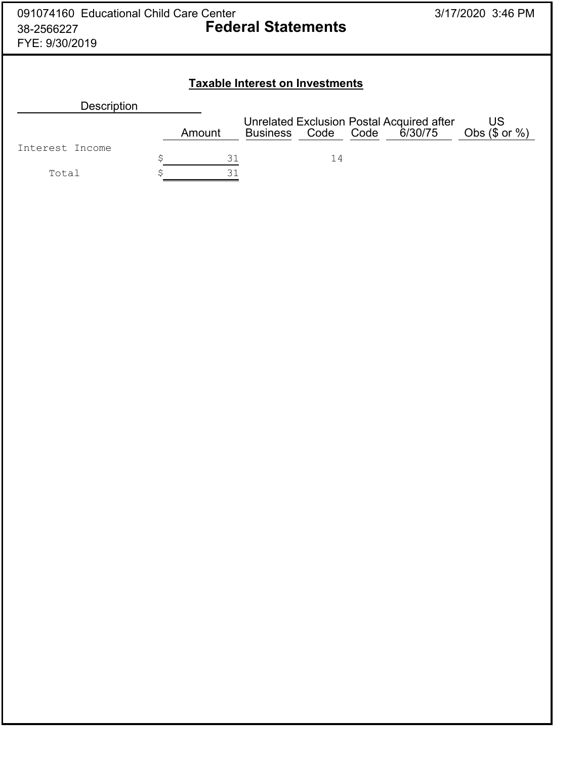| 091074160 Educational Child Care Center<br>38-2566227<br>FYE: 9/30/2019 |          | <b>Federal Statements</b>              |                                                                     | 3/17/2020 3:46 PM        |
|-------------------------------------------------------------------------|----------|----------------------------------------|---------------------------------------------------------------------|--------------------------|
|                                                                         |          | <b>Taxable Interest on Investments</b> |                                                                     |                          |
| <b>Description</b>                                                      |          |                                        |                                                                     |                          |
|                                                                         | Amount   | Code<br><b>Business</b>                | <b>Unrelated Exclusion Postal Acquired after</b><br>Code<br>6/30/75 | US<br>Obs $(\$$ or $%$ ) |
| Interest Income                                                         |          |                                        |                                                                     |                          |
|                                                                         | \$<br>31 | 14                                     |                                                                     |                          |
| Total                                                                   | Ś<br>31  |                                        |                                                                     |                          |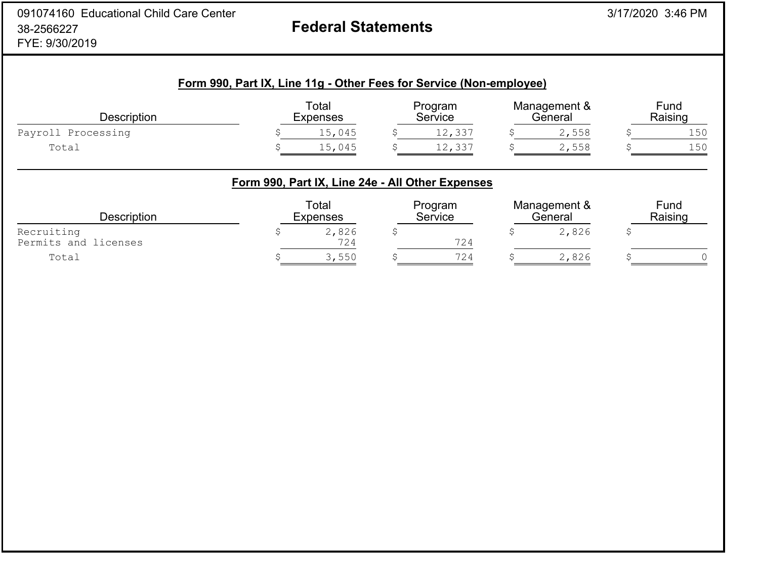# **Federal Statements**

| <b>Description</b> | Total<br><b>Expenses</b> |        | Program<br>Service |        | Management &<br>General |       | Fund<br>Raising |     |
|--------------------|--------------------------|--------|--------------------|--------|-------------------------|-------|-----------------|-----|
| Payroll Processing |                          | 15,045 |                    | 12,337 |                         | 2,558 |                 | 150 |
| Total              |                          | 15,045 |                    | 12,337 |                         | 2,558 |                 | 150 |

| <b>Description</b>                 | Total<br><b>Expenses</b> | Program<br>Service | Management &<br>General | Fund<br>Raising |
|------------------------------------|--------------------------|--------------------|-------------------------|-----------------|
| Recruiting<br>Permits and licenses | 2,826<br>724             | 724                | 2,826                   |                 |
| Total                              | 3,550                    | 724                | 2,826                   |                 |